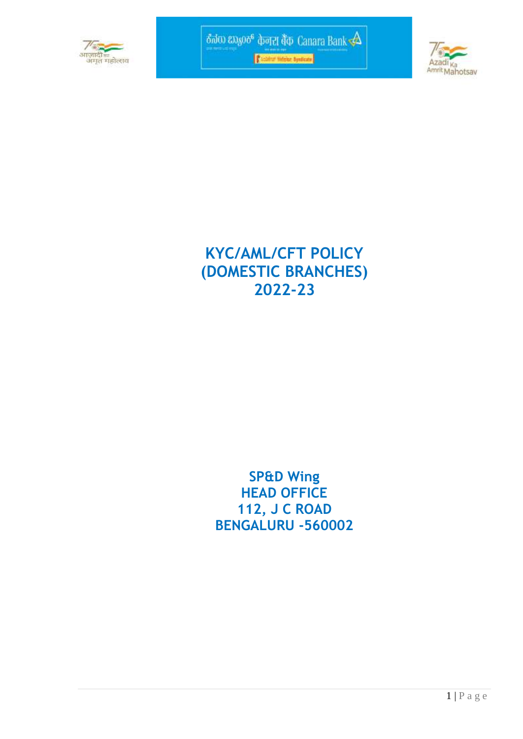



# **KYC/AML/CFT POLICY (DOMESTIC BRANCHES) 2022-23**

## **SP&D Wing HEAD OFFICE 112, J C ROAD BENGALURU -560002**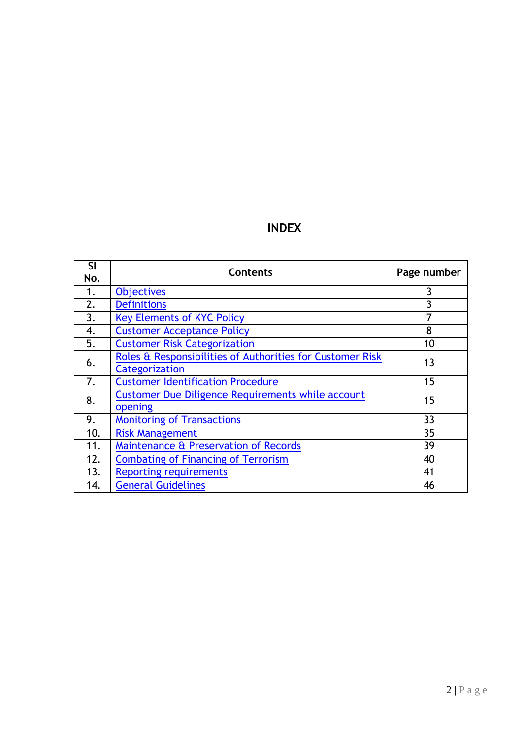## **INDEX**

| SI<br>No. | <b>Contents</b>                                                             | Page number |
|-----------|-----------------------------------------------------------------------------|-------------|
| 1.        | <b>Objectives</b>                                                           | 3           |
| 2.        | <b>Definitions</b>                                                          | 3           |
| 3.        | <b>Key Elements of KYC Policy</b>                                           | 7           |
| 4.        | <b>Customer Acceptance Policy</b>                                           | 8           |
| 5.        | <b>Customer Risk Categorization</b>                                         | 10          |
| 6.        | Roles & Responsibilities of Authorities for Customer Risk<br>Categorization | 13          |
| 7.        | <b>Customer Identification Procedure</b>                                    | 15          |
| 8.        | Customer Due Diligence Requirements while account<br>opening                | 15          |
| 9.        | <b>Monitoring of Transactions</b>                                           | 33          |
| 10.       | <b>Risk Management</b>                                                      | 35          |
| 11.       | Maintenance & Preservation of Records                                       | 39          |
| 12.       | <b>Combating of Financing of Terrorism</b>                                  | 40          |
| 13.       | <b>Reporting requirements</b>                                               | 41          |
| 14.       | <b>General Guidelines</b>                                                   | 46          |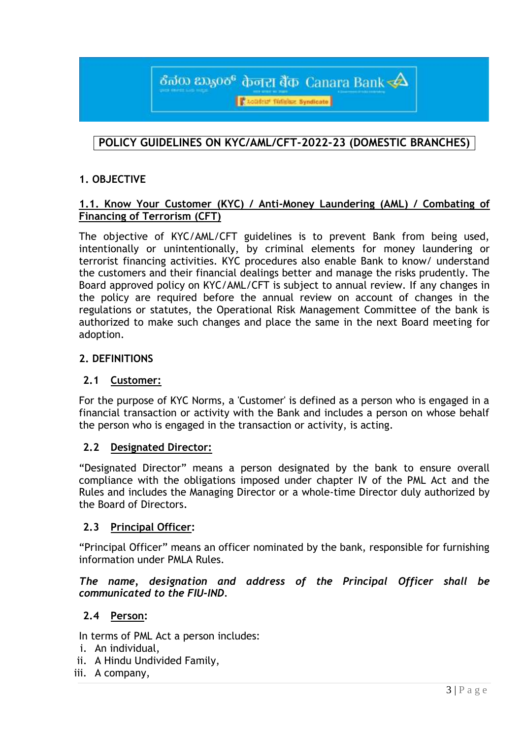ठீलेक हफ़्रुल्ह केनरा बैंक Canara Bank  $\triangle$ **CLOBELY TERRINE Syndicate** 

## **POLICY GUIDELINES ON KYC/AML/CFT-2022-23 (DOMESTIC BRANCHES)**

#### <span id="page-2-0"></span>**1. OBJECTIVE**

#### **1.1. Know Your Customer (KYC) / Anti-Money Laundering (AML) / Combating of Financing of Terrorism (CFT)**

The objective of KYC/AML/CFT guidelines is to prevent Bank from being used, intentionally or unintentionally, by criminal elements for money laundering or terrorist financing activities. KYC procedures also enable Bank to know/ understand the customers and their financial dealings better and manage the risks prudently. The Board approved policy on KYC/AML/CFT is subject to annual review. If any changes in the policy are required before the annual review on account of changes in the regulations or statutes, the Operational Risk Management Committee of the bank is authorized to make such changes and place the same in the next Board meeting for adoption.

#### <span id="page-2-1"></span>**2. DEFINITIONS**

#### **2.1 Customer:**

For the purpose of KYC Norms, a 'Customer' is defined as a person who is engaged in a financial transaction or activity with the Bank and includes a person on whose behalf the person who is engaged in the transaction or activity, is acting.

#### **2.2 Designated Director:**

"Designated Director" means a person designated by the bank to ensure overall compliance with the obligations imposed under chapter IV of the PML Act and the Rules and includes the Managing Director or a whole-time Director duly authorized by the Board of Directors*.*

#### **2.3 Principal Officer:**

"Principal Officer" means an officer nominated by the bank, responsible for furnishing information under PMLA Rules.

#### *The name, designation and address of the Principal Officer shall be communicated to the FIU-IND.*

#### **2.4 Person:**

In terms of PML Act a person includes:

- i. An individual,
- ii. A Hindu Undivided Family,
- iii. A company,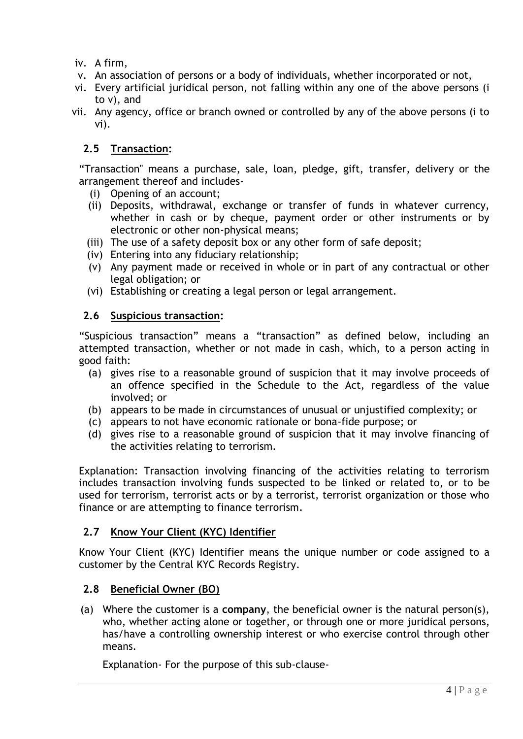iv. A firm,

- v. An association of persons or a body of individuals, whether incorporated or not,
- vi. Every artificial juridical person, not falling within any one of the above persons (i to v), and
- vii. Any agency, office or branch owned or controlled by any of the above persons (i to vi).

## **2.5 Transaction:**

"Transaction" means a purchase, sale, loan, pledge, gift, transfer, delivery or the arrangement thereof and includes-

- (i) Opening of an account;
- (ii) Deposits, withdrawal, exchange or transfer of funds in whatever currency, whether in cash or by cheque, payment order or other instruments or by electronic or other non-physical means;
- (iii) The use of a safety deposit box or any other form of safe deposit;
- (iv) Entering into any fiduciary relationship;
- (v) Any payment made or received in whole or in part of any contractual or other legal obligation; or
- (vi) Establishing or creating a legal person or legal arrangement.

## **2.6 Suspicious transaction:**

"Suspicious transaction" means a "transaction" as defined below, including an attempted transaction, whether or not made in cash, which, to a person acting in good faith:

- (a) gives rise to a reasonable ground of suspicion that it may involve proceeds of an offence specified in the Schedule to the Act, regardless of the value involved; or
- (b) appears to be made in circumstances of unusual or unjustified complexity; or
- (c) appears to not have economic rationale or bona-fide purpose; or
- (d) gives rise to a reasonable ground of suspicion that it may involve financing of the activities relating to terrorism.

Explanation: Transaction involving financing of the activities relating to terrorism includes transaction involving funds suspected to be linked or related to, or to be used for terrorism, terrorist acts or by a terrorist, terrorist organization or those who finance or are attempting to finance terrorism*.*

## **2.7 Know Your Client (KYC) Identifier**

Know Your Client (KYC) Identifier means the unique number or code assigned to a customer by the Central KYC Records Registry.

## **2.8 Beneficial Owner (BO)**

(a) Where the customer is a **company**, the beneficial owner is the natural person(s), who, whether acting alone or together, or through one or more juridical persons, has/have a controlling ownership interest or who exercise control through other means.

Explanation- For the purpose of this sub-clause-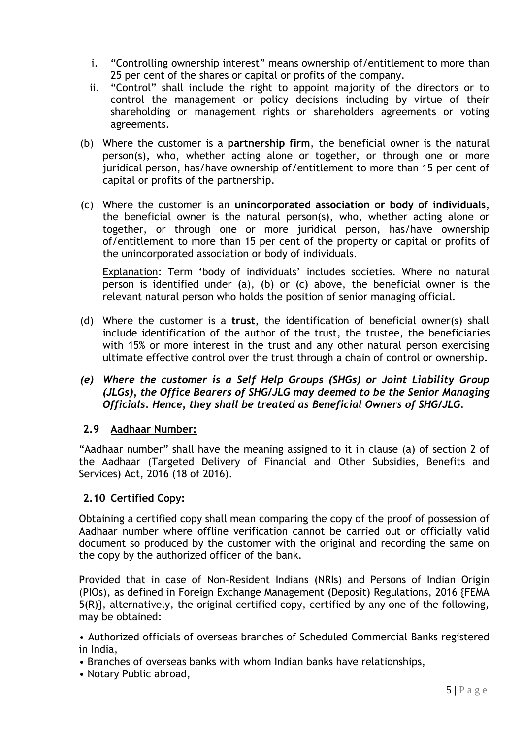- i. "Controlling ownership interest" means ownership of/entitlement to more than 25 per cent of the shares or capital or profits of the company.
- ii. "Control" shall include the right to appoint majority of the directors or to control the management or policy decisions including by virtue of their shareholding or management rights or shareholders agreements or voting agreements.
- (b) Where the customer is a **partnership firm**, the beneficial owner is the natural person(s), who, whether acting alone or together, or through one or more juridical person, has/have ownership of/entitlement to more than 15 per cent of capital or profits of the partnership.
- (c) Where the customer is an **unincorporated association or body of individuals**, the beneficial owner is the natural person(s), who, whether acting alone or together, or through one or more juridical person, has/have ownership of/entitlement to more than 15 per cent of the property or capital or profits of the unincorporated association or body of individuals.

Explanation: Term 'body of individuals' includes societies. Where no natural person is identified under (a), (b) or (c) above, the beneficial owner is the relevant natural person who holds the position of senior managing official.

- (d) Where the customer is a **trust**, the identification of beneficial owner(s) shall include identification of the author of the trust, the trustee, the beneficiaries with 15% or more interest in the trust and any other natural person exercising ultimate effective control over the trust through a chain of control or ownership.
- *(e) Where the customer is a Self Help Groups (SHGs) or Joint Liability Group (JLGs), the Office Bearers of SHG/JLG may deemed to be the Senior Managing Officials. Hence, they shall be treated as Beneficial Owners of SHG/JLG.*

## **2.9 Aadhaar Number:**

"Aadhaar number" shall have the meaning assigned to it in clause (a) of section 2 of the Aadhaar (Targeted Delivery of Financial and Other Subsidies, Benefits and Services) Act, 2016 (18 of 2016).

## **2.10 Certified Copy:**

Obtaining a certified copy shall mean comparing the copy of the proof of possession of Aadhaar number where offline verification cannot be carried out or officially valid document so produced by the customer with the original and recording the same on the copy by the authorized officer of the bank.

Provided that in case of Non-Resident Indians (NRIs) and Persons of Indian Origin (PIOs), as defined in Foreign Exchange Management (Deposit) Regulations, 2016 {FEMA 5(R)}, alternatively, the original certified copy, certified by any one of the following, may be obtained:

• Authorized officials of overseas branches of Scheduled Commercial Banks registered in India,

- Branches of overseas banks with whom Indian banks have relationships,
- Notary Public abroad,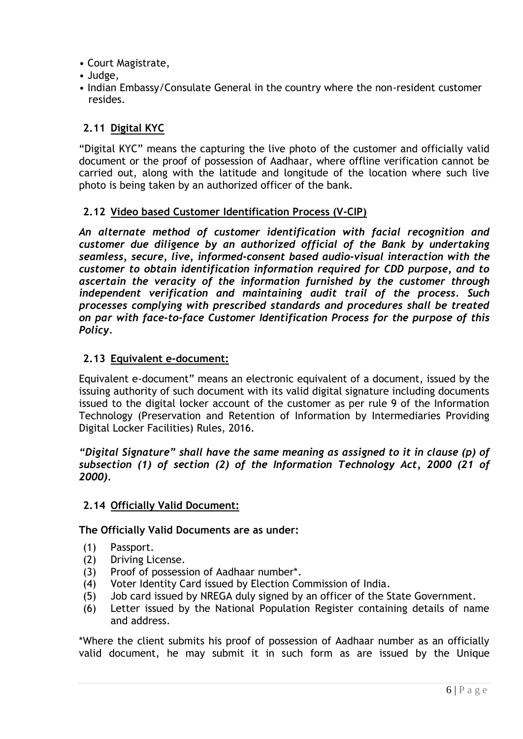- Court Magistrate,
- Judge,
- Indian Embassy/Consulate General in the country where the non-resident customer resides.

## **2.11 Digital KYC**

"Digital KYC" means the capturing the live photo of the customer and officially valid document or the proof of possession of Aadhaar, where offline verification cannot be carried out, along with the latitude and longitude of the location where such live photo is being taken by an authorized officer of the bank.

## **2.12 Video based Customer Identification Process (V-CIP)**

*An alternate method of customer identification with facial recognition and customer due diligence by an authorized official of the Bank by undertaking seamless, secure, live, informed-consent based audio-visual interaction with the customer to obtain identification information required for CDD purpose, and to ascertain the veracity of the information furnished by the customer through independent verification and maintaining audit trail of the process. Such processes complying with prescribed standards and procedures shall be treated on par with face-to-face Customer Identification Process for the purpose of this Policy.*

## **2.13 Equivalent e-document:**

Equivalent e-document" means an electronic equivalent of a document, issued by the issuing authority of such document with its valid digital signature including documents issued to the digital locker account of the customer as per rule 9 of the Information Technology (Preservation and Retention of Information by Intermediaries Providing Digital Locker Facilities) Rules, 2016.

*"Digital Signature" shall have the same meaning as assigned to it in clause (p) of subsection (1) of section (2) of the Information Technology Act, 2000 (21 of 2000).*

## **2.14 Officially Valid Document:**

#### **The Officially Valid Documents are as under:**

- (1) Passport.
- (2) Driving License.
- (3) Proof of possession of Aadhaar number\*.
- (4) Voter Identity Card issued by Election Commission of India.
- (5) Job card issued by NREGA duly signed by an officer of the State Government.
- (6) Letter issued by the National Population Register containing details of name and address.

\*Where the client submits his proof of possession of Aadhaar number as an officially valid document, he may submit it in such form as are issued by the Unique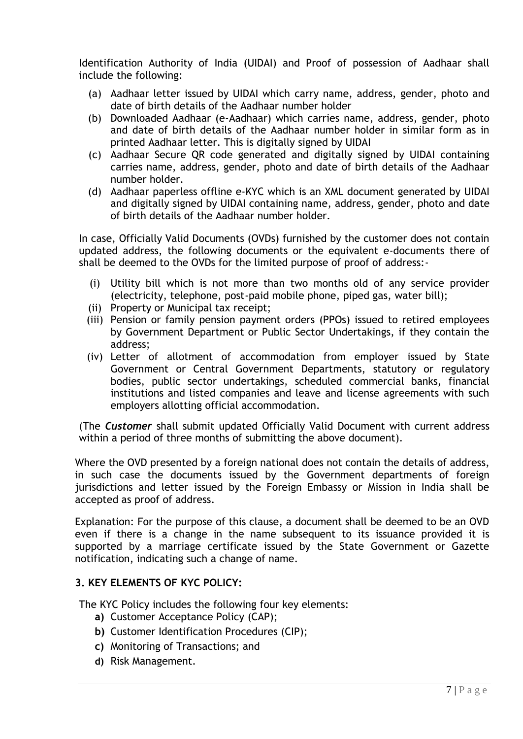Identification Authority of India (UIDAI) and Proof of possession of Aadhaar shall include the following:

- (a) Aadhaar letter issued by UIDAI which carry name, address, gender, photo and date of birth details of the Aadhaar number holder
- (b) Downloaded Aadhaar (e-Aadhaar) which carries name, address, gender, photo and date of birth details of the Aadhaar number holder in similar form as in printed Aadhaar letter. This is digitally signed by UIDAI
- (c) Aadhaar Secure QR code generated and digitally signed by UIDAI containing carries name, address, gender, photo and date of birth details of the Aadhaar number holder.
- (d) Aadhaar paperless offline e-KYC which is an XML document generated by UIDAI and digitally signed by UIDAI containing name, address, gender, photo and date of birth details of the Aadhaar number holder.

In case, Officially Valid Documents (OVDs) furnished by the customer does not contain updated address, the following documents or the equivalent e-documents there of shall be deemed to the OVDs for the limited purpose of proof of address:-

- (i) Utility bill which is not more than two months old of any service provider (electricity, telephone, post-paid mobile phone, piped gas, water bill);
- (ii) Property or Municipal tax receipt;
- (iii) Pension or family pension payment orders (PPOs) issued to retired employees by Government Department or Public Sector Undertakings, if they contain the address;
- (iv) Letter of allotment of accommodation from employer issued by State Government or Central Government Departments, statutory or regulatory bodies, public sector undertakings, scheduled commercial banks, financial institutions and listed companies and leave and license agreements with such employers allotting official accommodation.

(The *Customer* shall submit updated Officially Valid Document with current address within a period of three months of submitting the above document).

Where the OVD presented by a foreign national does not contain the details of address, in such case the documents issued by the Government departments of foreign jurisdictions and letter issued by the Foreign Embassy or Mission in India shall be accepted as proof of address.

Explanation: For the purpose of this clause, a document shall be deemed to be an OVD even if there is a change in the name subsequent to its issuance provided it is supported by a marriage certificate issued by the State Government or Gazette notification, indicating such a change of name.

## <span id="page-6-0"></span>**3. KEY ELEMENTS OF KYC POLICY:**

The KYC Policy includes the following four key elements:

- **a)** Customer Acceptance Policy (CAP);
- **b)** Customer Identification Procedures (CIP);
- **c)** Monitoring of Transactions; and
- **d)** Risk Management.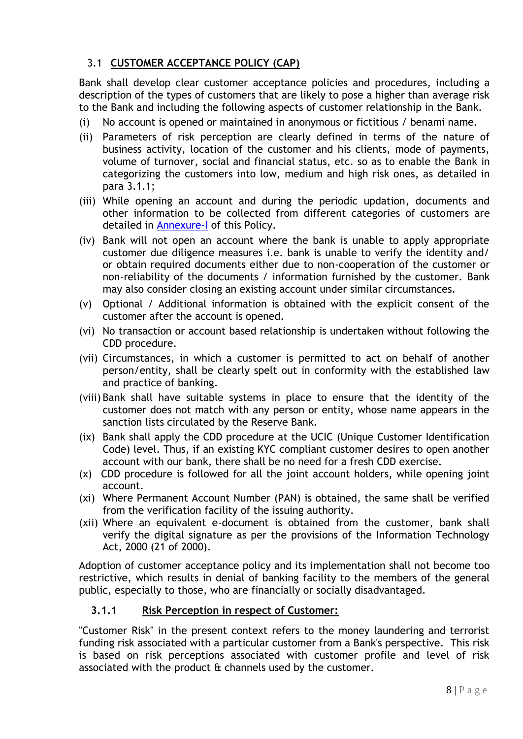## <span id="page-7-0"></span>3.1 **CUSTOMER ACCEPTANCE POLICY (CAP)**

Bank shall develop clear customer acceptance policies and procedures, including a description of the types of customers that are likely to pose a higher than average risk to the Bank and including the following aspects of customer relationship in the Bank.

- (i) No account is opened or maintained in anonymous or fictitious / benami name.
- (ii) Parameters of risk perception are clearly defined in terms of the nature of business activity, location of the customer and his clients, mode of payments, volume of turnover, social and financial status, etc. so as to enable the Bank in categorizing the customers into low, medium and high risk ones, as detailed in para 3.1.1;
- (iii) While opening an account and during the periodic updation, documents and other information to be collected from different categories of customers are detailed in [Annexure-I](#page-50-0) of this Policy.
- (iv) Bank will not open an account where the bank is unable to apply appropriate customer due diligence measures i.e. bank is unable to verify the identity and/ or obtain required documents either due to non-cooperation of the customer or non-reliability of the documents / information furnished by the customer. Bank may also consider closing an existing account under similar circumstances.
- (v) Optional / Additional information is obtained with the explicit consent of the customer after the account is opened.
- (vi) No transaction or account based relationship is undertaken without following the CDD procedure.
- (vii) Circumstances, in which a customer is permitted to act on behalf of another person/entity, shall be clearly spelt out in conformity with the established law and practice of banking.
- (viii) Bank shall have suitable systems in place to ensure that the identity of the customer does not match with any person or entity, whose name appears in the sanction lists circulated by the Reserve Bank.
- (ix) Bank shall apply the CDD procedure at the UCIC (Unique Customer Identification Code) level. Thus, if an existing KYC compliant customer desires to open another account with our bank, there shall be no need for a fresh CDD exercise.
- (x) CDD procedure is followed for all the joint account holders, while opening joint account.
- (xi) Where Permanent Account Number (PAN) is obtained, the same shall be verified from the verification facility of the issuing authority.
- (xii) Where an equivalent e-document is obtained from the customer, bank shall verify the digital signature as per the provisions of the Information Technology Act, 2000 (21 of 2000).

Adoption of customer acceptance policy and its implementation shall not become too restrictive, which results in denial of banking facility to the members of the general public, especially to those, who are financially or socially disadvantaged.

## **3.1.1 Risk Perception in respect of Customer:**

"Customer Risk" in the present context refers to the money laundering and terrorist funding risk associated with a particular customer from a Bank's perspective. This risk is based on risk perceptions associated with customer profile and level of risk associated with the product & channels used by the customer.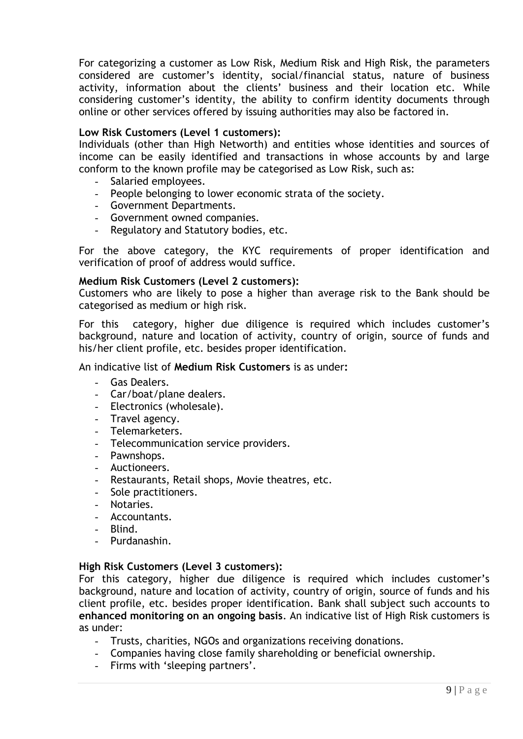For categorizing a customer as Low Risk, Medium Risk and High Risk, the parameters considered are customer"s identity, social/financial status, nature of business activity, information about the clients' business and their location etc. While considering customer"s identity, the ability to confirm identity documents through online or other services offered by issuing authorities may also be factored in.

#### **Low Risk Customers (Level 1 customers):**

Individuals (other than High Networth) and entities whose identities and sources of income can be easily identified and transactions in whose accounts by and large conform to the known profile may be categorised as Low Risk, such as:

- Salaried employees.
- People belonging to lower economic strata of the society.
- Government Departments.
- Government owned companies.
- Regulatory and Statutory bodies, etc.

For the above category, the KYC requirements of proper identification and verification of proof of address would suffice.

#### **Medium Risk Customers (Level 2 customers):**

Customers who are likely to pose a higher than average risk to the Bank should be categorised as medium or high risk.

For this category, higher due diligence is required which includes customer's background, nature and location of activity, country of origin, source of funds and his/her client profile, etc. besides proper identification.

#### An indicative list of **Medium Risk Customers** is as under**:**

- Gas Dealers.
- Car/boat/plane dealers.
- Electronics (wholesale).
- Travel agency.
- Telemarketers.
- Telecommunication service providers.
- Pawnshops.
- Auctioneers.
- Restaurants, Retail shops, Movie theatres, etc.
- Sole practitioners.
- Notaries.
- Accountants.
- Blind.
- Purdanashin.

#### **High Risk Customers (Level 3 customers):**

For this category, higher due diligence is required which includes customer"s background, nature and location of activity, country of origin, source of funds and his client profile, etc. besides proper identification. Bank shall subject such accounts to **enhanced monitoring on an ongoing basis**. An indicative list of High Risk customers is as under:

- Trusts, charities, NGOs and organizations receiving donations.
- Companies having close family shareholding or beneficial ownership.
- Firms with 'sleeping partners'.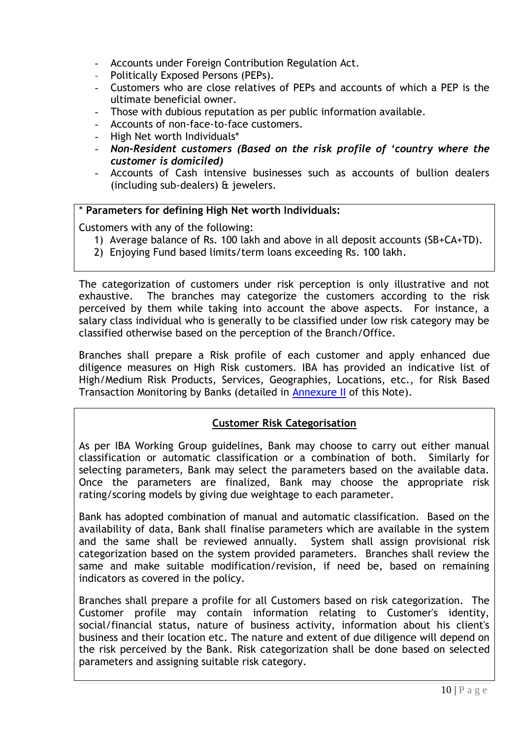- Accounts under Foreign Contribution Regulation Act.
- Politically Exposed Persons (PEPs).
- Customers who are close relatives of PEPs and accounts of which a PEP is the ultimate beneficial owner.
- Those with dubious reputation as per public information available.
- Accounts of non-face-to-face customers.
- High Net worth Individuals\*
- *Non-Resident customers (Based on the risk profile of "country where the customer is domiciled)*
- Accounts of Cash intensive businesses such as accounts of bullion dealers (including sub-dealers) & jewelers.

#### \* **Parameters for defining High Net worth Individuals:**

Customers with any of the following:

- 1) Average balance of Rs. 100 lakh and above in all deposit accounts (SB+CA+TD).
- 2) Enjoying Fund based limits/term loans exceeding Rs. 100 lakh*.*

The categorization of customers under risk perception is only illustrative and not exhaustive. The branches may categorize the customers according to the risk perceived by them while taking into account the above aspects. For instance, a salary class individual who is generally to be classified under low risk category may be classified otherwise based on the perception of the Branch/Office.

Branches shall prepare a Risk profile of each customer and apply enhanced due diligence measures on High Risk customers. IBA has provided an indicative list of High/Medium Risk Products, Services, Geographies, Locations, etc., for Risk Based Transaction Monitoring by Banks (detailed in [Annexure II](#page-55-0) of this Note).

## **Customer Risk Categorisation**

<span id="page-9-0"></span>As per IBA Working Group guidelines, Bank may choose to carry out either manual classification or automatic classification or a combination of both. Similarly for selecting parameters, Bank may select the parameters based on the available data. Once the parameters are finalized, Bank may choose the appropriate risk rating/scoring models by giving due weightage to each parameter.

Bank has adopted combination of manual and automatic classification. Based on the availability of data, Bank shall finalise parameters which are available in the system and the same shall be reviewed annually. System shall assign provisional risk categorization based on the system provided parameters. Branches shall review the same and make suitable modification/revision, if need be, based on remaining indicators as covered in the policy.

Branches shall prepare a profile for all Customers based on risk categorization. The Customer profile may contain information relating to Customer's identity, social/financial status, nature of business activity, information about his client's business and their location etc. The nature and extent of due diligence will depend on the risk perceived by the Bank. Risk categorization shall be done based on selected parameters and assigning suitable risk category.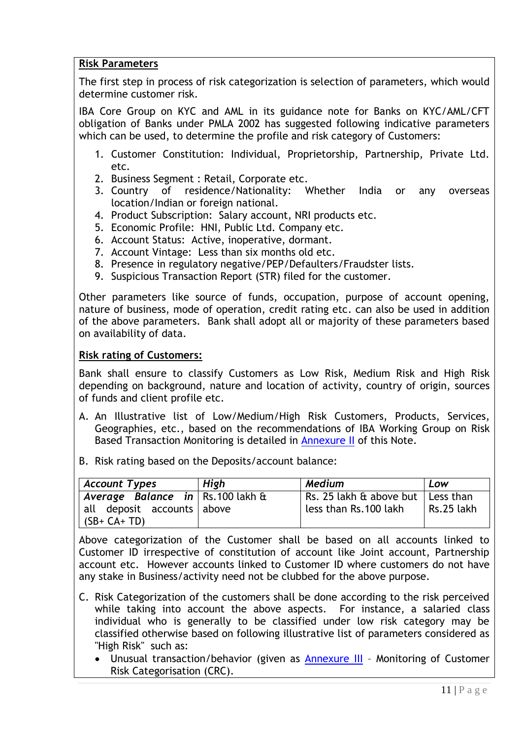## **Risk Parameters**

The first step in process of risk categorization is selection of parameters, which would determine customer risk.

IBA Core Group on KYC and AML in its guidance note for Banks on KYC/AML/CFT obligation of Banks under PMLA 2002 has suggested following indicative parameters which can be used, to determine the profile and risk category of Customers:

- 1. Customer Constitution: Individual, Proprietorship, Partnership, Private Ltd. etc.
- 2. Business Segment : Retail, Corporate etc.
- 3. Country of residence/Nationality: Whether India or any overseas location/Indian or foreign national.
- 4. Product Subscription: Salary account, NRI products etc.
- 5. Economic Profile: HNI, Public Ltd. Company etc.
- 6. Account Status: Active, inoperative, dormant.
- 7. Account Vintage: Less than six months old etc.
- 8. Presence in regulatory negative/PEP/Defaulters/Fraudster lists.
- 9. Suspicious Transaction Report (STR) filed for the customer.

Other parameters like source of funds, occupation, purpose of account opening, nature of business, mode of operation, credit rating etc. can also be used in addition of the above parameters. Bank shall adopt all or majority of these parameters based on availability of data.

#### **Risk rating of Customers:**

Bank shall ensure to classify Customers as Low Risk, Medium Risk and High Risk depending on background, nature and location of activity, country of origin, sources of funds and client profile etc.

- A. An Illustrative list of Low/Medium/High Risk Customers, Products, Services, Geographies, etc., based on the recommendations of IBA Working Group on Risk Based Transaction Monitoring is detailed in [Annexure II](#page-55-0) of this Note.
- B. Risk rating based on the Deposits/account balance:

| <b>Account Types</b>                                                           | High | Medium                                                       | Low        |
|--------------------------------------------------------------------------------|------|--------------------------------------------------------------|------------|
| Average Balance in Rs.100 lakh &<br>all deposit accounts above<br>$(SB+CA+TD)$ |      | Rs. 25 lakh & above but   Less than<br>less than Rs.100 lakh | Rs.25 lakh |

Above categorization of the Customer shall be based on all accounts linked to Customer ID irrespective of constitution of account like Joint account, Partnership account etc. However accounts linked to Customer ID where customers do not have any stake in Business/activity need not be clubbed for the above purpose.

- C. Risk Categorization of the customers shall be done according to the risk perceived while taking into account the above aspects. For instance, a salaried class individual who is generally to be classified under low risk category may be classified otherwise based on following illustrative list of parameters considered as "High Risk" such as:
	- Unusual transaction/behavior (given as [Annexure III](#page-61-0) Monitoring of Customer Risk Categorisation (CRC).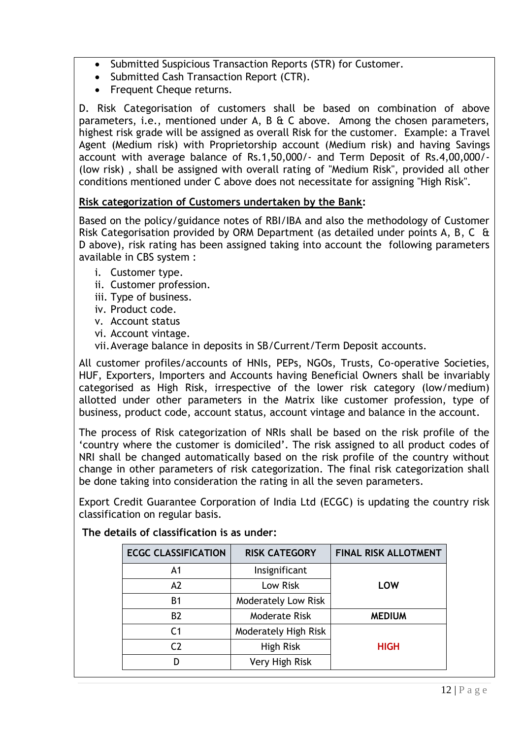- Submitted Suspicious Transaction Reports (STR) for Customer.
- Submitted Cash Transaction Report (CTR).
- Frequent Cheque returns.

D*.* Risk Categorisation of customers shall be based on combination of above parameters, i.e., mentioned under A, B & C above. Among the chosen parameters, highest risk grade will be assigned as overall Risk for the customer. Example: a Travel Agent (Medium risk) with Proprietorship account (Medium risk) and having Savings account with average balance of Rs.1,50,000/- and Term Deposit of Rs.4,00,000/- (low risk) , shall be assigned with overall rating of "Medium Risk", provided all other conditions mentioned under C above does not necessitate for assigning "High Risk".

## **Risk categorization of Customers undertaken by the Bank:**

Based on the policy/guidance notes of RBI/IBA and also the methodology of Customer Risk Categorisation provided by ORM Department (as detailed under points A, B, C & D above), risk rating has been assigned taking into account the following parameters available in CBS system :

- i. Customer type.
- ii. Customer profession.
- iii. Type of business.
- iv. Product code.
- v. Account status
- vi. Account vintage.
- vii.Average balance in deposits in SB/Current/Term Deposit accounts.

All customer profiles/accounts of HNIs, PEPs, NGOs, Trusts, Co-operative Societies, HUF, Exporters, Importers and Accounts having Beneficial Owners shall be invariably categorised as High Risk, irrespective of the lower risk category (low/medium) allotted under other parameters in the Matrix like customer profession, type of business, product code, account status, account vintage and balance in the account.

The process of Risk categorization of NRIs shall be based on the risk profile of the "country where the customer is domiciled". The risk assigned to all product codes of NRI shall be changed automatically based on the risk profile of the country without change in other parameters of risk categorization. The final risk categorization shall be done taking into consideration the rating in all the seven parameters.

Export Credit Guarantee Corporation of India Ltd (ECGC) is updating the country risk classification on regular basis.

| <b>ECGC CLASSIFICATION</b> | <b>RISK CATEGORY</b> | <b>FINAL RISK ALLOTMENT</b> |
|----------------------------|----------------------|-----------------------------|
| A <sub>1</sub>             | Insignificant        |                             |
| A2                         | Low Risk             | LOW                         |
| <b>B1</b>                  | Moderately Low Risk  |                             |
| B <sub>2</sub>             | Moderate Risk        | <b>MEDIUM</b>               |
| C <sub>1</sub>             | Moderately High Risk |                             |
| C <sub>2</sub>             | High Risk            | <b>HIGH</b>                 |
| D                          | Very High Risk       |                             |

**The details of classification is as under:**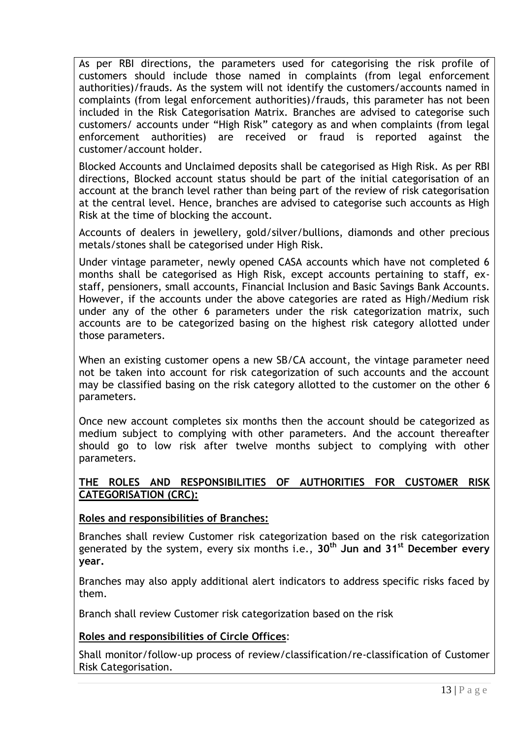As per RBI directions, the parameters used for categorising the risk profile of customers should include those named in complaints (from legal enforcement authorities)/frauds. As the system will not identify the customers/accounts named in complaints (from legal enforcement authorities)/frauds, this parameter has not been included in the Risk Categorisation Matrix. Branches are advised to categorise such customers/ accounts under "High Risk" category as and when complaints (from legal enforcement authorities) are received or fraud is reported against the customer/account holder.

Blocked Accounts and Unclaimed deposits shall be categorised as High Risk. As per RBI directions, Blocked account status should be part of the initial categorisation of an account at the branch level rather than being part of the review of risk categorisation at the central level. Hence, branches are advised to categorise such accounts as High Risk at the time of blocking the account.

Accounts of dealers in jewellery, gold/silver/bullions, diamonds and other precious metals/stones shall be categorised under High Risk.

Under vintage parameter, newly opened CASA accounts which have not completed 6 months shall be categorised as High Risk, except accounts pertaining to staff, exstaff, pensioners, small accounts, Financial Inclusion and Basic Savings Bank Accounts. However, if the accounts under the above categories are rated as High/Medium risk under any of the other 6 parameters under the risk categorization matrix, such accounts are to be categorized basing on the highest risk category allotted under those parameters.

When an existing customer opens a new SB/CA account, the vintage parameter need not be taken into account for risk categorization of such accounts and the account may be classified basing on the risk category allotted to the customer on the other 6 parameters.

Once new account completes six months then the account should be categorized as medium subject to complying with other parameters. And the account thereafter should go to low risk after twelve months subject to complying with other parameters.

#### <span id="page-12-0"></span>**THE ROLES AND RESPONSIBILITIES OF AUTHORITIES FOR CUSTOMER RISK CATEGORISATION (CRC):**

#### **Roles and responsibilities of Branches:**

Branches shall review Customer risk categorization based on the risk categorization generated by the system, every six months i.e., **30th Jun and 31st December every year.**

Branches may also apply additional alert indicators to address specific risks faced by them.

Branch shall review Customer risk categorization based on the risk

## **Roles and responsibilities of Circle Offices**:

Shall monitor/follow-up process of review/classification/re-classification of Customer Risk Categorisation.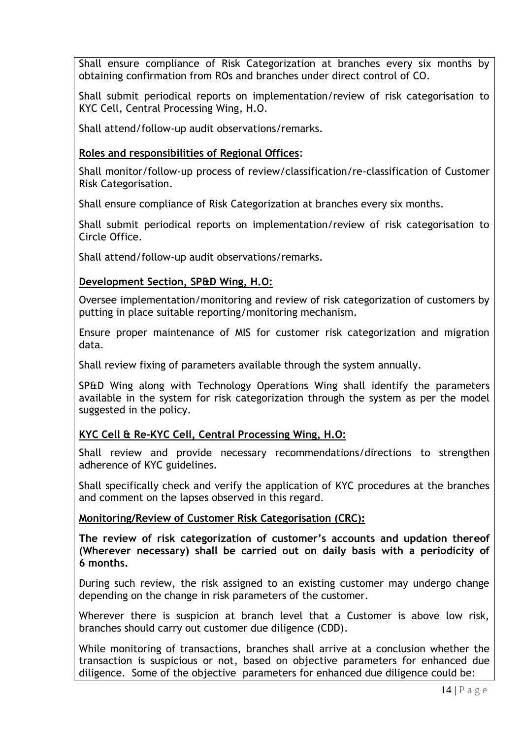Shall ensure compliance of Risk Categorization at branches every six months by obtaining confirmation from ROs and branches under direct control of CO.

Shall submit periodical reports on implementation/review of risk categorisation to KYC Cell, Central Processing Wing, H.O.

Shall attend/follow-up audit observations/remarks.

#### **Roles and responsibilities of Regional Offices**:

Shall monitor/follow-up process of review/classification/re-classification of Customer Risk Categorisation.

Shall ensure compliance of Risk Categorization at branches every six months.

Shall submit periodical reports on implementation/review of risk categorisation to Circle Office.

Shall attend/follow-up audit observations/remarks.

#### **Development Section, SP&D Wing, H.O:**

Oversee implementation/monitoring and review of risk categorization of customers by putting in place suitable reporting/monitoring mechanism.

Ensure proper maintenance of MIS for customer risk categorization and migration data.

Shall review fixing of parameters available through the system annually.

SP&D Wing along with Technology Operations Wing shall identify the parameters available in the system for risk categorization through the system as per the model suggested in the policy.

## **KYC Cell & Re-KYC Cell, Central Processing Wing, H.O:**

Shall review and provide necessary recommendations/directions to strengthen adherence of KYC guidelines.

Shall specifically check and verify the application of KYC procedures at the branches and comment on the lapses observed in this regard*.*

#### **Monitoring/Review of Customer Risk Categorisation (CRC):**

**The review of risk categorization of customer"s accounts and updation thereof (Wherever necessary) shall be carried out on daily basis with a periodicity of 6 months.** 

During such review, the risk assigned to an existing customer may undergo change depending on the change in risk parameters of the customer.

Wherever there is suspicion at branch level that a Customer is above low risk, branches should carry out customer due diligence (CDD).

While monitoring of transactions, branches shall arrive at a conclusion whether the transaction is suspicious or not, based on objective parameters for enhanced due diligence. Some of the objective parameters for enhanced due diligence could be: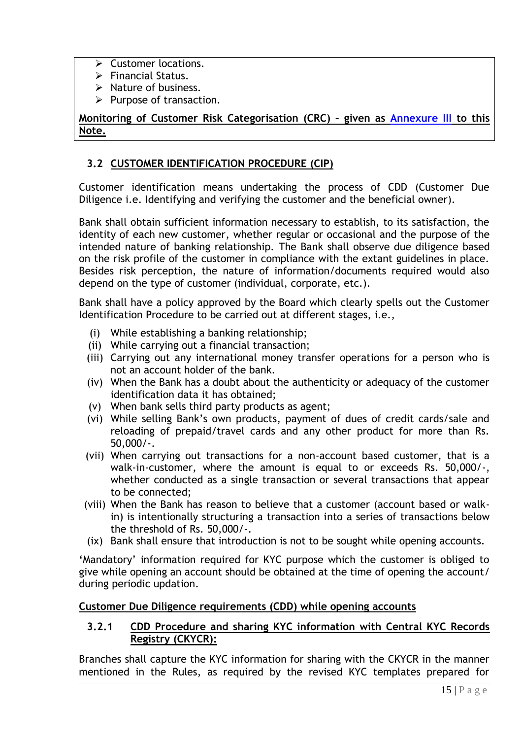- $\triangleright$  Customer locations.
- $\triangleright$  Financial Status.
- $\triangleright$  Nature of business.
- $\triangleright$  Purpose of transaction.

**Monitoring of Customer Risk Categorisation (CRC) – given as [Annexure III](#page-61-0) to this Note.**

## <span id="page-14-0"></span>**3.2 CUSTOMER IDENTIFICATION PROCEDURE (CIP)**

Customer identification means undertaking the process of CDD (Customer Due Diligence i.e. Identifying and verifying the customer and the beneficial owner).

Bank shall obtain sufficient information necessary to establish, to its satisfaction, the identity of each new customer, whether regular or occasional and the purpose of the intended nature of banking relationship. The Bank shall observe due diligence based on the risk profile of the customer in compliance with the extant guidelines in place. Besides risk perception, the nature of information/documents required would also depend on the type of customer (individual, corporate, etc.).

Bank shall have a policy approved by the Board which clearly spells out the Customer Identification Procedure to be carried out at different stages, i.e.,

- (i) While establishing a banking relationship;
- (ii) While carrying out a financial transaction;
- (iii) Carrying out any international money transfer operations for a person who is not an account holder of the bank.
- (iv) When the Bank has a doubt about the authenticity or adequacy of the customer identification data it has obtained;
- (v) When bank sells third party products as agent;
- (vi) While selling Bank"s own products, payment of dues of credit cards/sale and reloading of prepaid/travel cards and any other product for more than Rs. 50,000/-.
- (vii) When carrying out transactions for a non-account based customer, that is a walk-in-customer, where the amount is equal to or exceeds Rs. 50,000/-, whether conducted as a single transaction or several transactions that appear to be connected;
- (viii) When the Bank has reason to believe that a customer (account based or walkin) is intentionally structuring a transaction into a series of transactions below the threshold of Rs. 50,000/-.
- (ix) Bank shall ensure that introduction is not to be sought while opening accounts.

**"**Mandatory" information required for KYC purpose which the customer is obliged to give while opening an account should be obtained at the time of opening the account/ during periodic updation.

#### <span id="page-14-1"></span>**Customer Due Diligence requirements (CDD) while opening accounts**

#### **3.2.1 CDD Procedure and sharing KYC information with Central KYC Records Registry (CKYCR):**

Branches shall capture the KYC information for sharing with the CKYCR in the manner mentioned in the Rules, as required by the revised KYC templates prepared for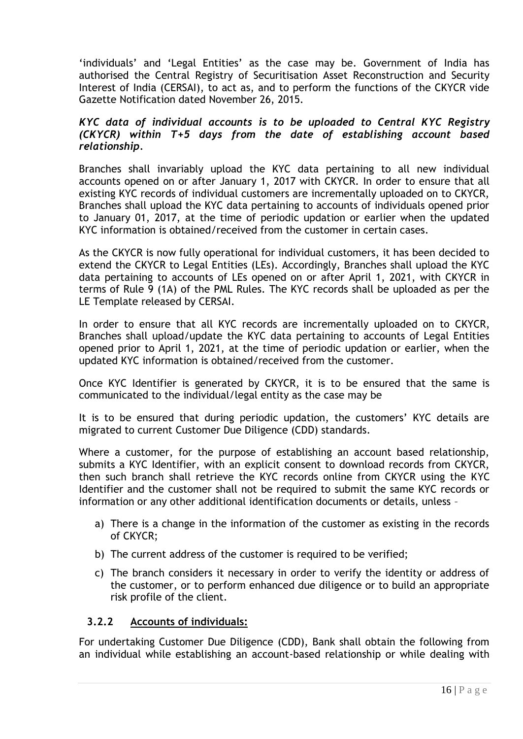"individuals" and "Legal Entities" as the case may be. Government of India has authorised the Central Registry of Securitisation Asset Reconstruction and Security Interest of India (CERSAI), to act as, and to perform the functions of the CKYCR vide Gazette Notification dated November 26, 2015.

#### *KYC data of individual accounts is to be uploaded to Central KYC Registry (CKYCR) within T+5 days from the date of establishing account based relationship.*

Branches shall invariably upload the KYC data pertaining to all new individual accounts opened on or after January 1, 2017 with CKYCR. In order to ensure that all existing KYC records of individual customers are incrementally uploaded on to CKYCR, Branches shall upload the KYC data pertaining to accounts of individuals opened prior to January 01, 2017, at the time of periodic updation or earlier when the updated KYC information is obtained/received from the customer in certain cases.

As the CKYCR is now fully operational for individual customers, it has been decided to extend the CKYCR to Legal Entities (LEs). Accordingly, Branches shall upload the KYC data pertaining to accounts of LEs opened on or after April 1, 2021, with CKYCR in terms of Rule 9 (1A) of the PML Rules. The KYC records shall be uploaded as per the LE Template released by CERSAI.

In order to ensure that all KYC records are incrementally uploaded on to CKYCR, Branches shall upload/update the KYC data pertaining to accounts of Legal Entities opened prior to April 1, 2021, at the time of periodic updation or earlier, when the updated KYC information is obtained/received from the customer.

Once KYC Identifier is generated by CKYCR, it is to be ensured that the same is communicated to the individual/legal entity as the case may be

It is to be ensured that during periodic updation, the customers' KYC details are migrated to current Customer Due Diligence (CDD) standards.

Where a customer, for the purpose of establishing an account based relationship, submits a KYC Identifier, with an explicit consent to download records from CKYCR, then such branch shall retrieve the KYC records online from CKYCR using the KYC Identifier and the customer shall not be required to submit the same KYC records or information or any other additional identification documents or details, unless –

- a) There is a change in the information of the customer as existing in the records of CKYCR;
- b) The current address of the customer is required to be verified;
- c) The branch considers it necessary in order to verify the identity or address of the customer, or to perform enhanced due diligence or to build an appropriate risk profile of the client.

#### **3.2.2 Accounts of individuals:**

For undertaking Customer Due Diligence (CDD), Bank shall obtain the following from an individual while establishing an account-based relationship or while dealing with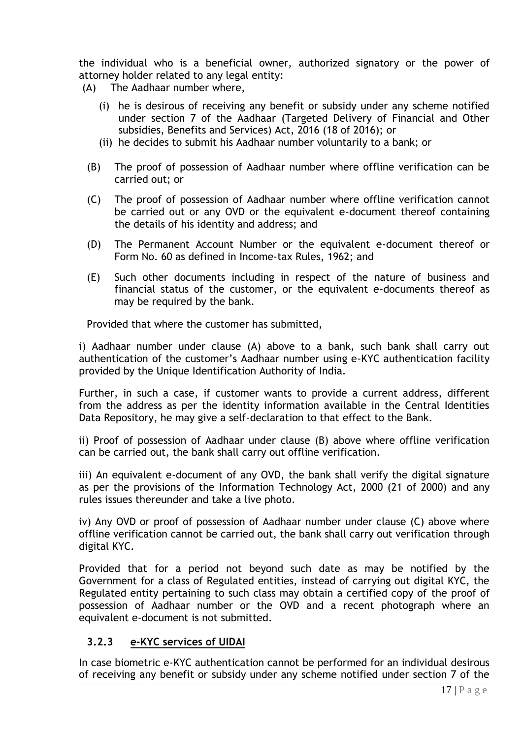the individual who is a beneficial owner, authorized signatory or the power of attorney holder related to any legal entity:

- (A) The Aadhaar number where,
	- (i) he is desirous of receiving any benefit or subsidy under any scheme notified under section 7 of the Aadhaar (Targeted Delivery of Financial and Other subsidies, Benefits and Services) Act, 2016 (18 of 2016); or
	- (ii) he decides to submit his Aadhaar number voluntarily to a bank; or
	- (B) The proof of possession of Aadhaar number where offline verification can be carried out; or
	- (C) The proof of possession of Aadhaar number where offline verification cannot be carried out or any OVD or the equivalent e-document thereof containing the details of his identity and address; and
	- (D) The Permanent Account Number or the equivalent e-document thereof or Form No. 60 as defined in Income-tax Rules, 1962; and
	- (E) Such other documents including in respect of the nature of business and financial status of the customer, or the equivalent e-documents thereof as may be required by the bank.

Provided that where the customer has submitted,

i) Aadhaar number under clause (A) above to a bank, such bank shall carry out authentication of the customer"s Aadhaar number using e-KYC authentication facility provided by the Unique Identification Authority of India.

Further, in such a case, if customer wants to provide a current address, different from the address as per the identity information available in the Central Identities Data Repository, he may give a self-declaration to that effect to the Bank.

ii) Proof of possession of Aadhaar under clause (B) above where offline verification can be carried out, the bank shall carry out offline verification.

iii) An equivalent e-document of any OVD, the bank shall verify the digital signature as per the provisions of the Information Technology Act, 2000 (21 of 2000) and any rules issues thereunder and take a live photo.

iv) Any OVD or proof of possession of Aadhaar number under clause (C) above where offline verification cannot be carried out, the bank shall carry out verification through digital KYC.

Provided that for a period not beyond such date as may be notified by the Government for a class of Regulated entities, instead of carrying out digital KYC, the Regulated entity pertaining to such class may obtain a certified copy of the proof of possession of Aadhaar number or the OVD and a recent photograph where an equivalent e-document is not submitted.

## **3.2.3 e-KYC services of UIDAI**

In case biometric e-KYC authentication cannot be performed for an individual desirous of receiving any benefit or subsidy under any scheme notified under section 7 of the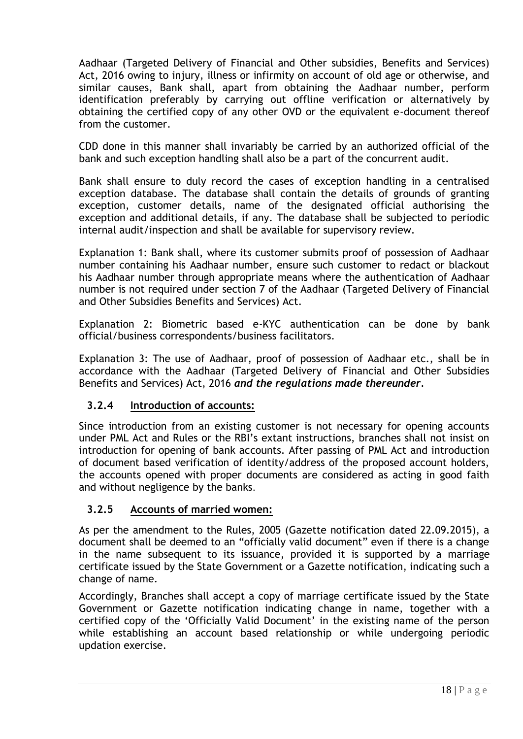Aadhaar (Targeted Delivery of Financial and Other subsidies, Benefits and Services) Act, 2016 owing to injury, illness or infirmity on account of old age or otherwise, and similar causes, Bank shall, apart from obtaining the Aadhaar number, perform identification preferably by carrying out offline verification or alternatively by obtaining the certified copy of any other OVD or the equivalent e-document thereof from the customer.

CDD done in this manner shall invariably be carried by an authorized official of the bank and such exception handling shall also be a part of the concurrent audit.

Bank shall ensure to duly record the cases of exception handling in a centralised exception database. The database shall contain the details of grounds of granting exception, customer details, name of the designated official authorising the exception and additional details, if any. The database shall be subjected to periodic internal audit/inspection and shall be available for supervisory review.

Explanation 1: Bank shall, where its customer submits proof of possession of Aadhaar number containing his Aadhaar number, ensure such customer to redact or blackout his Aadhaar number through appropriate means where the authentication of Aadhaar number is not required under section 7 of the Aadhaar (Targeted Delivery of Financial and Other Subsidies Benefits and Services) Act.

Explanation 2: Biometric based e-KYC authentication can be done by bank official/business correspondents/business facilitators.

Explanation 3: The use of Aadhaar, proof of possession of Aadhaar etc., shall be in accordance with the Aadhaar (Targeted Delivery of Financial and Other Subsidies Benefits and Services) Act, 2016 *and the regulations made thereunder.*

## **3.2.4 Introduction of accounts:**

Since introduction from an existing customer is not necessary for opening accounts under PML Act and Rules or the RBI"s extant instructions, branches shall not insist on introduction for opening of bank accounts. After passing of PML Act and introduction of document based verification of identity/address of the proposed account holders, the accounts opened with proper documents are considered as acting in good faith and without negligence by the banks.

## **3.2.5 Accounts of married women:**

As per the amendment to the Rules, 2005 (Gazette notification dated 22.09.2015), a document shall be deemed to an "officially valid document" even if there is a change in the name subsequent to its issuance, provided it is supported by a marriage certificate issued by the State Government or a Gazette notification, indicating such a change of name.

Accordingly, Branches shall accept a copy of marriage certificate issued by the State Government or Gazette notification indicating change in name, together with a certified copy of the "Officially Valid Document" in the existing name of the person while establishing an account based relationship or while undergoing periodic updation exercise.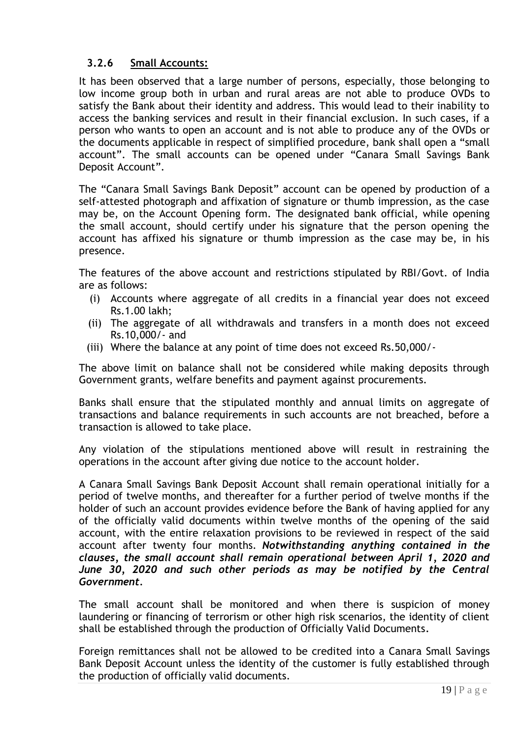## **3.2.6 Small Accounts:**

It has been observed that a large number of persons, especially, those belonging to low income group both in urban and rural areas are not able to produce OVDs to satisfy the Bank about their identity and address. This would lead to their inability to access the banking services and result in their financial exclusion. In such cases, if a person who wants to open an account and is not able to produce any of the OVDs or the documents applicable in respect of simplified procedure, bank shall open a "small account". The small accounts can be opened under "Canara Small Savings Bank Deposit Account".

The "Canara Small Savings Bank Deposit" account can be opened by production of a self-attested photograph and affixation of signature or thumb impression, as the case may be, on the Account Opening form. The designated bank official, while opening the small account, should certify under his signature that the person opening the account has affixed his signature or thumb impression as the case may be, in his presence.

The features of the above account and restrictions stipulated by RBI/Govt. of India are as follows:

- (i) Accounts where aggregate of all credits in a financial year does not exceed Rs.1.00 lakh;
- (ii) The aggregate of all withdrawals and transfers in a month does not exceed Rs.10,000/- and
- (iii) Where the balance at any point of time does not exceed Rs.50,000/-

The above limit on balance shall not be considered while making deposits through Government grants, welfare benefits and payment against procurements.

Banks shall ensure that the stipulated monthly and annual limits on aggregate of transactions and balance requirements in such accounts are not breached, before a transaction is allowed to take place.

Any violation of the stipulations mentioned above will result in restraining the operations in the account after giving due notice to the account holder.

A Canara Small Savings Bank Deposit Account shall remain operational initially for a period of twelve months, and thereafter for a further period of twelve months if the holder of such an account provides evidence before the Bank of having applied for any of the officially valid documents within twelve months of the opening of the said account, with the entire relaxation provisions to be reviewed in respect of the said account after twenty four months. *Notwithstanding anything contained in the clauses, the small account shall remain operational between April 1, 2020 and June 30, 2020 and such other periods as may be notified by the Central Government.*

The small account shall be monitored and when there is suspicion of money laundering or financing of terrorism or other high risk scenarios, the identity of client shall be established through the production of Officially Valid Documents*.*

Foreign remittances shall not be allowed to be credited into a Canara Small Savings Bank Deposit Account unless the identity of the customer is fully established through the production of officially valid documents.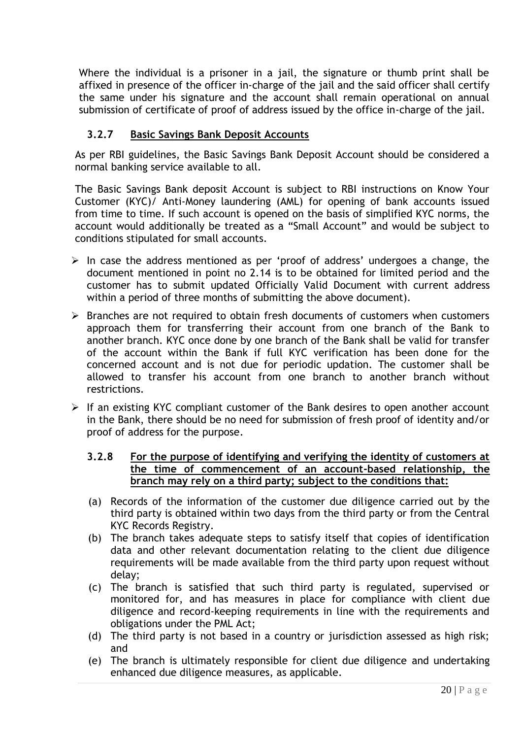Where the individual is a prisoner in a jail, the signature or thumb print shall be affixed in presence of the officer in-charge of the jail and the said officer shall certify the same under his signature and the account shall remain operational on annual submission of certificate of proof of address issued by the office in-charge of the jail.

## **3.2.7 Basic Savings Bank Deposit Accounts**

As per RBI guidelines, the Basic Savings Bank Deposit Account should be considered a normal banking service available to all.

The Basic Savings Bank deposit Account is subject to RBI instructions on Know Your Customer (KYC)/ Anti-Money laundering (AML) for opening of bank accounts issued from time to time. If such account is opened on the basis of simplified KYC norms, the account would additionally be treated as a "Small Account" and would be subject to conditions stipulated for small accounts.

- $\triangleright$  In case the address mentioned as per 'proof of address' undergoes a change, the document mentioned in point no 2.14 is to be obtained for limited period and the customer has to submit updated Officially Valid Document with current address within a period of three months of submitting the above document).
- $\triangleright$  Branches are not required to obtain fresh documents of customers when customers approach them for transferring their account from one branch of the Bank to another branch. KYC once done by one branch of the Bank shall be valid for transfer of the account within the Bank if full KYC verification has been done for the concerned account and is not due for periodic updation. The customer shall be allowed to transfer his account from one branch to another branch without restrictions.
- $\triangleright$  If an existing KYC compliant customer of the Bank desires to open another account in the Bank, there should be no need for submission of fresh proof of identity and/or proof of address for the purpose.

#### **3.2.8 For the purpose of identifying and verifying the identity of customers at the time of commencement of an account-based relationship, the branch may rely on a third party; subject to the conditions that:**

- (a) Records of the information of the customer due diligence carried out by the third party is obtained within two days from the third party or from the Central KYC Records Registry.
- (b) The branch takes adequate steps to satisfy itself that copies of identification data and other relevant documentation relating to the client due diligence requirements will be made available from the third party upon request without delay;
- (c) The branch is satisfied that such third party is regulated, supervised or monitored for, and has measures in place for compliance with client due diligence and record-keeping requirements in line with the requirements and obligations under the PML Act;
- (d) The third party is not based in a country or jurisdiction assessed as high risk; and
- (e) The branch is ultimately responsible for client due diligence and undertaking enhanced due diligence measures, as applicable.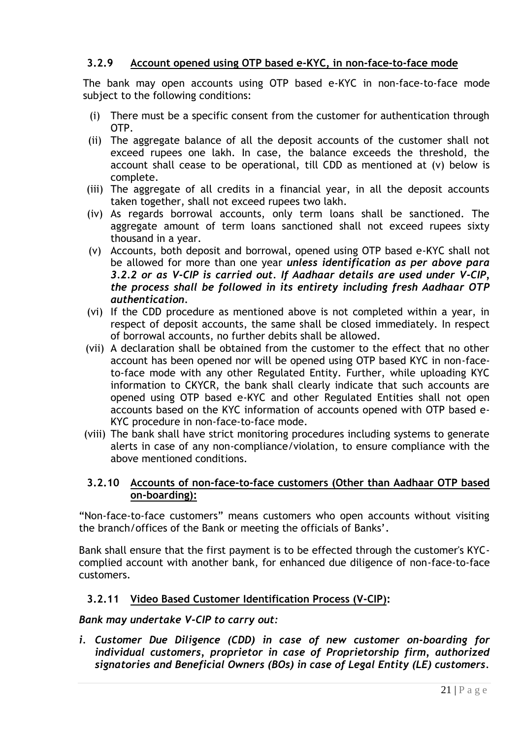## **3.2.9 Account opened using OTP based e-KYC, in non-face-to-face mode**

The bank may open accounts using OTP based e-KYC in non-face-to-face mode subject to the following conditions:

- (i) There must be a specific consent from the customer for authentication through OTP.
- (ii) The aggregate balance of all the deposit accounts of the customer shall not exceed rupees one lakh. In case, the balance exceeds the threshold, the account shall cease to be operational, till CDD as mentioned at (v) below is complete.
- (iii) The aggregate of all credits in a financial year, in all the deposit accounts taken together, shall not exceed rupees two lakh.
- (iv) As regards borrowal accounts, only term loans shall be sanctioned. The aggregate amount of term loans sanctioned shall not exceed rupees sixty thousand in a year.
- (v) Accounts, both deposit and borrowal, opened using OTP based e-KYC shall not be allowed for more than one year *unless identification as per above para 3.2.2 or as V-CIP is carried out. If Aadhaar details are used under V-CIP, the process shall be followed in its entirety including fresh Aadhaar OTP authentication.*
- (vi) If the CDD procedure as mentioned above is not completed within a year, in respect of deposit accounts, the same shall be closed immediately. In respect of borrowal accounts, no further debits shall be allowed.
- (vii) A declaration shall be obtained from the customer to the effect that no other account has been opened nor will be opened using OTP based KYC in non-faceto-face mode with any other Regulated Entity. Further, while uploading KYC information to CKYCR, the bank shall clearly indicate that such accounts are opened using OTP based e-KYC and other Regulated Entities shall not open accounts based on the KYC information of accounts opened with OTP based e-KYC procedure in non-face-to-face mode.
- (viii) The bank shall have strict monitoring procedures including systems to generate alerts in case of any non-compliance/violation, to ensure compliance with the above mentioned conditions.

#### **3.2.10 Accounts of non-face-to-face customers (Other than Aadhaar OTP based on-boarding):**

"Non-face-to-face customers" means customers who open accounts without visiting the branch/offices of the Bank or meeting the officials of Banks"*.*

Bank shall ensure that the first payment is to be effected through the customer's KYCcomplied account with another bank, for enhanced due diligence of non-face-to-face customers.

## **3.2.11 Video Based Customer Identification Process (V-CIP):**

*Bank may undertake V-CIP to carry out:*

*i. Customer Due Diligence (CDD) in case of new customer on-boarding for individual customers, proprietor in case of Proprietorship firm, authorized signatories and Beneficial Owners (BOs) in case of Legal Entity (LE) customers.*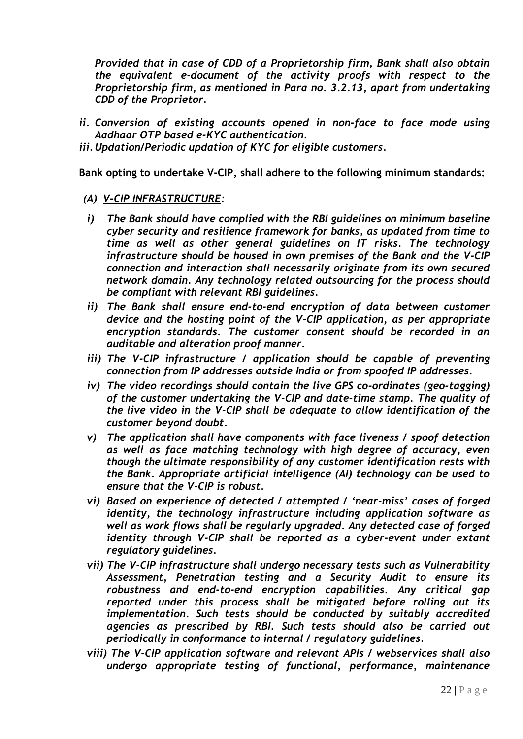*Provided that in case of CDD of a Proprietorship firm, Bank shall also obtain the equivalent e-document of the activity proofs with respect to the Proprietorship firm, as mentioned in Para no. 3.2.13, apart from undertaking CDD of the Proprietor.*

- *ii. Conversion of existing accounts opened in non-face to face mode using Aadhaar OTP based e-KYC authentication.*
- *iii.Updation/Periodic updation of KYC for eligible customers.*

**Bank opting to undertake V-CIP, shall adhere to the following minimum standards:**

- *(A) V-CIP INFRASTRUCTURE:*
- *i) The Bank should have complied with the RBI guidelines on minimum baseline cyber security and resilience framework for banks, as updated from time to time as well as other general guidelines on IT risks. The technology infrastructure should be housed in own premises of the Bank and the V-CIP connection and interaction shall necessarily originate from its own secured network domain. Any technology related outsourcing for the process should be compliant with relevant RBI guidelines.*
- *ii) The Bank shall ensure end-to-end encryption of data between customer device and the hosting point of the V-CIP application, as per appropriate encryption standards. The customer consent should be recorded in an auditable and alteration proof manner.*
- *iii) The V-CIP infrastructure / application should be capable of preventing connection from IP addresses outside India or from spoofed IP addresses.*
- *iv) The video recordings should contain the live GPS co-ordinates (geo-tagging) of the customer undertaking the V-CIP and date-time stamp. The quality of the live video in the V-CIP shall be adequate to allow identification of the customer beyond doubt.*
- *v) The application shall have components with face liveness / spoof detection as well as face matching technology with high degree of accuracy, even though the ultimate responsibility of any customer identification rests with the Bank. Appropriate artificial intelligence (AI) technology can be used to ensure that the V-CIP is robust.*
- *vi) Based on experience of detected / attempted / "near-miss" cases of forged identity, the technology infrastructure including application software as well as work flows shall be regularly upgraded. Any detected case of forged identity through V-CIP shall be reported as a cyber-event under extant regulatory guidelines.*
- *vii) The V-CIP infrastructure shall undergo necessary tests such as Vulnerability Assessment, Penetration testing and a Security Audit to ensure its robustness and end-to-end encryption capabilities. Any critical gap reported under this process shall be mitigated before rolling out its implementation. Such tests should be conducted by suitably accredited agencies as prescribed by RBI. Such tests should also be carried out periodically in conformance to internal / regulatory guidelines.*
- *viii) The V-CIP application software and relevant APIs / webservices shall also undergo appropriate testing of functional, performance, maintenance*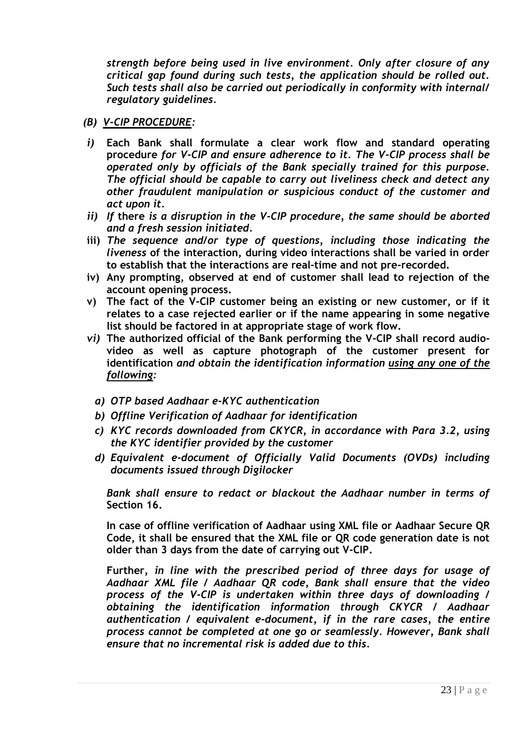*strength before being used in live environment. Only after closure of any critical gap found during such tests, the application should be rolled out. Such tests shall also be carried out periodically in conformity with internal/ regulatory guidelines.*

- *(B) V-CIP PROCEDURE:*
- *i)* **Each Bank shall formulate a clear work flow and standard operating procedure** *for V-CIP and ensure adherence to it. The V-CIP process shall be operated only by officials of the Bank specially trained for this purpose. The official should be capable to carry out liveliness check and detect any other fraudulent manipulation or suspicious conduct of the customer and act upon it.*
- *ii) If* **there** *is a disruption in the V-CIP procedure, the same should be aborted and a fresh session initiated.*
- **iii)** *The sequence and/or type of questions, including those indicating the liveness* **of the interaction, during video interactions shall be varied in order to establish that the interactions are real-time and not pre-recorded.**
- **iv) Any prompting, observed at end of customer shall lead to rejection of the account opening process.**
- **v) The fact of the V-CIP customer being an existing or new customer, or if it relates to a case rejected earlier or if the name appearing in some negative list should be factored in at appropriate stage of work flow.**
- *vi)* **The authorized official of the Bank performing the V-CIP shall record audiovideo as well as capture photograph of the customer present for identification** *and obtain the identification information using any one of the following:*
	- *a) OTP based Aadhaar e-KYC authentication*
	- *b) Offline Verification of Aadhaar for identification*
	- *c) KYC records downloaded from CKYCR, in accordance with Para 3.2, using the KYC identifier provided by the customer*
	- *d) Equivalent e-document of Officially Valid Documents (OVDs) including documents issued through Digilocker*

*Bank shall ensure to redact or blackout the Aadhaar number in terms of*  **Section 16.**

**In case of offline verification of Aadhaar using XML file or Aadhaar Secure QR Code, it shall be ensured that the XML file or QR code generation date is not older than 3 days from the date of carrying out V-CIP.**

**Further***, in line with the prescribed period of three days for usage of Aadhaar XML file / Aadhaar QR code, Bank shall ensure that the video process of the V-CIP is undertaken within three days of downloading / obtaining the identification information through CKYCR / Aadhaar authentication / equivalent e-document, if in the rare cases, the entire process cannot be completed at one go or seamlessly. However, Bank shall ensure that no incremental risk is added due to this.*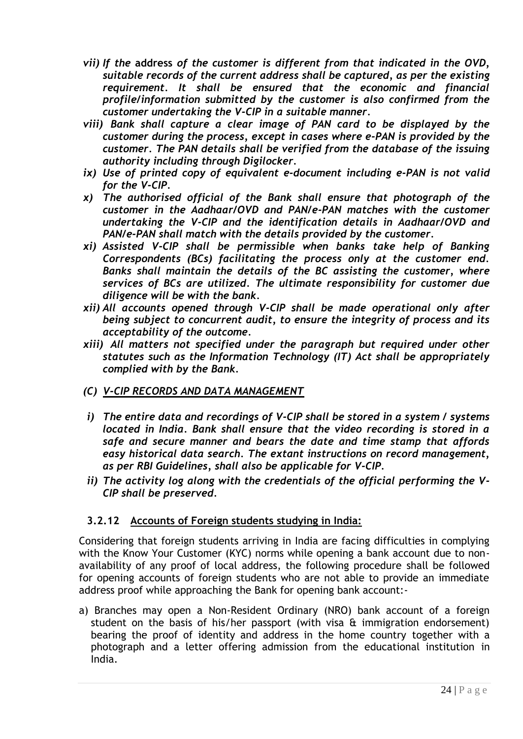- *vii) If the* **address** *of the customer is different from that indicated in the OVD, suitable records of the current address shall be captured, as per the existing requirement. It shall be ensured that the economic and financial profile/information submitted by the customer is also confirmed from the customer undertaking the V-CIP in a suitable manner.*
- *viii) Bank shall capture a clear image of PAN card to be displayed by the customer during the process, except in cases where e-PAN is provided by the customer. The PAN details shall be verified from the database of the issuing authority including through Digilocker.*
- *ix) Use of printed copy of equivalent e-document including e-PAN is not valid for the V-CIP.*
- *x) The authorised official of the Bank shall ensure that photograph of the customer in the Aadhaar/OVD and PAN/e-PAN matches with the customer undertaking the V-CIP and the identification details in Aadhaar/OVD and PAN/e-PAN shall match with the details provided by the customer.*
- *xi) Assisted V-CIP shall be permissible when banks take help of Banking Correspondents (BCs) facilitating the process only at the customer end. Banks shall maintain the details of the BC assisting the customer, where services of BCs are utilized. The ultimate responsibility for customer due diligence will be with the bank.*
- *xii) All accounts opened through V-CIP shall be made operational only after being subject to concurrent audit, to ensure the integrity of process and its acceptability of the outcome.*
- *xiii) All matters not specified under the paragraph but required under other statutes such as the Information Technology (IT) Act shall be appropriately complied with by the Bank.*
- *(C) V-CIP RECORDS AND DATA MANAGEMENT*
- *i) The entire data and recordings of V-CIP shall be stored in a system / systems located in India. Bank shall ensure that the video recording is stored in a safe and secure manner and bears the date and time stamp that affords easy historical data search. The extant instructions on record management, as per RBI Guidelines, shall also be applicable for V-CIP.*
- *ii) The activity log along with the credentials of the official performing the V-CIP shall be preserved.*

## **3.2.12 Accounts of Foreign students studying in India:**

Considering that foreign students arriving in India are facing difficulties in complying with the Know Your Customer (KYC) norms while opening a bank account due to nonavailability of any proof of local address, the following procedure shall be followed for opening accounts of foreign students who are not able to provide an immediate address proof while approaching the Bank for opening bank account:-

a) Branches may open a Non-Resident Ordinary (NRO) bank account of a foreign student on the basis of his/her passport (with visa  $\alpha$  immigration endorsement) bearing the proof of identity and address in the home country together with a photograph and a letter offering admission from the educational institution in India.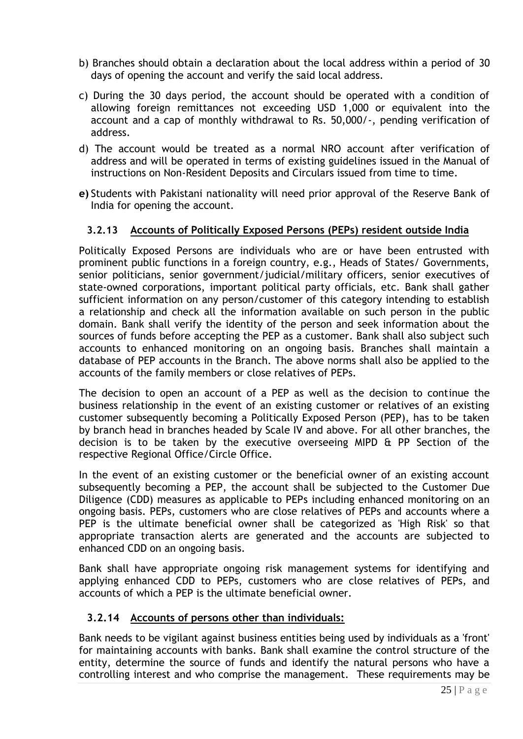- b) Branches should obtain a declaration about the local address within a period of 30 days of opening the account and verify the said local address.
- c) During the 30 days period, the account should be operated with a condition of allowing foreign remittances not exceeding USD 1,000 or equivalent into the account and a cap of monthly withdrawal to Rs. 50,000/-, pending verification of address.
- d) The account would be treated as a normal NRO account after verification of address and will be operated in terms of existing guidelines issued in the Manual of instructions on Non-Resident Deposits and Circulars issued from time to time.
- **e)** Students with Pakistani nationality will need prior approval of the Reserve Bank of India for opening the account.

#### **3.2.13 Accounts of Politically Exposed Persons (PEPs) resident outside India**

Politically Exposed Persons are individuals who are or have been entrusted with prominent public functions in a foreign country, e.g., Heads of States/ Governments, senior politicians, senior government/judicial/military officers, senior executives of state-owned corporations, important political party officials, etc. Bank shall gather sufficient information on any person/customer of this category intending to establish a relationship and check all the information available on such person in the public domain. Bank shall verify the identity of the person and seek information about the sources of funds before accepting the PEP as a customer. Bank shall also subject such accounts to enhanced monitoring on an ongoing basis. Branches shall maintain a database of PEP accounts in the Branch. The above norms shall also be applied to the accounts of the family members or close relatives of PEPs.

The decision to open an account of a PEP as well as the decision to continue the business relationship in the event of an existing customer or relatives of an existing customer subsequently becoming a Politically Exposed Person (PEP), has to be taken by branch head in branches headed by Scale IV and above. For all other branches, the decision is to be taken by the executive overseeing MIPD & PP Section of the respective Regional Office/Circle Office.

In the event of an existing customer or the beneficial owner of an existing account subsequently becoming a PEP, the account shall be subjected to the Customer Due Diligence (CDD) measures as applicable to PEPs including enhanced monitoring on an ongoing basis. PEPs, customers who are close relatives of PEPs and accounts where a PEP is the ultimate beneficial owner shall be categorized as 'High Risk' so that appropriate transaction alerts are generated and the accounts are subjected to enhanced CDD on an ongoing basis.

Bank shall have appropriate ongoing risk management systems for identifying and applying enhanced CDD to PEPs, customers who are close relatives of PEPs, and accounts of which a PEP is the ultimate beneficial owner.

#### **3.2.14 Accounts of persons other than individuals:**

Bank needs to be vigilant against business entities being used by individuals as a 'front' for maintaining accounts with banks. Bank shall examine the control structure of the entity, determine the source of funds and identify the natural persons who have a controlling interest and who comprise the management. These requirements may be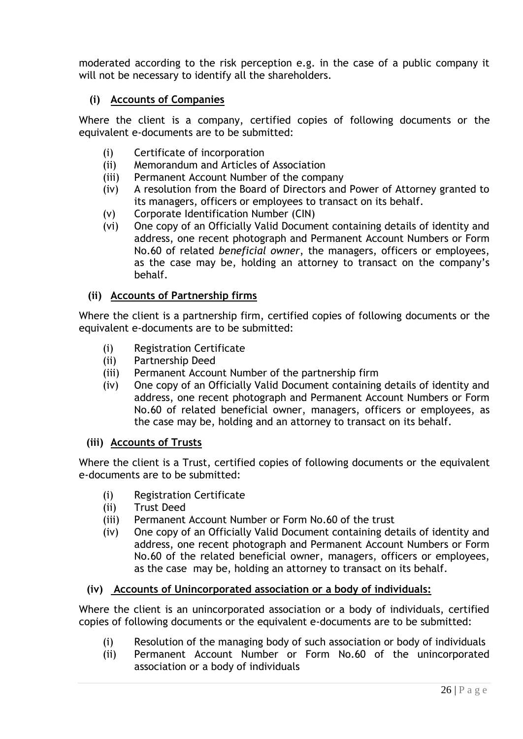moderated according to the risk perception e.g. in the case of a public company it will not be necessary to identify all the shareholders.

## **(i) Accounts of Companies**

Where the client is a company, certified copies of following documents or the equivalent e-documents are to be submitted:

- (i) Certificate of incorporation
- (ii) Memorandum and Articles of Association
- (iii) Permanent Account Number of the company
- (iv) A resolution from the Board of Directors and Power of Attorney granted to its managers, officers or employees to transact on its behalf.
- (v) Corporate Identification Number (CIN)
- (vi) One copy of an Officially Valid Document containing details of identity and address, one recent photograph and Permanent Account Numbers or Form No.60 of related *beneficial owner*, the managers, officers or employees, as the case may be, holding an attorney to transact on the company"s behalf.

#### **(ii) Accounts of Partnership firms**

Where the client is a partnership firm, certified copies of following documents or the equivalent e-documents are to be submitted:

- (i) Registration Certificate
- (ii) Partnership Deed
- (iii) Permanent Account Number of the partnership firm
- (iv) One copy of an Officially Valid Document containing details of identity and address, one recent photograph and Permanent Account Numbers or Form No.60 of related beneficial owner, managers, officers or employees, as the case may be, holding and an attorney to transact on its behalf.

#### **(iii) Accounts of Trusts**

Where the client is a Trust, certified copies of following documents or the equivalent e-documents are to be submitted:

- (i) Registration Certificate
- (ii) Trust Deed
- (iii) Permanent Account Number or Form No.60 of the trust
- (iv) One copy of an Officially Valid Document containing details of identity and address, one recent photograph and Permanent Account Numbers or Form No.60 of the related beneficial owner, managers, officers or employees, as the case may be, holding an attorney to transact on its behalf.

#### **(iv) Accounts of Unincorporated association or a body of individuals:**

Where the client is an unincorporated association or a body of individuals, certified copies of following documents or the equivalent e-documents are to be submitted:

- (i) Resolution of the managing body of such association or body of individuals
- (ii) Permanent Account Number or Form No.60 of the unincorporated association or a body of individuals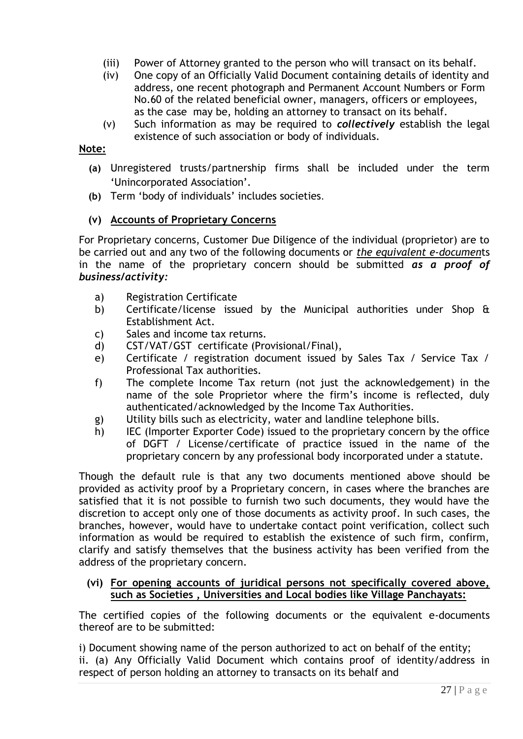- (iii) Power of Attorney granted to the person who will transact on its behalf.
- (iv) One copy of an Officially Valid Document containing details of identity and address, one recent photograph and Permanent Account Numbers or Form No.60 of the related beneficial owner, managers, officers or employees, as the case may be, holding an attorney to transact on its behalf.
- (v) Such information as may be required to *collectively* establish the legal existence of such association or body of individuals.

#### **Note:**

- **(a)** Unregistered trusts/partnership firms shall be included under the term 'Unincorporated Association'.
- **(b)** Term "body of individuals" includes societies.

#### **(v) Accounts of Proprietary Concerns**

For Proprietary concerns, Customer Due Diligence of the individual (proprietor) are to be carried out and any two of the following documents or *the equivalent e-documen*ts in the name of the proprietary concern should be submitted *as a proof of business/activity:*

- a) Registration Certificate
- b) Certificate/license issued by the Municipal authorities under Shop & Establishment Act.
- c) Sales and income tax returns.
- d) CST/VAT/GST certificate (Provisional/Final),
- e) Certificate / registration document issued by Sales Tax / Service Tax / Professional Tax authorities.
- f) The complete Income Tax return (not just the acknowledgement) in the name of the sole Proprietor where the firm"s income is reflected, duly authenticated/acknowledged by the Income Tax Authorities.
- g) Utility bills such as electricity, water and landline telephone bills.
- h) IEC (Importer Exporter Code) issued to the proprietary concern by the office of DGFT / License/certificate of practice issued in the name of the proprietary concern by any professional body incorporated under a statute.

Though the default rule is that any two documents mentioned above should be provided as activity proof by a Proprietary concern, in cases where the branches are satisfied that it is not possible to furnish two such documents, they would have the discretion to accept only one of those documents as activity proof. In such cases, the branches, however, would have to undertake contact point verification, collect such information as would be required to establish the existence of such firm, confirm, clarify and satisfy themselves that the business activity has been verified from the address of the proprietary concern.

#### **(vi) For opening accounts of juridical persons not specifically covered above, such as Societies , Universities and Local bodies like Village Panchayats:**

The certified copies of the following documents or the equivalent e-documents thereof are to be submitted:

i) Document showing name of the person authorized to act on behalf of the entity; ii. (a) Any Officially Valid Document which contains proof of identity/address in respect of person holding an attorney to transacts on its behalf and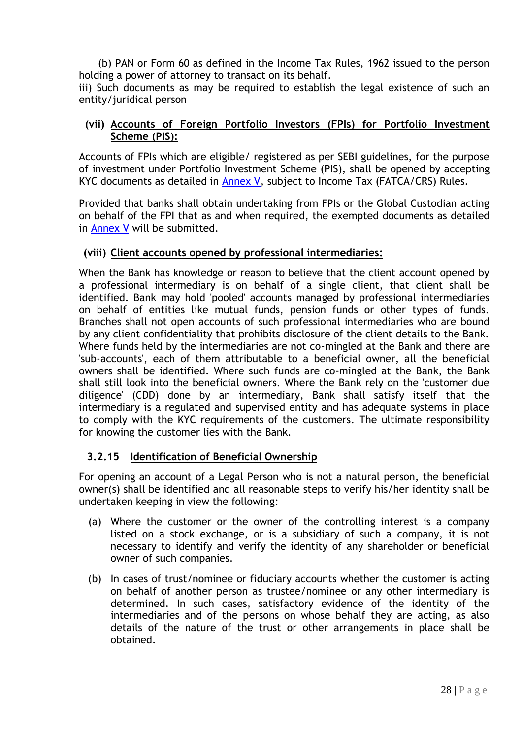(b) PAN or Form 60 as defined in the Income Tax Rules, 1962 issued to the person holding a power of attorney to transact on its behalf.

iii) Such documents as may be required to establish the legal existence of such an entity/juridical person

#### **(vii) Accounts of Foreign Portfolio Investors (FPIs) for Portfolio Investment Scheme (PIS):**

Accounts of FPIs which are eligible/ registered as per SEBI guidelines, for the purpose of investment under Portfolio Investment Scheme (PIS), shall be opened by accepting KYC documents as detailed in [Annex V,](#page-72-0) subject to Income Tax (FATCA/CRS) Rules.

Provided that banks shall obtain undertaking from FPIs or the Global Custodian acting on behalf of the FPI that as and when required, the exempted documents as detailed in [Annex V](#page-72-0) will be submitted.

#### **(viii) Client accounts opened by professional intermediaries:**

When the Bank has knowledge or reason to believe that the client account opened by a professional intermediary is on behalf of a single client, that client shall be identified. Bank may hold 'pooled' accounts managed by professional intermediaries on behalf of entities like mutual funds, pension funds or other types of funds. Branches shall not open accounts of such professional intermediaries who are bound by any client confidentiality that prohibits disclosure of the client details to the Bank. Where funds held by the intermediaries are not co-mingled at the Bank and there are 'sub-accounts', each of them attributable to a beneficial owner, all the beneficial owners shall be identified. Where such funds are co-mingled at the Bank, the Bank shall still look into the beneficial owners. Where the Bank rely on the 'customer due diligence' (CDD) done by an intermediary, Bank shall satisfy itself that the intermediary is a regulated and supervised entity and has adequate systems in place to comply with the KYC requirements of the customers. The ultimate responsibility for knowing the customer lies with the Bank.

## **3.2.15 Identification of Beneficial Ownership**

For opening an account of a Legal Person who is not a natural person, the beneficial owner(s) shall be identified and all reasonable steps to verify his/her identity shall be undertaken keeping in view the following:

- (a) Where the customer or the owner of the controlling interest is a company listed on a stock exchange, or is a subsidiary of such a company, it is not necessary to identify and verify the identity of any shareholder or beneficial owner of such companies.
- (b) In cases of trust/nominee or fiduciary accounts whether the customer is acting on behalf of another person as trustee/nominee or any other intermediary is determined. In such cases, satisfactory evidence of the identity of the intermediaries and of the persons on whose behalf they are acting, as also details of the nature of the trust or other arrangements in place shall be obtained.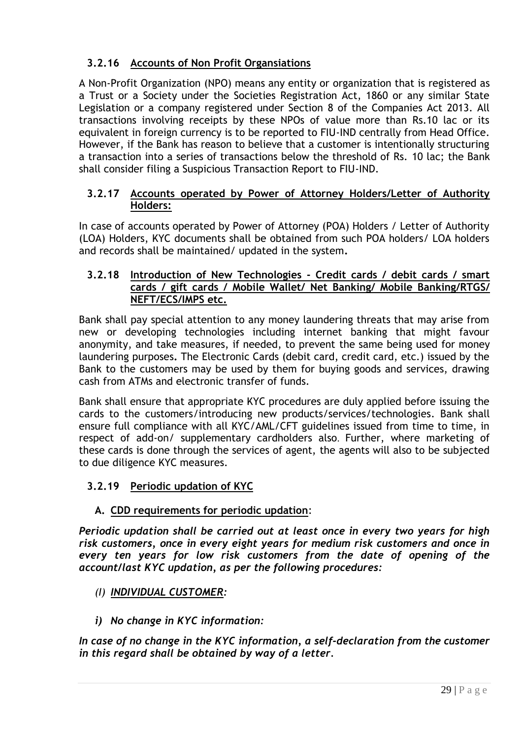## **3.2.16 Accounts of Non Profit Organsiations**

A Non-Profit Organization (NPO) means any entity or organization that is registered as a Trust or a Society under the Societies Registration Act, 1860 or any similar State Legislation or a company registered under Section 8 of the Companies Act 2013. All transactions involving receipts by these NPOs of value more than Rs.10 lac or its equivalent in foreign currency is to be reported to FIU-IND centrally from Head Office. However, if the Bank has reason to believe that a customer is intentionally structuring a transaction into a series of transactions below the threshold of Rs. 10 lac; the Bank shall consider filing a Suspicious Transaction Report to FIU-IND.

#### **3.2.17 Accounts operated by Power of Attorney Holders/Letter of Authority Holders:**

In case of accounts operated by Power of Attorney (POA) Holders / Letter of Authority (LOA) Holders, KYC documents shall be obtained from such POA holders/ LOA holders and records shall be maintained/ updated in the system**.**

#### **3.2.18 Introduction of New Technologies - Credit cards / debit cards / smart cards / gift cards / Mobile Wallet/ Net Banking/ Mobile Banking/RTGS/ NEFT/ECS/IMPS etc.**

Bank shall pay special attention to any money laundering threats that may arise from new or developing technologies including internet banking that might favour anonymity, and take measures, if needed, to prevent the same being used for money laundering purposes**.** The Electronic Cards (debit card, credit card, etc.) issued by the Bank to the customers may be used by them for buying goods and services, drawing cash from ATMs and electronic transfer of funds.

Bank shall ensure that appropriate KYC procedures are duly applied before issuing the cards to the customers/introducing new products/services/technologies. Bank shall ensure full compliance with all KYC/AML/CFT guidelines issued from time to time, in respect of add-on/ supplementary cardholders also. Further, where marketing of these cards is done through the services of agent, the agents will also to be subjected to due diligence KYC measures.

## **3.2.19 Periodic updation of KYC**

## **A. CDD requirements for periodic updation**:

*Periodic updation shall be carried out at least once in every two years for high risk customers, once in every eight years for medium risk customers and once in every ten years for low risk customers from the date of opening of the account/last KYC updation, as per the following procedures:*

- *(I) INDIVIDUAL CUSTOMER:*
- *i) No change in KYC information:*

*In case of no change in the KYC information, a self-declaration from the customer in this regard shall be obtained by way of a letter.*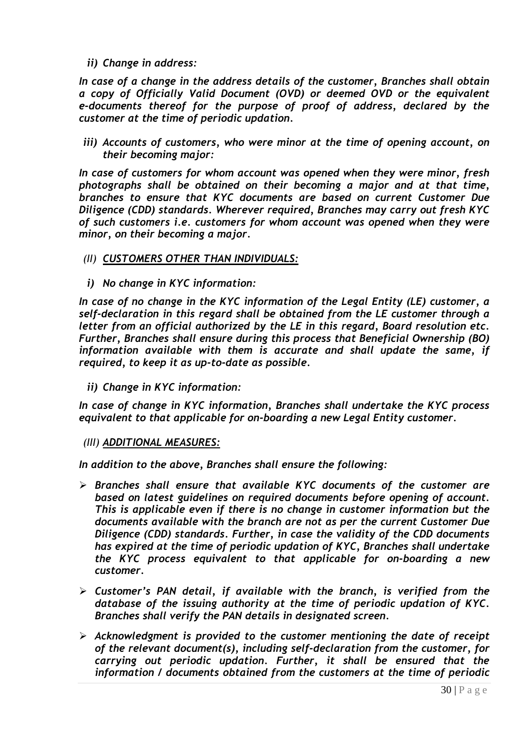*ii) Change in address:*

*In case of a change in the address details of the customer, Branches shall obtain a copy of Officially Valid Document (OVD) or deemed OVD or the equivalent e-documents thereof for the purpose of proof of address, declared by the customer at the time of periodic updation.* 

*iii) Accounts of customers, who were minor at the time of opening account, on their becoming major:*

*In case of customers for whom account was opened when they were minor, fresh photographs shall be obtained on their becoming a major and at that time, branches to ensure that KYC documents are based on current Customer Due Diligence (CDD) standards. Wherever required, Branches may carry out fresh KYC of such customers i.e. customers for whom account was opened when they were minor, on their becoming a major.*

- *(II) CUSTOMERS OTHER THAN INDIVIDUALS:*
- *i) No change in KYC information:*

*In case of no change in the KYC information of the Legal Entity (LE) customer, a self-declaration in this regard shall be obtained from the LE customer through a letter from an official authorized by the LE in this regard, Board resolution etc. Further, Branches shall ensure during this process that Beneficial Ownership (BO) information available with them is accurate and shall update the same, if required, to keep it as up-to-date as possible.*

*ii) Change in KYC information:*

*In case of change in KYC information, Branches shall undertake the KYC process equivalent to that applicable for on-boarding a new Legal Entity customer.*

#### *(III) ADDITIONAL MEASURES:*

*In addition to the above, Branches shall ensure the following:*

- *Branches shall ensure that available KYC documents of the customer are based on latest guidelines on required documents before opening of account. This is applicable even if there is no change in customer information but the documents available with the branch are not as per the current Customer Due Diligence (CDD) standards. Further, in case the validity of the CDD documents has expired at the time of periodic updation of KYC, Branches shall undertake the KYC process equivalent to that applicable for on-boarding a new customer.*
- *Customer"s PAN detail, if available with the branch, is verified from the database of the issuing authority at the time of periodic updation of KYC. Branches shall verify the PAN details in designated screen.*
- *Acknowledgment is provided to the customer mentioning the date of receipt of the relevant document(s), including self-declaration from the customer, for carrying out periodic updation. Further, it shall be ensured that the information / documents obtained from the customers at the time of periodic*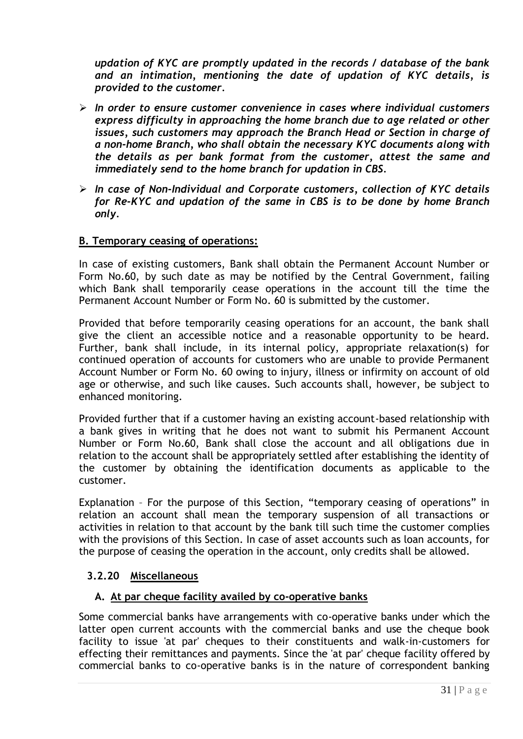*updation of KYC are promptly updated in the records / database of the bank and an intimation, mentioning the date of updation of KYC details, is provided to the customer.*

- *In order to ensure customer convenience in cases where individual customers express difficulty in approaching the home branch due to age related or other issues, such customers may approach the Branch Head or Section in charge of a non-home Branch, who shall obtain the necessary KYC documents along with the details as per bank format from the customer, attest the same and immediately send to the home branch for updation in CBS.*
- *In case of Non-Individual and Corporate customers, collection of KYC details for Re-KYC and updation of the same in CBS is to be done by home Branch only.*

#### **B. Temporary ceasing of operations:**

In case of existing customers, Bank shall obtain the Permanent Account Number or Form No.60, by such date as may be notified by the Central Government, failing which Bank shall temporarily cease operations in the account till the time the Permanent Account Number or Form No. 60 is submitted by the customer.

Provided that before temporarily ceasing operations for an account, the bank shall give the client an accessible notice and a reasonable opportunity to be heard. Further, bank shall include, in its internal policy, appropriate relaxation(s) for continued operation of accounts for customers who are unable to provide Permanent Account Number or Form No. 60 owing to injury, illness or infirmity on account of old age or otherwise, and such like causes. Such accounts shall, however, be subject to enhanced monitoring.

Provided further that if a customer having an existing account-based relationship with a bank gives in writing that he does not want to submit his Permanent Account Number or Form No.60, Bank shall close the account and all obligations due in relation to the account shall be appropriately settled after establishing the identity of the customer by obtaining the identification documents as applicable to the customer.

Explanation – For the purpose of this Section, "temporary ceasing of operations" in relation an account shall mean the temporary suspension of all transactions or activities in relation to that account by the bank till such time the customer complies with the provisions of this Section. In case of asset accounts such as loan accounts, for the purpose of ceasing the operation in the account, only credits shall be allowed.

## **3.2.20 Miscellaneous**

#### **A. At par cheque facility availed by co-operative banks**

Some commercial banks have arrangements with co-operative banks under which the latter open current accounts with the commercial banks and use the cheque book facility to issue 'at par' cheques to their constituents and walk-in-customers for effecting their remittances and payments. Since the 'at par' cheque facility offered by commercial banks to co-operative banks is in the nature of correspondent banking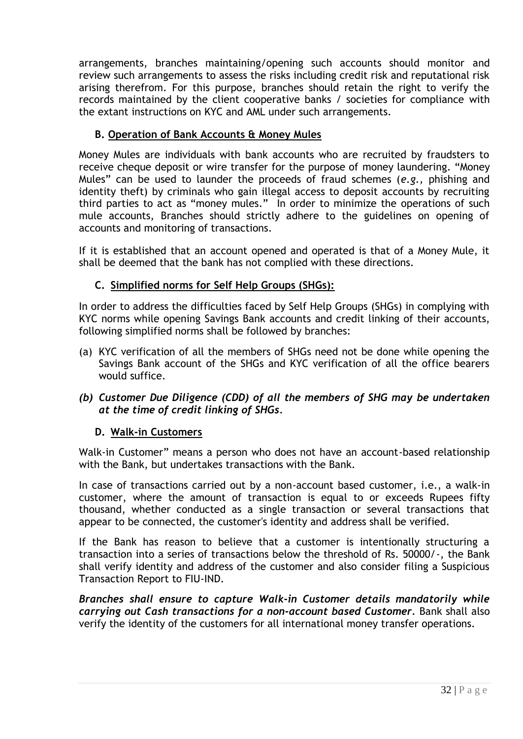arrangements, branches maintaining/opening such accounts should monitor and review such arrangements to assess the risks including credit risk and reputational risk arising therefrom. For this purpose, branches should retain the right to verify the records maintained by the client cooperative banks / societies for compliance with the extant instructions on KYC and AML under such arrangements.

## **B. Operation of Bank Accounts & Money Mules**

Money Mules are individuals with bank accounts who are recruited by fraudsters to receive cheque deposit or wire transfer for the purpose of money laundering. "Money Mules" can be used to launder the proceeds of fraud schemes (*e.g.,* phishing and identity theft) by criminals who gain illegal access to deposit accounts by recruiting third parties to act as "money mules." In order to minimize the operations of such mule accounts, Branches should strictly adhere to the guidelines on opening of accounts and monitoring of transactions.

If it is established that an account opened and operated is that of a Money Mule, it shall be deemed that the bank has not complied with these directions.

## **C. Simplified norms for Self Help Groups (SHGs):**

In order to address the difficulties faced by Self Help Groups (SHGs) in complying with KYC norms while opening Savings Bank accounts and credit linking of their accounts, following simplified norms shall be followed by branches:

- (a) KYC verification of all the members of SHGs need not be done while opening the Savings Bank account of the SHGs and KYC verification of all the office bearers would suffice.
- *(b) Customer Due Diligence (CDD) of all the members of SHG may be undertaken at the time of credit linking of SHGs.*

#### **D. Walk-in Customers**

Walk-in Customer" means a person who does not have an account-based relationship with the Bank, but undertakes transactions with the Bank.

In case of transactions carried out by a non-account based customer, i.e., a walk-in customer, where the amount of transaction is equal to or exceeds Rupees fifty thousand, whether conducted as a single transaction or several transactions that appear to be connected, the customer's identity and address shall be verified.

If the Bank has reason to believe that a customer is intentionally structuring a transaction into a series of transactions below the threshold of Rs. 50000/-, the Bank shall verify identity and address of the customer and also consider filing a Suspicious Transaction Report to FIU-IND.

*Branches shall ensure to capture Walk-in Customer details mandatorily while carrying out Cash transactions for a non-account based Customer.* Bank shall also verify the identity of the customers for all international money transfer operations.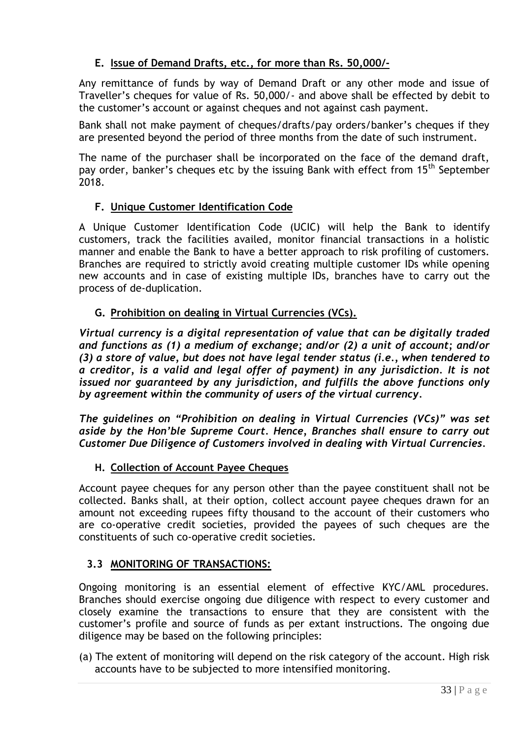## **E. Issue of Demand Drafts, etc., for more than Rs. 50,000/-**

Any remittance of funds by way of Demand Draft or any other mode and issue of Traveller"s cheques for value of Rs. 50,000/- and above shall be effected by debit to the customer"s account or against cheques and not against cash payment.

Bank shall not make payment of cheques/drafts/pay orders/banker's cheques if they are presented beyond the period of three months from the date of such instrument.

The name of the purchaser shall be incorporated on the face of the demand draft, pay order, banker's cheques etc by the issuing Bank with effect from 15<sup>th</sup> September 2018.

## **F. Unique Customer Identification Code**

A Unique Customer Identification Code (UCIC) will help the Bank to identify customers, track the facilities availed, monitor financial transactions in a holistic manner and enable the Bank to have a better approach to risk profiling of customers. Branches are required to strictly avoid creating multiple customer IDs while opening new accounts and in case of existing multiple IDs, branches have to carry out the process of de-duplication.

## **G. Prohibition on dealing in Virtual Currencies (VCs).**

*Virtual currency is a digital representation of value that can be digitally traded and functions as (1) a medium of exchange; and/or (2) a unit of account; and/or (3) a store of value, but does not have legal tender status (i.e., when tendered to a creditor, is a valid and legal offer of payment) in any jurisdiction. It is not issued nor guaranteed by any jurisdiction, and fulfills the above functions only by agreement within the community of users of the virtual currency.*

*The guidelines on "Prohibition on dealing in Virtual Currencies (VCs)" was set aside by the Hon"ble Supreme Court. Hence, Branches shall ensure to carry out Customer Due Diligence of Customers involved in dealing with Virtual Currencies.*

## **H. Collection of Account Payee Cheques**

Account payee cheques for any person other than the payee constituent shall not be collected. Banks shall, at their option, collect account payee cheques drawn for an amount not exceeding rupees fifty thousand to the account of their customers who are co-operative credit societies, provided the payees of such cheques are the constituents of such co-operative credit societies.

## <span id="page-32-0"></span>**3.3 MONITORING OF TRANSACTIONS:**

Ongoing monitoring is an essential element of effective KYC/AML procedures. Branches should exercise ongoing due diligence with respect to every customer and closely examine the transactions to ensure that they are consistent with the customer"s profile and source of funds as per extant instructions. The ongoing due diligence may be based on the following principles:

(a) The extent of monitoring will depend on the risk category of the account. High risk accounts have to be subjected to more intensified monitoring.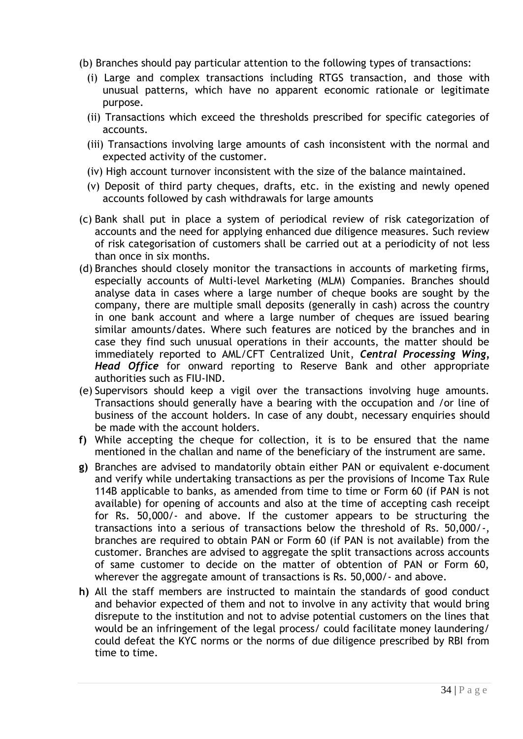- (b) Branches should pay particular attention to the following types of transactions:
	- (i) Large and complex transactions including RTGS transaction, and those with unusual patterns, which have no apparent economic rationale or legitimate purpose.
	- (ii) Transactions which exceed the thresholds prescribed for specific categories of accounts.
	- (iii) Transactions involving large amounts of cash inconsistent with the normal and expected activity of the customer.
	- (iv) High account turnover inconsistent with the size of the balance maintained.
	- (v) Deposit of third party cheques, drafts, etc. in the existing and newly opened accounts followed by cash withdrawals for large amounts
- (c) Bank shall put in place a system of periodical review of risk categorization of accounts and the need for applying enhanced due diligence measures. Such review of risk categorisation of customers shall be carried out at a periodicity of not less than once in six months.
- (d) Branches should closely monitor the transactions in accounts of marketing firms, especially accounts of Multi-level Marketing (MLM) Companies. Branches should analyse data in cases where a large number of cheque books are sought by the company, there are multiple small deposits (generally in cash) across the country in one bank account and where a large number of cheques are issued bearing similar amounts/dates. Where such features are noticed by the branches and in case they find such unusual operations in their accounts, the matter should be immediately reported to AML/CFT Centralized Unit, *Central Processing Wing, Head Office* for onward reporting to Reserve Bank and other appropriate authorities such as FIU-IND.
- (e) Supervisors should keep a vigil over the transactions involving huge amounts. Transactions should generally have a bearing with the occupation and /or line of business of the account holders. In case of any doubt, necessary enquiries should be made with the account holders.
- **f)** While accepting the cheque for collection, it is to be ensured that the name mentioned in the challan and name of the beneficiary of the instrument are same.
- **g)** Branches are advised to mandatorily obtain either PAN or equivalent e-document and verify while undertaking transactions as per the provisions of Income Tax Rule 114B applicable to banks, as amended from time to time or Form 60 (if PAN is not available) for opening of accounts and also at the time of accepting cash receipt for Rs. 50,000/- and above. If the customer appears to be structuring the transactions into a serious of transactions below the threshold of Rs. 50,000/-, branches are required to obtain PAN or Form 60 (if PAN is not available) from the customer. Branches are advised to aggregate the split transactions across accounts of same customer to decide on the matter of obtention of PAN or Form 60, wherever the aggregate amount of transactions is Rs. 50,000/- and above.
- **h)** All the staff members are instructed to maintain the standards of good conduct and behavior expected of them and not to involve in any activity that would bring disrepute to the institution and not to advise potential customers on the lines that would be an infringement of the legal process/ could facilitate money laundering/ could defeat the KYC norms or the norms of due diligence prescribed by RBI from time to time.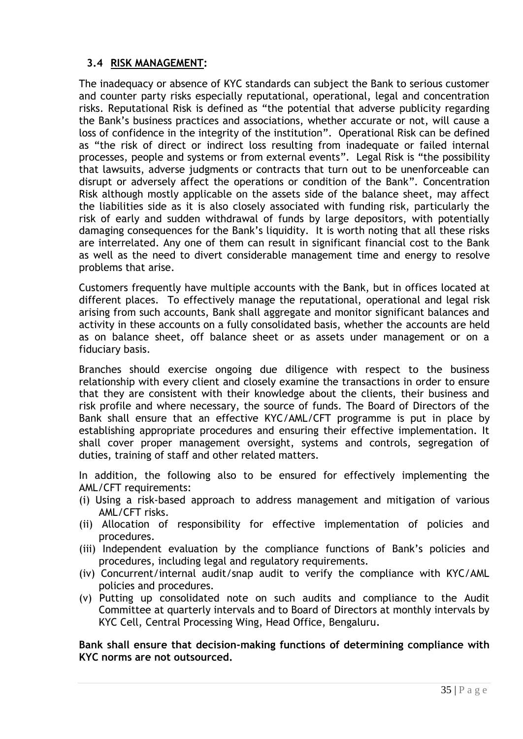## <span id="page-34-0"></span>**3.4 RISK MANAGEMENT:**

The inadequacy or absence of KYC standards can subject the Bank to serious customer and counter party risks especially reputational, operational, legal and concentration risks. Reputational Risk is defined as "the potential that adverse publicity regarding the Bank"s business practices and associations, whether accurate or not, will cause a loss of confidence in the integrity of the institution". Operational Risk can be defined as "the risk of direct or indirect loss resulting from inadequate or failed internal processes, people and systems or from external events". Legal Risk is "the possibility that lawsuits, adverse judgments or contracts that turn out to be unenforceable can disrupt or adversely affect the operations or condition of the Bank". Concentration Risk although mostly applicable on the assets side of the balance sheet, may affect the liabilities side as it is also closely associated with funding risk, particularly the risk of early and sudden withdrawal of funds by large depositors, with potentially damaging consequences for the Bank's liquidity. It is worth noting that all these risks are interrelated. Any one of them can result in significant financial cost to the Bank as well as the need to divert considerable management time and energy to resolve problems that arise.

Customers frequently have multiple accounts with the Bank, but in offices located at different places. To effectively manage the reputational, operational and legal risk arising from such accounts, Bank shall aggregate and monitor significant balances and activity in these accounts on a fully consolidated basis, whether the accounts are held as on balance sheet, off balance sheet or as assets under management or on a fiduciary basis.

Branches should exercise ongoing due diligence with respect to the business relationship with every client and closely examine the transactions in order to ensure that they are consistent with their knowledge about the clients, their business and risk profile and where necessary, the source of funds. The Board of Directors of the Bank shall ensure that an effective KYC/AML/CFT programme is put in place by establishing appropriate procedures and ensuring their effective implementation. It shall cover proper management oversight, systems and controls, segregation of duties, training of staff and other related matters.

In addition, the following also to be ensured for effectively implementing the AML/CFT requirements:

- (i) Using a risk-based approach to address management and mitigation of various AML/CFT risks.
- (ii) Allocation of responsibility for effective implementation of policies and procedures.
- (iii) Independent evaluation by the compliance functions of Bank"s policies and procedures, including legal and regulatory requirements.
- (iv) Concurrent/internal audit/snap audit to verify the compliance with KYC/AML policies and procedures.
- (v) Putting up consolidated note on such audits and compliance to the Audit Committee at quarterly intervals and to Board of Directors at monthly intervals by KYC Cell, Central Processing Wing, Head Office, Bengaluru*.*

**Bank shall ensure that decision-making functions of determining compliance with KYC norms are not outsourced.**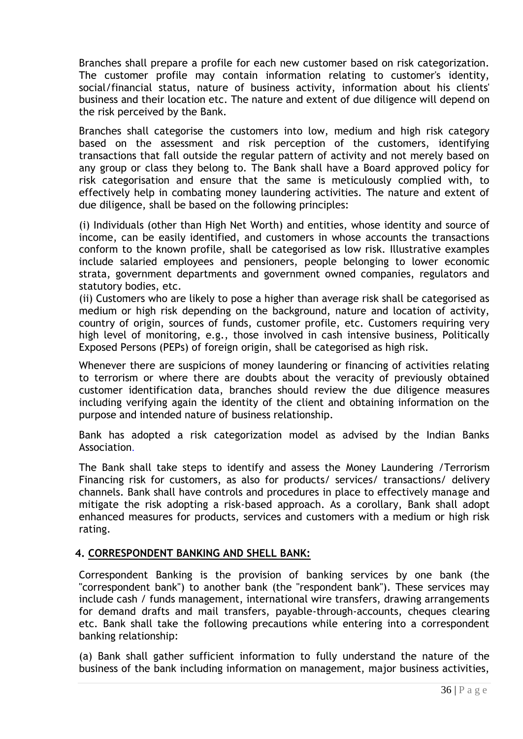Branches shall prepare a profile for each new customer based on risk categorization. The customer profile may contain information relating to customer's identity, social/financial status, nature of business activity, information about his clients' business and their location etc. The nature and extent of due diligence will depend on the risk perceived by the Bank.

Branches shall categorise the customers into low, medium and high risk category based on the assessment and risk perception of the customers, identifying transactions that fall outside the regular pattern of activity and not merely based on any group or class they belong to. The Bank shall have a Board approved policy for risk categorisation and ensure that the same is meticulously complied with, to effectively help in combating money laundering activities. The nature and extent of due diligence, shall be based on the following principles:

(i) Individuals (other than High Net Worth) and entities, whose identity and source of income, can be easily identified, and customers in whose accounts the transactions conform to the known profile, shall be categorised as low risk. Illustrative examples include salaried employees and pensioners, people belonging to lower economic strata, government departments and government owned companies, regulators and statutory bodies, etc.

(ii) Customers who are likely to pose a higher than average risk shall be categorised as medium or high risk depending on the background, nature and location of activity, country of origin, sources of funds, customer profile, etc. Customers requiring very high level of monitoring, e.g., those involved in cash intensive business, Politically Exposed Persons (PEPs) of foreign origin, shall be categorised as high risk.

Whenever there are suspicions of money laundering or financing of activities relating to terrorism or where there are doubts about the veracity of previously obtained customer identification data, branches should review the due diligence measures including verifying again the identity of the client and obtaining information on the purpose and intended nature of business relationship.

Bank has adopted a risk categorization model as advised by the Indian Banks Association.

The Bank shall take steps to identify and assess the Money Laundering /Terrorism Financing risk for customers, as also for products/ services/ transactions/ delivery channels. Bank shall have controls and procedures in place to effectively manage and mitigate the risk adopting a risk-based approach. As a corollary, Bank shall adopt enhanced measures for products, services and customers with a medium or high risk rating.

#### **4. CORRESPONDENT BANKING AND SHELL BANK:**

Correspondent Banking is the provision of banking services by one bank (the "correspondent bank") to another bank (the "respondent bank"). These services may include cash / funds management, international wire transfers, drawing arrangements for demand drafts and mail transfers, payable-through-accounts, cheques clearing etc. Bank shall take the following precautions while entering into a correspondent banking relationship:

(a) Bank shall gather sufficient information to fully understand the nature of the business of the bank including information on management, major business activities,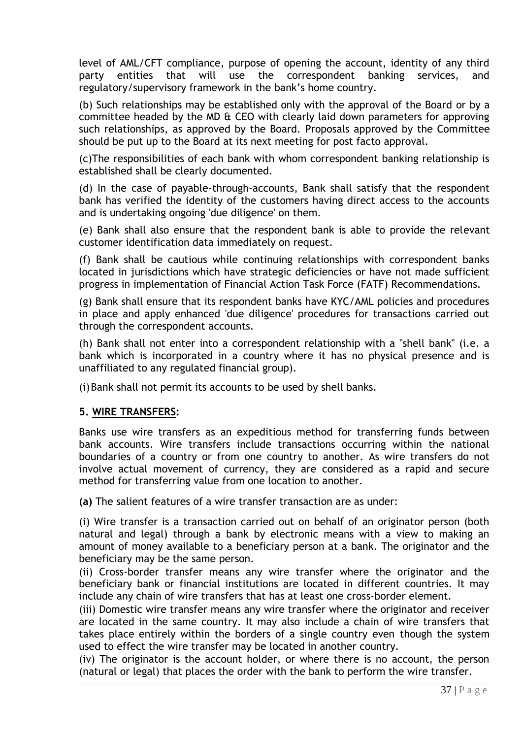level of AML/CFT compliance, purpose of opening the account, identity of any third party entities that will use the correspondent banking services, and regulatory/supervisory framework in the bank"s home country.

(b) Such relationships may be established only with the approval of the Board or by a committee headed by the MD & CEO with clearly laid down parameters for approving such relationships, as approved by the Board. Proposals approved by the Committee should be put up to the Board at its next meeting for post facto approval.

(c)The responsibilities of each bank with whom correspondent banking relationship is established shall be clearly documented.

(d) In the case of payable-through-accounts, Bank shall satisfy that the respondent bank has verified the identity of the customers having direct access to the accounts and is undertaking ongoing 'due diligence' on them.

(e) Bank shall also ensure that the respondent bank is able to provide the relevant customer identification data immediately on request.

(f) Bank shall be cautious while continuing relationships with correspondent banks located in jurisdictions which have strategic deficiencies or have not made sufficient progress in implementation of Financial Action Task Force (FATF) Recommendations.

(g) Bank shall ensure that its respondent banks have KYC/AML policies and procedures in place and apply enhanced 'due diligence' procedures for transactions carried out through the correspondent accounts.

(h) Bank shall not enter into a correspondent relationship with a "shell bank" (i.e. a bank which is incorporated in a country where it has no physical presence and is unaffiliated to any regulated financial group).

(i)Bank shall not permit its accounts to be used by shell banks.

# **5. WIRE TRANSFERS:**

Banks use wire transfers as an expeditious method for transferring funds between bank accounts. Wire transfers include transactions occurring within the national boundaries of a country or from one country to another. As wire transfers do not involve actual movement of currency, they are considered as a rapid and secure method for transferring value from one location to another.

**(a)** The salient features of a wire transfer transaction are as under:

(i) Wire transfer is a transaction carried out on behalf of an originator person (both natural and legal) through a bank by electronic means with a view to making an amount of money available to a beneficiary person at a bank. The originator and the beneficiary may be the same person.

(ii) Cross-border transfer means any wire transfer where the originator and the beneficiary bank or financial institutions are located in different countries. It may include any chain of wire transfers that has at least one cross-border element.

(iii) Domestic wire transfer means any wire transfer where the originator and receiver are located in the same country. It may also include a chain of wire transfers that takes place entirely within the borders of a single country even though the system used to effect the wire transfer may be located in another country.

(iv) The originator is the account holder, or where there is no account, the person (natural or legal) that places the order with the bank to perform the wire transfer.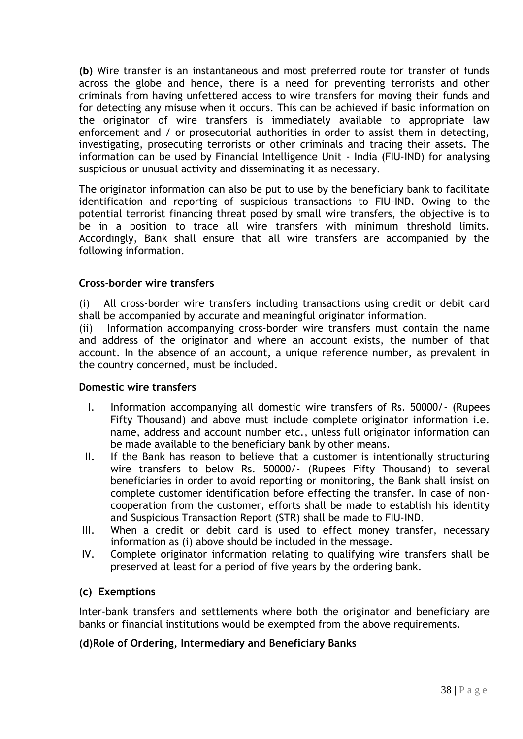**(b)** Wire transfer is an instantaneous and most preferred route for transfer of funds across the globe and hence, there is a need for preventing terrorists and other criminals from having unfettered access to wire transfers for moving their funds and for detecting any misuse when it occurs. This can be achieved if basic information on the originator of wire transfers is immediately available to appropriate law enforcement and / or prosecutorial authorities in order to assist them in detecting, investigating, prosecuting terrorists or other criminals and tracing their assets. The information can be used by Financial Intelligence Unit - India (FIU-IND) for analysing suspicious or unusual activity and disseminating it as necessary.

The originator information can also be put to use by the beneficiary bank to facilitate identification and reporting of suspicious transactions to FIU-IND. Owing to the potential terrorist financing threat posed by small wire transfers, the objective is to be in a position to trace all wire transfers with minimum threshold limits. Accordingly, Bank shall ensure that all wire transfers are accompanied by the following information.

### **Cross-border wire transfers**

(i) All cross-border wire transfers including transactions using credit or debit card shall be accompanied by accurate and meaningful originator information.

(ii) Information accompanying cross-border wire transfers must contain the name and address of the originator and where an account exists, the number of that account. In the absence of an account, a unique reference number, as prevalent in the country concerned, must be included.

#### **Domestic wire transfers**

- I. Information accompanying all domestic wire transfers of Rs. 50000/- (Rupees Fifty Thousand) and above must include complete originator information i.e. name, address and account number etc., unless full originator information can be made available to the beneficiary bank by other means.
- II. If the Bank has reason to believe that a customer is intentionally structuring wire transfers to below Rs. 50000/- (Rupees Fifty Thousand) to several beneficiaries in order to avoid reporting or monitoring, the Bank shall insist on complete customer identification before effecting the transfer. In case of noncooperation from the customer, efforts shall be made to establish his identity and [Suspicious Transaction Report \(STR\)](http://172.16.108.45/kmt/returns/str_app.xls) shall be made to FIU-IND.
- III. When a credit or debit card is used to effect money transfer, necessary information as (i) above should be included in the message.
- IV. Complete originator information relating to qualifying wire transfers shall be preserved at least for a period of five years by the ordering bank.

#### **(c) Exemptions**

Inter-bank transfers and settlements where both the originator and beneficiary are banks or financial institutions would be exempted from the above requirements.

#### **(d)Role of Ordering, Intermediary and Beneficiary Banks**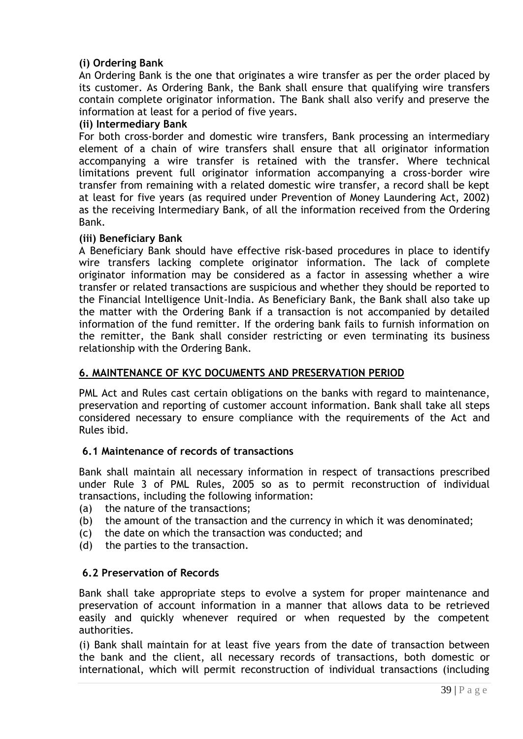# **(i) Ordering Bank**

An Ordering Bank is the one that originates a wire transfer as per the order placed by its customer. As Ordering Bank, the Bank shall ensure that qualifying wire transfers contain complete originator information. The Bank shall also verify and preserve the information at least for a period of five years.

#### **(ii) Intermediary Bank**

For both cross-border and domestic wire transfers, Bank processing an intermediary element of a chain of wire transfers shall ensure that all originator information accompanying a wire transfer is retained with the transfer. Where technical limitations prevent full originator information accompanying a cross-border wire transfer from remaining with a related domestic wire transfer, a record shall be kept at least for five years (as required under Prevention of Money Laundering Act, 2002) as the receiving Intermediary Bank, of all the information received from the Ordering Bank.

### **(iii) Beneficiary Bank**

A Beneficiary Bank should have effective risk-based procedures in place to identify wire transfers lacking complete originator information. The lack of complete originator information may be considered as a factor in assessing whether a wire transfer or related transactions are suspicious and whether they should be reported to the Financial Intelligence Unit-India. As Beneficiary Bank, the Bank shall also take up the matter with the Ordering Bank if a transaction is not accompanied by detailed information of the fund remitter. If the ordering bank fails to furnish information on the remitter, the Bank shall consider restricting or even terminating its business relationship with the Ordering Bank.

### **6. MAINTENANCE OF KYC DOCUMENTS AND PRESERVATION PERIOD**

PML Act and Rules cast certain obligations on the banks with regard to maintenance, preservation and reporting of customer account information. Bank shall take all steps considered necessary to ensure compliance with the requirements of the Act and Rules ibid.

#### **6.1 Maintenance of records of transactions**

Bank shall maintain all necessary information in respect of transactions prescribed under Rule 3 of PML Rules, 2005 so as to permit reconstruction of individual transactions, including the following information:

- (a) the nature of the transactions;
- (b) the amount of the transaction and the currency in which it was denominated;
- (c) the date on which the transaction was conducted; and
- (d) the parties to the transaction.

#### **6.2 Preservation of Records**

Bank shall take appropriate steps to evolve a system for proper maintenance and preservation of account information in a manner that allows data to be retrieved easily and quickly whenever required or when requested by the competent authorities.

(i) Bank shall maintain for at least five years from the date of transaction between the bank and the client, all necessary records of transactions, both domestic or international, which will permit reconstruction of individual transactions (including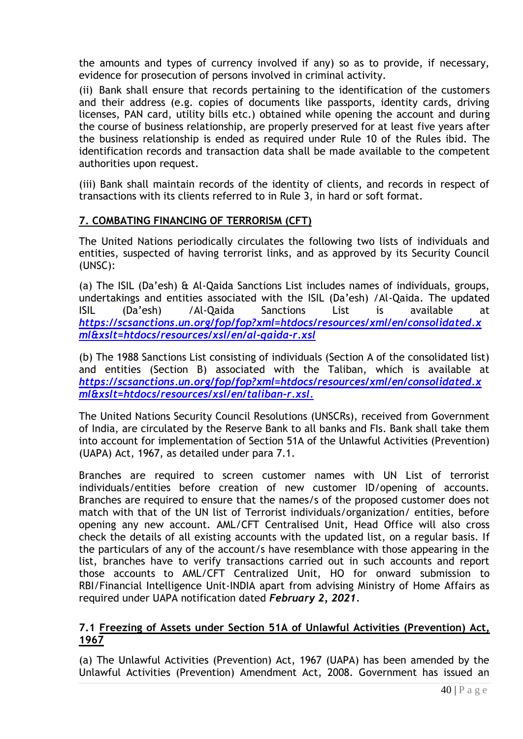the amounts and types of currency involved if any) so as to provide, if necessary, evidence for prosecution of persons involved in criminal activity.

(ii) Bank shall ensure that records pertaining to the identification of the customers and their address (e.g. copies of documents like passports, identity cards, driving licenses, PAN card, utility bills etc.) obtained while opening the account and during the course of business relationship, are properly preserved for at least five years after the business relationship is ended as required under Rule 10 of the Rules ibid. The identification records and transaction data shall be made available to the competent authorities upon request.

(iii) Bank shall maintain records of the identity of clients, and records in respect of transactions with its clients referred to in Rule 3, in hard or soft format.

### **7. COMBATING FINANCING OF TERRORISM (CFT)**

The United Nations periodically circulates the following two lists of individuals and entities, suspected of having terrorist links, and as approved by its Security Council (UNSC):

(a) The ISIL (Da"esh) & Al-Qaida Sanctions List includes names of individuals, groups, undertakings and entities associated with the ISIL (Da"esh) /Al-Qaida. The updated ISIL (Da"esh) /Al-Qaida Sanctions List is available at *https://scsanctions.un.org/fop/fop?xml=htdocs/resources/xml/en/consolidated.x ml&xslt=htdocs/resources/xsl/en/al-qaida-r.xsl*

(b) The 1988 Sanctions List consisting of individuals (Section A of the consolidated list) and entities (Section B) associated with the Taliban, which is available at *https://scsanctions.un.org/fop/fop?xml=htdocs/resources/xml/en/consolidated.x ml&xslt=htdocs/resources/xsl/en/taliban-r.xsl.*

The United Nations Security Council Resolutions (UNSCRs), received from Government of India, are circulated by the Reserve Bank to all banks and FIs. Bank shall take them into account for implementation of Section 51A of the Unlawful Activities (Prevention) (UAPA) Act, 1967, as detailed under para 7.1.

Branches are required to screen customer names with UN List of terrorist individuals/entities before creation of new customer ID/opening of accounts. Branches are required to ensure that the names/s of the proposed customer does not match with that of the UN list of Terrorist individuals/organization/ entities, before opening any new account. AML/CFT Centralised Unit, Head Office will also cross check the details of all existing accounts with the updated list, on a regular basis. If the particulars of any of the account/s have resemblance with those appearing in the list, branches have to verify transactions carried out in such accounts and report those accounts to AML/CFT Centralized Unit, HO for onward submission to RBI/Financial Intelligence Unit-INDIA apart from advising Ministry of Home Affairs as required under UAPA notification dated *February 2, 2021.*

#### **7.1 Freezing of Assets under Section 51A of Unlawful Activities (Prevention) Act, 1967**

(a) The Unlawful Activities (Prevention) Act, 1967 (UAPA) has been amended by the Unlawful Activities (Prevention) Amendment Act, 2008. Government has issued an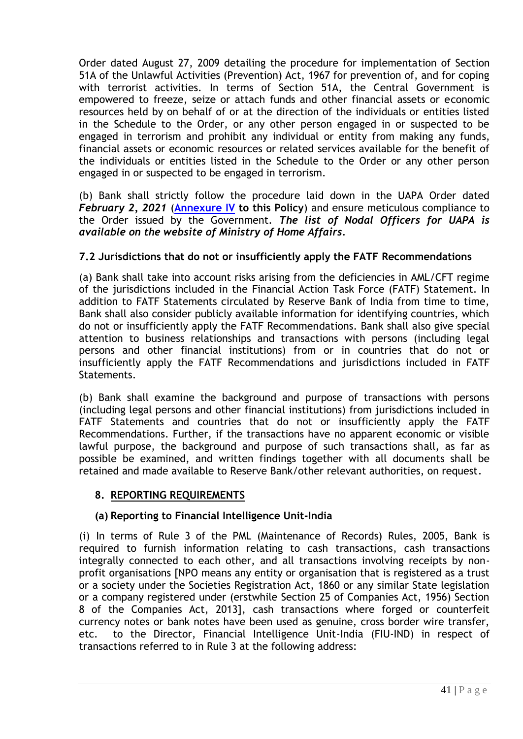Order dated August 27, 2009 detailing the procedure for implementation of Section 51A of the Unlawful Activities (Prevention) Act, 1967 for prevention of, and for coping with terrorist activities. In terms of Section 51A, the Central Government is empowered to freeze, seize or attach funds and other financial assets or economic resources held by on behalf of or at the direction of the individuals or entities listed in the Schedule to the Order, or any other person engaged in or suspected to be engaged in terrorism and prohibit any individual or entity from making any funds, financial assets or economic resources or related services available for the benefit of the individuals or entities listed in the Schedule to the Order or any other person engaged in or suspected to be engaged in terrorism.

(b) Bank shall strictly follow the procedure laid down in the UAPA Order dated *February 2, 2021* (**[Annexure IV](#page-64-0) to this Policy**) and ensure meticulous compliance to the Order issued by the Government. *The list of Nodal Officers for UAPA is available on the website of Ministry of Home Affairs.*

# **7.2 Jurisdictions that do not or insufficiently apply the FATF Recommendations**

(a) Bank shall take into account risks arising from the deficiencies in AML/CFT regime of the jurisdictions included in the Financial Action Task Force (FATF) Statement. In addition to FATF Statements circulated by Reserve Bank of India from time to time, Bank shall also consider publicly available information for identifying countries, which do not or insufficiently apply the FATF Recommendations. Bank shall also give special attention to business relationships and transactions with persons (including legal persons and other financial institutions) from or in countries that do not or insufficiently apply the FATF Recommendations and jurisdictions included in FATF Statements.

(b) Bank shall examine the background and purpose of transactions with persons (including legal persons and other financial institutions) from jurisdictions included in FATF Statements and countries that do not or insufficiently apply the FATF Recommendations. Further, if the transactions have no apparent economic or visible lawful purpose, the background and purpose of such transactions shall, as far as possible be examined, and written findings together with all documents shall be retained and made available to Reserve Bank/other relevant authorities, on request.

#### **8. REPORTING REQUIREMENTS**

#### **(a) Reporting to Financial Intelligence Unit-India**

(i) In terms of Rule 3 of the PML (Maintenance of Records) Rules, 2005, Bank is required to furnish information relating to cash transactions, cash transactions integrally connected to each other, and all transactions involving receipts by nonprofit organisations [NPO means any entity or organisation that is registered as a trust or a society under the Societies Registration Act, 1860 or any similar State legislation or a company registered under (erstwhile Section 25 of Companies Act, 1956) Section 8 of the Companies Act, 2013], cash transactions where forged or counterfeit currency notes or bank notes have been used as genuine, cross border wire transfer, etc. to the Director, Financial Intelligence Unit-India (FIU-IND) in respect of transactions referred to in Rule 3 at the following address: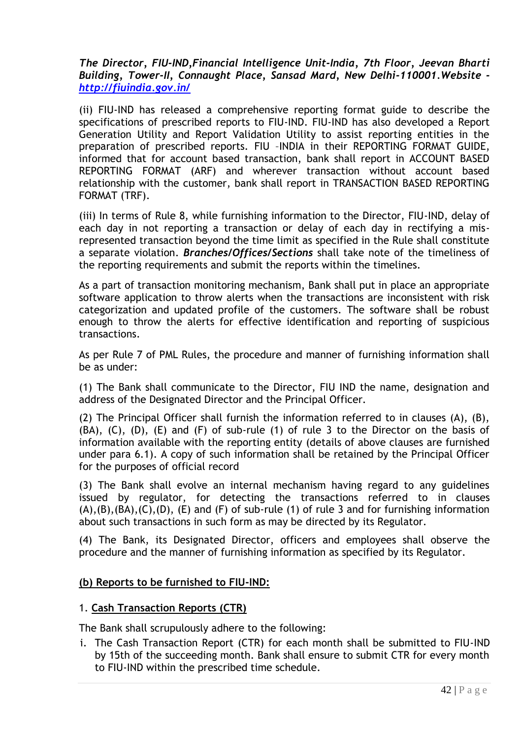*The Director, FIU-IND,Financial Intelligence Unit-India, 7th Floor, Jeevan Bharti Building, Tower-II, Connaught Place, Sansad Mard, New Delhi-110001.Website <http://fiuindia.gov.in/>*

(ii) FIU-IND has released a comprehensive reporting format guide to describe the specifications of prescribed reports to FIU-IND. FIU-IND has also developed a Report Generation Utility and Report Validation Utility to assist reporting entities in the preparation of prescribed reports. FIU –INDIA in their REPORTING FORMAT GUIDE, informed that for account based transaction, bank shall report in ACCOUNT BASED REPORTING FORMAT (ARF) and wherever transaction without account based relationship with the customer, bank shall report in TRANSACTION BASED REPORTING FORMAT (TRF).

(iii) In terms of Rule 8, while furnishing information to the Director, FIU-IND, delay of each day in not reporting a transaction or delay of each day in rectifying a misrepresented transaction beyond the time limit as specified in the Rule shall constitute a separate violation. *Branches/Offices/Sections* shall take note of the timeliness of the reporting requirements and submit the reports within the timelines.

As a part of transaction monitoring mechanism, Bank shall put in place an appropriate software application to throw alerts when the transactions are inconsistent with risk categorization and updated profile of the customers. The software shall be robust enough to throw the alerts for effective identification and reporting of suspicious transactions.

As per Rule 7 of PML Rules, the procedure and manner of furnishing information shall be as under:

(1) The Bank shall communicate to the Director, FIU IND the name, designation and address of the Designated Director and the Principal Officer.

(2) The Principal Officer shall furnish the information referred to in clauses (A), (B), (BA), (C), (D), (E) and (F) of sub-rule (1) of rule 3 to the Director on the basis of information available with the reporting entity (details of above clauses are furnished under para 6.1). A copy of such information shall be retained by the Principal Officer for the purposes of official record

(3) The Bank shall evolve an internal mechanism having regard to any guidelines issued by regulator, for detecting the transactions referred to in clauses  $(A), (B), (BA), (C), (D), (E)$  and  $(F)$  of sub-rule (1) of rule 3 and for furnishing information about such transactions in such form as may be directed by its Regulator.

(4) The Bank, its Designated Director, officers and employees shall observe the procedure and the manner of furnishing information as specified by its Regulator.

#### **(b) Reports to be furnished to FIU-IND:**

#### 1. **Cash Transaction Reports (CTR)**

The Bank shall scrupulously adhere to the following:

i. The [Cash Transaction Report \(CTR\)](http://172.16.108.45/kmt/GetDocument.asp?PageRef=returns/ctr.htm) for each month shall be submitted to FIU-IND by 15th of the succeeding month. Bank shall ensure to submit CTR for every month to FIU-IND within the prescribed time schedule.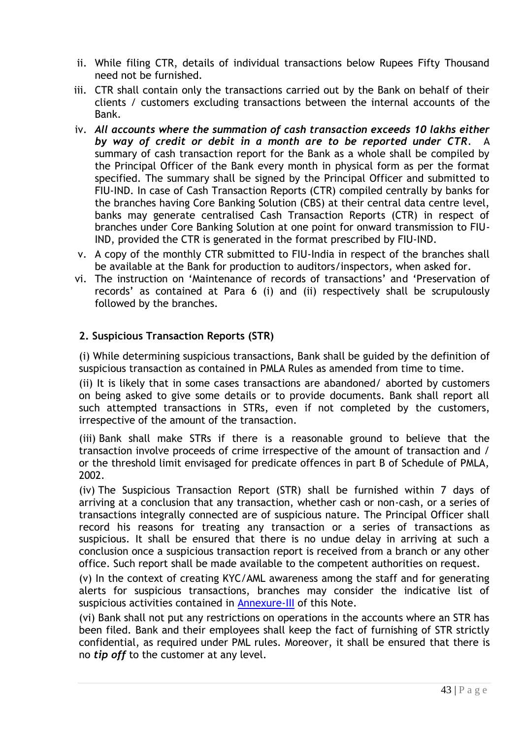- ii. While filing CTR, details of individual transactions below Rupees Fifty Thousand need not be furnished.
- iii. CTR shall contain only the transactions carried out by the Bank on behalf of their clients / customers excluding transactions between the internal accounts of the Bank.
- iv. *All accounts where the summation of cash transaction exceeds 10 lakhs either by way of credit or debit in a month are to be reported under CTR*. A summary of cash transaction report for the Bank as a whole shall be compiled by the Principal Officer of the Bank every month in physical form as per the format specified. The summary shall be signed by the Principal Officer and submitted to FIU-IND. In case of Cash Transaction Reports (CTR) compiled centrally by banks for the branches having Core Banking Solution (CBS) at their central data centre level, banks may generate centralised Cash Transaction Reports (CTR) in respect of branches under Core Banking Solution at one point for onward transmission to FIU-IND, provided the CTR is generated in the format prescribed by FIU-IND.
- v. A copy of the monthly CTR submitted to FIU-India in respect of the branches shall be available at the Bank for production to auditors/inspectors, when asked for.
- vi. The instruction on "Maintenance of records of transactions" and "Preservation of records" as contained at Para 6 (i) and (ii) respectively shall be scrupulously followed by the branches.

# **2. Suspicious Transaction Reports (STR)**

(i) While determining suspicious transactions, Bank shall be guided by the definition of suspicious transaction as contained in PMLA Rules as amended from time to time.

(ii) It is likely that in some cases transactions are abandoned/ aborted by customers on being asked to give some details or to provide documents. Bank shall report all such attempted transactions in STRs, even if not completed by the customers, irrespective of the amount of the transaction.

(iii) Bank shall make STRs if there is a reasonable ground to believe that the transaction involve proceeds of crime irrespective of the amount of transaction and / or the threshold limit envisaged for predicate offences in part B of Schedule of PMLA, 2002.

(iv) The [Suspicious Transaction Report \(STR\)](http://172.16.108.45/kmt/returns/str_app.xls) shall be furnished within 7 days of arriving at a conclusion that any transaction, whether cash or non-cash, or a series of transactions integrally connected are of suspicious nature. The Principal Officer shall record his reasons for treating any transaction or a series of transactions as suspicious. It shall be ensured that there is no undue delay in arriving at such a conclusion once a suspicious transaction report is received from a branch or any other office. Such report shall be made available to the competent authorities on request.

(v) In the context of creating KYC/AML awareness among the staff and for generating alerts for suspicious transactions, branches may consider the indicative list of suspicious activities contained in **Annexure-III** of this Note.

(vi) Bank shall not put any restrictions on operations in the accounts where an STR has been filed. Bank and their employees shall keep the fact of furnishing of STR strictly confidential, as required under PML rules. Moreover, it shall be ensured that there is no *tip off* to the customer at any level.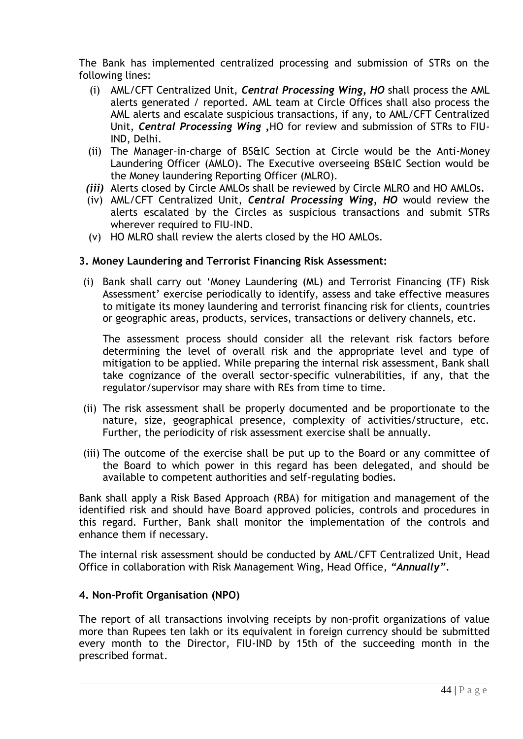The Bank has implemented centralized processing and submission of STRs on the following lines:

- (i) AML/CFT Centralized Unit, *Central Processing Wing, HO* shall process the AML alerts generated / reported. AML team at Circle Offices shall also process the AML alerts and escalate suspicious transactions, if any, to AML/CFT Centralized Unit, *Central Processing Wing ,*HO for review and submission of STRs to FIU-IND, Delhi.
- (ii) The Manager–in-charge of BS&IC Section at Circle would be the Anti-Money Laundering Officer (AMLO). The Executive overseeing BS&IC Section would be the Money laundering Reporting Officer (MLRO).
- *(iii)* Alerts closed by Circle AMLOs shall be reviewed by Circle MLRO and HO AMLOs*.*
- (iv) AML/CFT Centralized Unit, *Central Processing Wing, HO* would review the alerts escalated by the Circles as suspicious transactions and submit STRs wherever required to FIU-IND.
- (v) HO MLRO shall review the alerts closed by the HO AMLOs.

#### **3. Money Laundering and Terrorist Financing Risk Assessment:**

(i) Bank shall carry out "Money Laundering (ML) and Terrorist Financing (TF) Risk Assessment' exercise periodically to identify, assess and take effective measures to mitigate its money laundering and terrorist financing risk for clients, countries or geographic areas, products, services, transactions or delivery channels, etc.

The assessment process should consider all the relevant risk factors before determining the level of overall risk and the appropriate level and type of mitigation to be applied. While preparing the internal risk assessment, Bank shall take cognizance of the overall sector-specific vulnerabilities, if any, that the regulator/supervisor may share with REs from time to time.

- (ii) The risk assessment shall be properly documented and be proportionate to the nature, size, geographical presence, complexity of activities/structure, etc. Further, the periodicity of risk assessment exercise shall be annually.
- (iii) The outcome of the exercise shall be put up to the Board or any committee of the Board to which power in this regard has been delegated, and should be available to competent authorities and self-regulating bodies.

Bank shall apply a Risk Based Approach (RBA) for mitigation and management of the identified risk and should have Board approved policies, controls and procedures in this regard. Further, Bank shall monitor the implementation of the controls and enhance them if necessary.

The internal risk assessment should be conducted by AML/CFT Centralized Unit, Head Office in collaboration with Risk Management Wing, Head Office, *"Annually".*

#### **4. Non-Profit Organisation (NPO)**

The report of all transactions involving receipts by non-profit organizations of value more than Rupees ten lakh or its equivalent in foreign currency should be submitted every month to the Director, FIU-IND by 15th of the succeeding month in the prescribed format.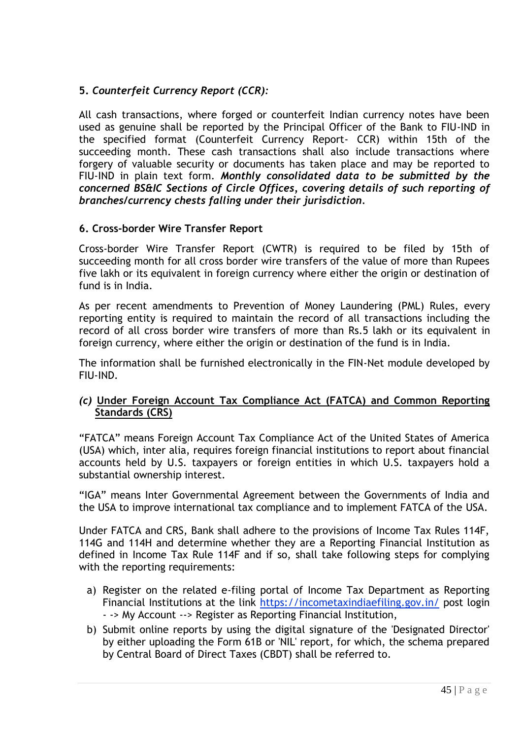# **5.** *Counterfeit Currency Report (CCR):*

All cash transactions, where forged or counterfeit Indian currency notes have been used as genuine shall be reported by the Principal Officer of the Bank to FIU-IND in the specified format (Counterfeit Currency Report- CCR) within 15th of the succeeding month. These cash transactions shall also include transactions where forgery of valuable security or documents has taken place and may be reported to FIU-IND in plain text form. *Monthly consolidated data to be submitted by the concerned BS&IC Sections of Circle Offices, covering details of such reporting of branches/currency chests falling under their jurisdiction.*

### **6. Cross-border Wire Transfer Report**

Cross-border Wire Transfer Report (CWTR) is required to be filed by 15th of succeeding month for all cross border wire transfers of the value of more than Rupees five lakh or its equivalent in foreign currency where either the origin or destination of fund is in India.

As per recent amendments to Prevention of Money Laundering (PML) Rules, every reporting entity is required to maintain the record of all transactions including the record of all cross border wire transfers of more than Rs.5 lakh or its equivalent in foreign currency, where either the origin or destination of the fund is in India.

The information shall be furnished electronically in the FIN-Net module developed by FIU-IND.

### *(c)* **Under Foreign Account Tax Compliance Act (FATCA) and Common Reporting Standards (CRS)**

"FATCA" means Foreign Account Tax Compliance Act of the United States of America (USA) which, inter alia, requires foreign financial institutions to report about financial accounts held by U.S. taxpayers or foreign entities in which U.S. taxpayers hold a substantial ownership interest.

"IGA" means Inter Governmental Agreement between the Governments of India and the USA to improve international tax compliance and to implement FATCA of the USA.

Under FATCA and CRS, Bank shall adhere to the provisions of Income Tax Rules 114F, 114G and 114H and determine whether they are a Reporting Financial Institution as defined in Income Tax Rule 114F and if so, shall take following steps for complying with the reporting requirements:

- a) Register on the related e-filing portal of Income Tax Department as Reporting Financial Institutions at the link https://incometaxindiaefiling.gov.in/ post login - -> My Account --> Register as Reporting Financial Institution,
- b) Submit online reports by using the digital signature of the 'Designated Director' by either uploading the Form 61B or 'NIL' report, for which, the schema prepared by Central Board of Direct Taxes (CBDT) shall be referred to.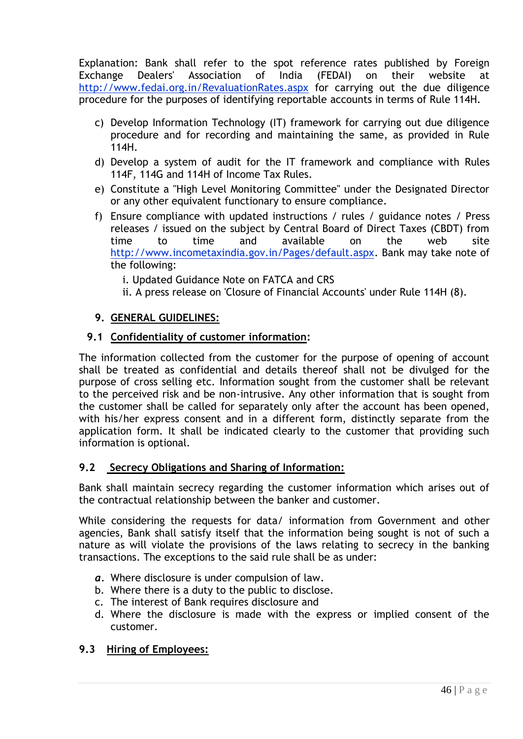Explanation: Bank shall refer to the spot reference rates published by Foreign Exchange Dealers' Association of India (FEDAI) on their website at http://www.fedai.org.in/RevaluationRates.aspx for carrying out the due diligence procedure for the purposes of identifying reportable accounts in terms of Rule 114H.

- c) Develop Information Technology (IT) framework for carrying out due diligence procedure and for recording and maintaining the same, as provided in Rule 114H.
- d) Develop a system of audit for the IT framework and compliance with Rules 114F, 114G and 114H of Income Tax Rules.
- e) Constitute a "High Level Monitoring Committee" under the Designated Director or any other equivalent functionary to ensure compliance.
- f) Ensure compliance with updated instructions / rules / guidance notes / Press releases / issued on the subject by Central Board of Direct Taxes (CBDT) from time to time and available on the web site http://www.incometaxindia.gov.in/Pages/default.aspx. Bank may take note of the following:

i. Updated Guidance Note on FATCA and CRS

ii. A press release on 'Closure of Financial Accounts' under Rule 114H (8).

# **9. GENERAL GUIDELINES:**

# **9.1 Confidentiality of customer information:**

The information collected from the customer for the purpose of opening of account shall be treated as confidential and details thereof shall not be divulged for the purpose of cross selling etc. Information sought from the customer shall be relevant to the perceived risk and be non-intrusive. Any other information that is sought from the customer shall be called for separately only after the account has been opened, with his/her express consent and in a different form, distinctly separate from the application form. It shall be indicated clearly to the customer that providing such information is optional.

# **9.2 Secrecy Obligations and Sharing of Information:**

Bank shall maintain secrecy regarding the customer information which arises out of the contractual relationship between the banker and customer.

While considering the requests for data/ information from Government and other agencies, Bank shall satisfy itself that the information being sought is not of such a nature as will violate the provisions of the laws relating to secrecy in the banking transactions. The exceptions to the said rule shall be as under:

- *a.* Where disclosure is under compulsion of law*.*
- b. Where there is a duty to the public to disclose.
- c. The interest of Bank requires disclosure and
- d. Where the disclosure is made with the express or implied consent of the customer.

# **9.3 Hiring of Employees:**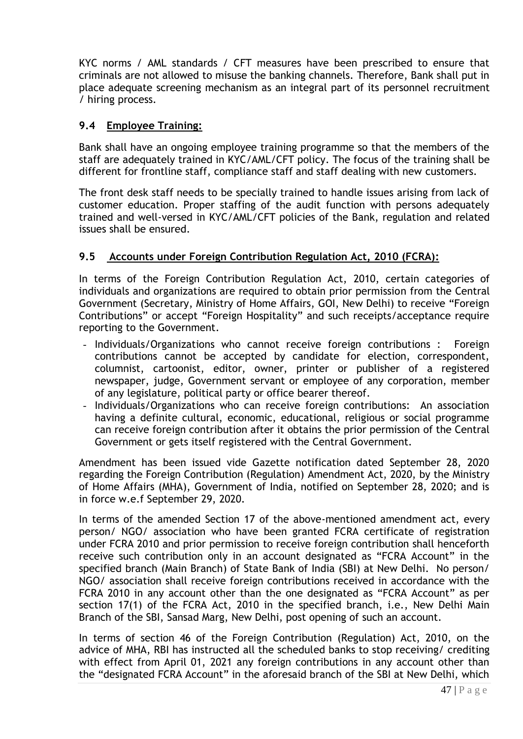KYC norms / AML standards / CFT measures have been prescribed to ensure that criminals are not allowed to misuse the banking channels. Therefore, Bank shall put in place adequate screening mechanism as an integral part of its personnel recruitment / hiring process.

# **9.4 Employee Training:**

Bank shall have an ongoing employee training programme so that the members of the staff are adequately trained in KYC/AML/CFT policy. The focus of the training shall be different for frontline staff, compliance staff and staff dealing with new customers.

The front desk staff needs to be specially trained to handle issues arising from lack of customer education. Proper staffing of the audit function with persons adequately trained and well-versed in KYC/AML/CFT policies of the Bank, regulation and related issues shall be ensured.

# **9.5 Accounts under Foreign Contribution Regulation Act, 2010 (FCRA):**

In terms of the Foreign Contribution Regulation Act, 2010, certain categories of individuals and organizations are required to obtain prior permission from the Central Government (Secretary, Ministry of Home Affairs, GOI, New Delhi) to receive "Foreign Contributions" or accept "Foreign Hospitality" and such receipts/acceptance require reporting to the Government.

- Individuals/Organizations who cannot receive foreign contributions : Foreign contributions cannot be accepted by candidate for election, correspondent, columnist, cartoonist, editor, owner, printer or publisher of a registered newspaper, judge, Government servant or employee of any corporation, member of any legislature, political party or office bearer thereof.
- Individuals/Organizations who can receive foreign contributions: An association having a definite cultural, economic, educational, religious or social programme can receive foreign contribution after it obtains the prior permission of the Central Government or gets itself registered with the Central Government.

Amendment has been issued vide Gazette notification dated September 28, 2020 regarding the Foreign Contribution (Regulation) Amendment Act, 2020, by the Ministry of Home Affairs (MHA), Government of India, notified on September 28, 2020; and is in force w.e.f September 29, 2020.

In terms of the amended Section 17 of the above-mentioned amendment act, every person/ NGO/ association who have been granted FCRA certificate of registration under FCRA 2010 and prior permission to receive foreign contribution shall henceforth receive such contribution only in an account designated as "FCRA Account" in the specified branch (Main Branch) of State Bank of India (SBI) at New Delhi. No person/ NGO/ association shall receive foreign contributions received in accordance with the FCRA 2010 in any account other than the one designated as "FCRA Account" as per section 17(1) of the FCRA Act, 2010 in the specified branch, i.e., New Delhi Main Branch of the SBI, Sansad Marg, New Delhi, post opening of such an account.

In terms of section 46 of the Foreign Contribution (Regulation) Act, 2010, on the advice of MHA, RBI has instructed all the scheduled banks to stop receiving/ crediting with effect from April 01, 2021 any foreign contributions in any account other than the "designated FCRA Account" in the aforesaid branch of the SBI at New Delhi, which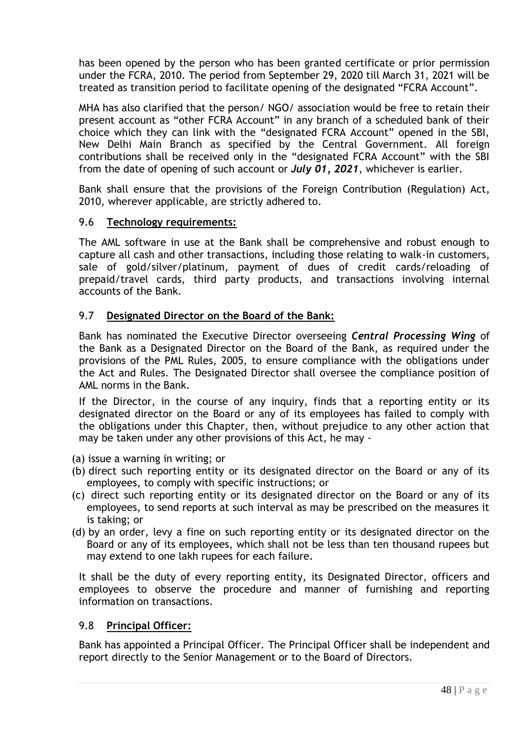has been opened by the person who has been granted certificate or prior permission under the FCRA, 2010. The period from September 29, 2020 till March 31, 2021 will be treated as transition period to facilitate opening of the designated "FCRA Account".

MHA has also clarified that the person/ NGO/ association would be free to retain their present account as "other FCRA Account" in any branch of a scheduled bank of their choice which they can link with the "designated FCRA Account" opened in the SBI, New Delhi Main Branch as specified by the Central Government. All foreign contributions shall be received only in the "designated FCRA Account" with the SBI from the date of opening of such account or *July 01, 2021*, whichever is earlier.

Bank shall ensure that the provisions of the Foreign Contribution (Regulation) Act, 2010, wherever applicable, are strictly adhered to.

### 9.6 **Technology requirements:**

The AML software in use at the Bank shall be comprehensive and robust enough to capture all cash and other transactions, including those relating to walk-in customers, sale of gold/silver/platinum, payment of dues of credit cards/reloading of prepaid/travel cards, third party products, and transactions involving internal accounts of the Bank.

### 9.7 **Designated Director on the Board of the Bank:**

Bank has nominated the Executive Director overseeing *Central Processing Wing* of the Bank as a Designated Director on the Board of the Bank, as required under the provisions of the PML Rules, 2005, to ensure compliance with the obligations under the Act and Rules. The Designated Director shall oversee the compliance position of AML norms in the Bank.

If the Director, in the course of any inquiry, finds that a reporting entity or its designated director on the Board or any of its employees has failed to comply with the obligations under this Chapter, then, without prejudice to any other action that may be taken under any other provisions of this Act, he may -

- (a) issue a warning in writing; or
- (b) direct such reporting entity or its designated director on the Board or any of its employees, to comply with specific instructions; or
- (c) direct such reporting entity or its designated director on the Board or any of its employees, to send reports at such interval as may be prescribed on the measures it is taking; or
- (d) by an order, levy a fine on such reporting entity or its designated director on the Board or any of its employees, which shall not be less than ten thousand rupees but may extend to one lakh rupees for each failure.

It shall be the duty of every reporting entity, its Designated Director, officers and employees to observe the procedure and manner of furnishing and reporting information on transactions.

# 9.8 **Principal Officer:**

Bank has appointed a Principal Officer. The Principal Officer shall be independent and report directly to the Senior Management or to the Board of Directors.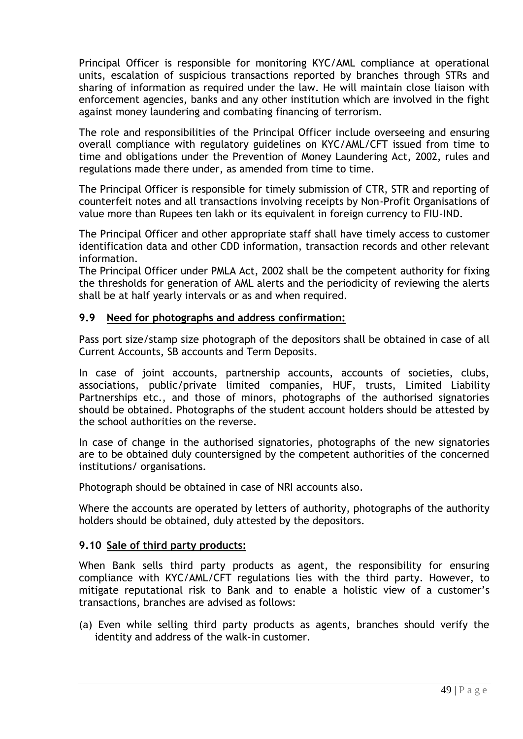Principal Officer is responsible for monitoring KYC/AML compliance at operational units, escalation of suspicious transactions reported by branches through STRs and sharing of information as required under the law. He will maintain close liaison with enforcement agencies, banks and any other institution which are involved in the fight against money laundering and combating financing of terrorism.

The role and responsibilities of the Principal Officer include overseeing and ensuring overall compliance with regulatory guidelines on KYC/AML/CFT issued from time to time and obligations under the Prevention of Money Laundering Act, 2002, rules and regulations made there under, as amended from time to time.

The Principal Officer is responsible for timely submission of CTR, STR and reporting of counterfeit notes and all transactions involving receipts by Non-Profit Organisations of value more than Rupees ten lakh or its equivalent in foreign currency to FIU-IND.

The Principal Officer and other appropriate staff shall have timely access to customer identification data and other CDD information, transaction records and other relevant information.

The Principal Officer under PMLA Act, 2002 shall be the competent authority for fixing the thresholds for generation of AML alerts and the periodicity of reviewing the alerts shall be at half yearly intervals or as and when required.

### **9.9 Need for photographs and address confirmation:**

Pass port size/stamp size photograph of the depositors shall be obtained in case of all Current Accounts, SB accounts and Term Deposits.

In case of joint accounts, partnership accounts, accounts of societies, clubs, associations, public/private limited companies, HUF, trusts, Limited Liability Partnerships etc., and those of minors, photographs of the authorised signatories should be obtained. Photographs of the student account holders should be attested by the school authorities on the reverse.

In case of change in the authorised signatories, photographs of the new signatories are to be obtained duly countersigned by the competent authorities of the concerned institutions/ organisations.

Photograph should be obtained in case of NRI accounts also.

Where the accounts are operated by letters of authority, photographs of the authority holders should be obtained, duly attested by the depositors.

#### **9.10 Sale of third party products:**

When Bank sells third party products as agent, the responsibility for ensuring compliance with KYC/AML/CFT regulations lies with the third party. However, to mitigate reputational risk to Bank and to enable a holistic view of a customer"s transactions, branches are advised as follows:

(a) Even while selling third party products as agents, branches should verify the identity and address of the walk-in customer.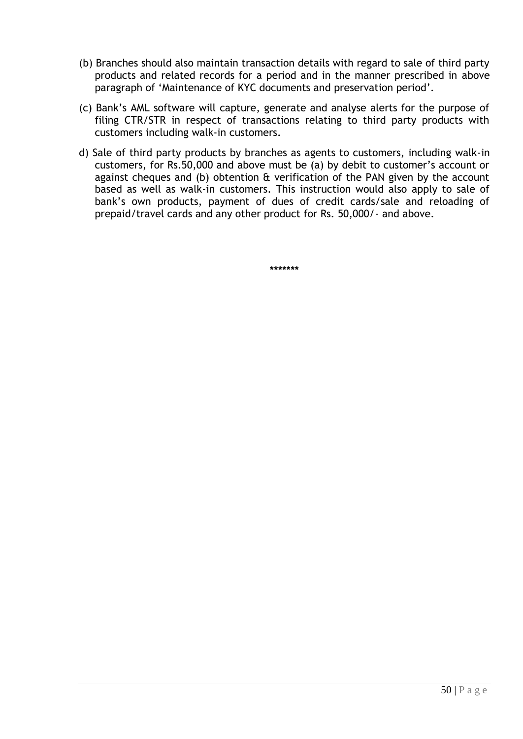- (b) Branches should also maintain transaction details with regard to sale of third party products and related records for a period and in the manner prescribed in above paragraph of "Maintenance of KYC documents and preservation period".
- (c) Bank"s AML software will capture, generate and analyse alerts for the purpose of filing CTR/STR in respect of transactions relating to third party products with customers including walk-in customers.
- d) Sale of third party products by branches as agents to customers, including walk-in customers, for Rs.50,000 and above must be (a) by debit to customer"s account or against cheques and (b) obtention & verification of the PAN given by the account based as well as walk-in customers. This instruction would also apply to sale of bank"s own products, payment of dues of credit cards/sale and reloading of prepaid/travel cards and any other product for Rs. 50,000/- and above.

**\*\*\*\*\*\*\***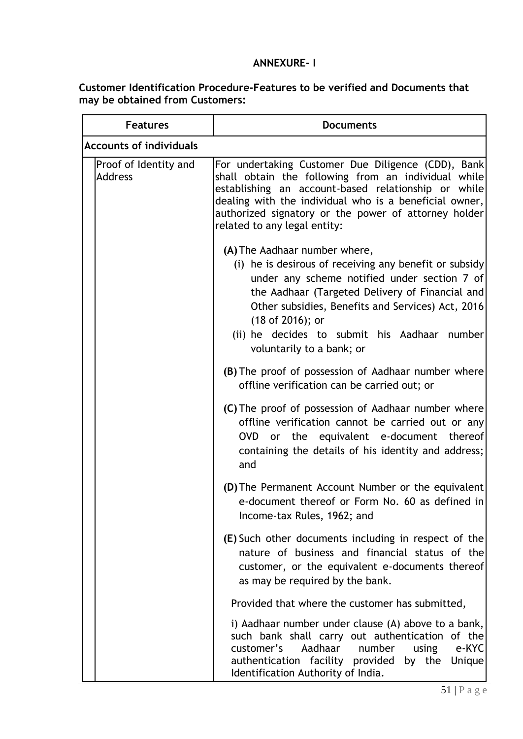# **ANNEXURE- I**

### **Customer Identification Procedure-Features to be verified and Documents that may be obtained from Customers:**

| <b>Features</b>                         | <b>Documents</b>                                                                                                                                                                                                                                                                                                                                 |  |
|-----------------------------------------|--------------------------------------------------------------------------------------------------------------------------------------------------------------------------------------------------------------------------------------------------------------------------------------------------------------------------------------------------|--|
| <b>Accounts of individuals</b>          |                                                                                                                                                                                                                                                                                                                                                  |  |
| Proof of Identity and<br><b>Address</b> | For undertaking Customer Due Diligence (CDD), Bank<br>shall obtain the following from an individual while<br>establishing an account-based relationship or while<br>dealing with the individual who is a beneficial owner,<br>authorized signatory or the power of attorney holder<br>related to any legal entity:                               |  |
|                                         | (A) The Aadhaar number where,<br>(i) he is desirous of receiving any benefit or subsidy<br>under any scheme notified under section 7 of<br>the Aadhaar (Targeted Delivery of Financial and<br>Other subsidies, Benefits and Services) Act, 2016<br>(18 of 2016); or<br>(ii) he decides to submit his Aadhaar number<br>voluntarily to a bank; or |  |
|                                         | (B) The proof of possession of Aadhaar number where<br>offline verification can be carried out; or                                                                                                                                                                                                                                               |  |
|                                         | (C) The proof of possession of Aadhaar number where<br>offline verification cannot be carried out or any<br>OVD or the equivalent e-document thereof<br>containing the details of his identity and address;<br>and                                                                                                                               |  |
|                                         | (D) The Permanent Account Number or the equivalent<br>e-document thereof or Form No. 60 as defined in<br>Income-tax Rules, 1962; and                                                                                                                                                                                                             |  |
|                                         | (E) Such other documents including in respect of the<br>nature of business and financial status of the<br>customer, or the equivalent e-documents thereof<br>as may be required by the bank.                                                                                                                                                     |  |
|                                         | Provided that where the customer has submitted,                                                                                                                                                                                                                                                                                                  |  |
|                                         | i) Aadhaar number under clause (A) above to a bank,<br>such bank shall carry out authentication of the<br>e-KYC<br>customer's<br>Aadhaar<br>number<br>using<br>authentication facility provided<br>by the Unique<br>Identification Authority of India.                                                                                           |  |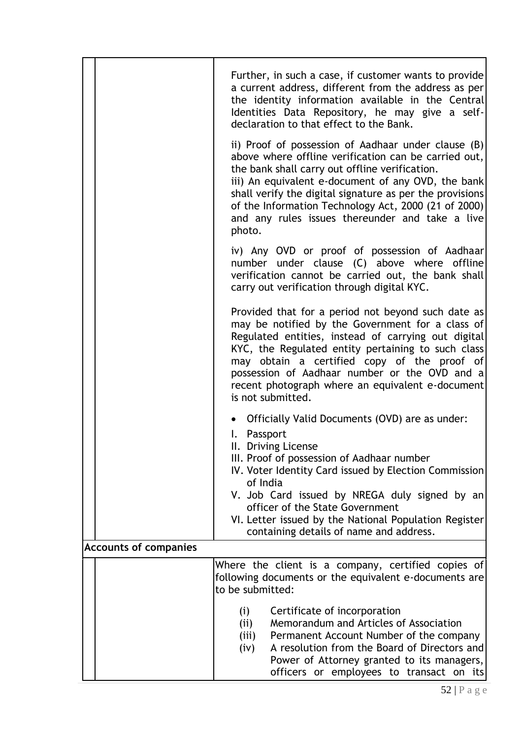|                              | Further, in such a case, if customer wants to provide<br>a current address, different from the address as per<br>the identity information available in the Central<br>Identities Data Repository, he may give a self-<br>declaration to that effect to the Bank.                                                                                                                                     |  |
|------------------------------|------------------------------------------------------------------------------------------------------------------------------------------------------------------------------------------------------------------------------------------------------------------------------------------------------------------------------------------------------------------------------------------------------|--|
|                              | ii) Proof of possession of Aadhaar under clause (B)<br>above where offline verification can be carried out,<br>the bank shall carry out offline verification.<br>iii) An equivalent e-document of any OVD, the bank<br>shall verify the digital signature as per the provisions<br>of the Information Technology Act, 2000 (21 of 2000)<br>and any rules issues thereunder and take a live<br>photo. |  |
|                              | iv) Any OVD or proof of possession of Aadhaar<br>number under clause (C) above where offline<br>verification cannot be carried out, the bank shall<br>carry out verification through digital KYC.                                                                                                                                                                                                    |  |
|                              | Provided that for a period not beyond such date as<br>may be notified by the Government for a class of<br>Regulated entities, instead of carrying out digital<br>KYC, the Regulated entity pertaining to such class<br>may obtain a certified copy of the proof of<br>possession of Aadhaar number or the OVD and a<br>recent photograph where an equivalent e-document<br>is not submitted.         |  |
|                              | • Officially Valid Documents (OVD) are as under:<br>I. Passport<br>II. Driving License<br>III. Proof of possession of Aadhaar number<br>IV. Voter Identity Card issued by Election Commission<br>of India<br>V. Job Card issued by NREGA duly signed by an<br>officer of the State Government<br>VI. Letter issued by the National Population Register<br>containing details of name and address.    |  |
| <b>Accounts of companies</b> |                                                                                                                                                                                                                                                                                                                                                                                                      |  |
|                              | Where the client is a company, certified copies of<br>following documents or the equivalent e-documents are<br>to be submitted:                                                                                                                                                                                                                                                                      |  |
|                              | Certificate of incorporation<br>(i)<br>Memorandum and Articles of Association<br>(ii)<br>(iii)<br>Permanent Account Number of the company<br>A resolution from the Board of Directors and<br>(iv)<br>Power of Attorney granted to its managers,<br>officers or employees to transact on its                                                                                                          |  |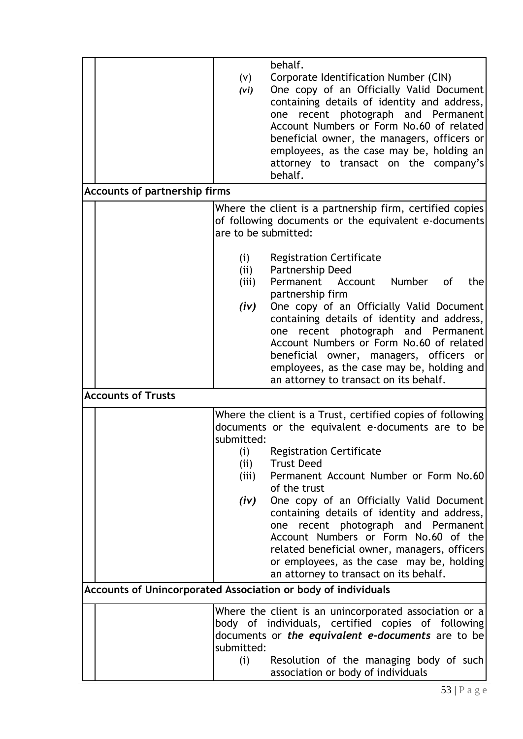|                                                               | (v)<br>(vi)                                | behalf.<br>Corporate Identification Number (CIN)<br>One copy of an Officially Valid Document<br>containing details of identity and address,<br>recent photograph and Permanent<br>one<br>Account Numbers or Form No.60 of related<br>beneficial owner, the managers, officers or<br>employees, as the case may be, holding an<br>attorney to transact on the company's<br>behalf.                                                                                                                                                                     |
|---------------------------------------------------------------|--------------------------------------------|-------------------------------------------------------------------------------------------------------------------------------------------------------------------------------------------------------------------------------------------------------------------------------------------------------------------------------------------------------------------------------------------------------------------------------------------------------------------------------------------------------------------------------------------------------|
| Accounts of partnership firms                                 |                                            |                                                                                                                                                                                                                                                                                                                                                                                                                                                                                                                                                       |
|                                                               | are to be submitted:                       | Where the client is a partnership firm, certified copies<br>of following documents or the equivalent e-documents                                                                                                                                                                                                                                                                                                                                                                                                                                      |
|                                                               | (i)<br>(ii)<br>(iii)<br>(iv)               | <b>Registration Certificate</b><br>Partnership Deed<br>Permanent<br>Account<br>Number<br>the<br>0f<br>partnership firm<br>One copy of an Officially Valid Document<br>containing details of identity and address,<br>recent photograph and Permanent<br>one<br>Account Numbers or Form No.60 of related<br>beneficial owner, managers, officers or<br>employees, as the case may be, holding and<br>an attorney to transact on its behalf.                                                                                                            |
| <b>Accounts of Trusts</b>                                     |                                            |                                                                                                                                                                                                                                                                                                                                                                                                                                                                                                                                                       |
|                                                               | submitted:<br>(i)<br>(ii)<br>(iii)<br>(iv) | Where the client is a Trust, certified copies of following<br>documents or the equivalent e-documents are to be<br><b>Registration Certificate</b><br><b>Trust Deed</b><br>Permanent Account Number or Form No.60<br>of the trust<br>One copy of an Officially Valid Document<br>containing details of identity and address,<br>recent photograph and Permanent<br>one<br>Account Numbers or Form No.60 of the<br>related beneficial owner, managers, officers<br>or employees, as the case may be, holding<br>an attorney to transact on its behalf. |
| Accounts of Unincorporated Association or body of individuals |                                            |                                                                                                                                                                                                                                                                                                                                                                                                                                                                                                                                                       |
|                                                               | submitted:                                 | Where the client is an unincorporated association or a<br>body of individuals, certified copies of following<br>documents or the equivalent e-documents are to be                                                                                                                                                                                                                                                                                                                                                                                     |
|                                                               | (i)                                        | Resolution of the managing body of such<br>association or body of individuals                                                                                                                                                                                                                                                                                                                                                                                                                                                                         |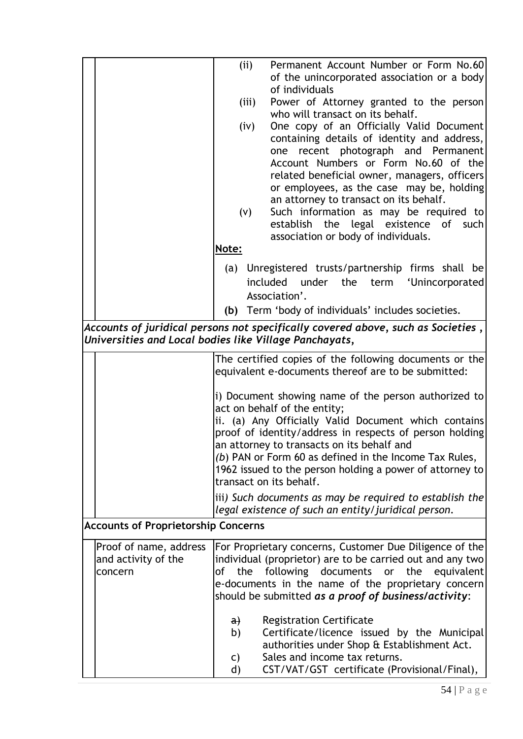|                                                                                                   | (ii)<br>(iii)<br>(iv)<br>(V)                                                                                                                                                                                                                                                          | Permanent Account Number or Form No.60<br>of the unincorporated association or a body<br>of individuals<br>Power of Attorney granted to the person<br>who will transact on its behalf.<br>One copy of an Officially Valid Document<br>containing details of identity and address,<br>recent photograph and Permanent<br>one<br>Account Numbers or Form No.60 of the<br>related beneficial owner, managers, officers<br>or employees, as the case may be, holding<br>an attorney to transact on its behalf.<br>Such information as may be required to<br>establish the legal existence of such<br>association or body of individuals. |
|---------------------------------------------------------------------------------------------------|---------------------------------------------------------------------------------------------------------------------------------------------------------------------------------------------------------------------------------------------------------------------------------------|--------------------------------------------------------------------------------------------------------------------------------------------------------------------------------------------------------------------------------------------------------------------------------------------------------------------------------------------------------------------------------------------------------------------------------------------------------------------------------------------------------------------------------------------------------------------------------------------------------------------------------------|
|                                                                                                   | Note:                                                                                                                                                                                                                                                                                 |                                                                                                                                                                                                                                                                                                                                                                                                                                                                                                                                                                                                                                      |
|                                                                                                   |                                                                                                                                                                                                                                                                                       | (a) Unregistered trusts/partnership firms shall be<br>included under the<br>term 'Unincorporated<br>Association'.                                                                                                                                                                                                                                                                                                                                                                                                                                                                                                                    |
|                                                                                                   |                                                                                                                                                                                                                                                                                       | (b) Term 'body of individuals' includes societies.                                                                                                                                                                                                                                                                                                                                                                                                                                                                                                                                                                                   |
| Universities and Local bodies like Village Panchayats,                                            |                                                                                                                                                                                                                                                                                       | Accounts of juridical persons not specifically covered above, such as Societies ,                                                                                                                                                                                                                                                                                                                                                                                                                                                                                                                                                    |
|                                                                                                   |                                                                                                                                                                                                                                                                                       | The certified copies of the following documents or the                                                                                                                                                                                                                                                                                                                                                                                                                                                                                                                                                                               |
|                                                                                                   |                                                                                                                                                                                                                                                                                       | equivalent e-documents thereof are to be submitted:                                                                                                                                                                                                                                                                                                                                                                                                                                                                                                                                                                                  |
|                                                                                                   |                                                                                                                                                                                                                                                                                       | i) Document showing name of the person authorized to<br>act on behalf of the entity;<br>ii. (a) Any Officially Valid Document which contains<br>proof of identity/address in respects of person holding<br>an attorney to transacts on its behalf and<br>(b) PAN or Form 60 as defined in the Income Tax Rules,<br>1962 issued to the person holding a power of attorney to<br>transact on its behalf.                                                                                                                                                                                                                               |
|                                                                                                   |                                                                                                                                                                                                                                                                                       | iii) Such documents as may be required to establish the                                                                                                                                                                                                                                                                                                                                                                                                                                                                                                                                                                              |
| legal existence of such an entity/juridical person.<br><b>Accounts of Proprietorship Concerns</b> |                                                                                                                                                                                                                                                                                       |                                                                                                                                                                                                                                                                                                                                                                                                                                                                                                                                                                                                                                      |
| Proof of name, address<br>and activity of the<br>concern                                          | For Proprietary concerns, Customer Due Diligence of the<br>individual (proprietor) are to be carried out and any two<br>following documents or the equivalent<br>of the<br>e-documents in the name of the proprietary concern<br>should be submitted as a proof of business/activity: |                                                                                                                                                                                                                                                                                                                                                                                                                                                                                                                                                                                                                                      |
|                                                                                                   | a)<br>b)<br>C)<br>d)                                                                                                                                                                                                                                                                  | <b>Registration Certificate</b><br>Certificate/licence issued by the Municipal<br>authorities under Shop & Establishment Act.<br>Sales and income tax returns.<br>CST/VAT/GST certificate (Provisional/Final),                                                                                                                                                                                                                                                                                                                                                                                                                       |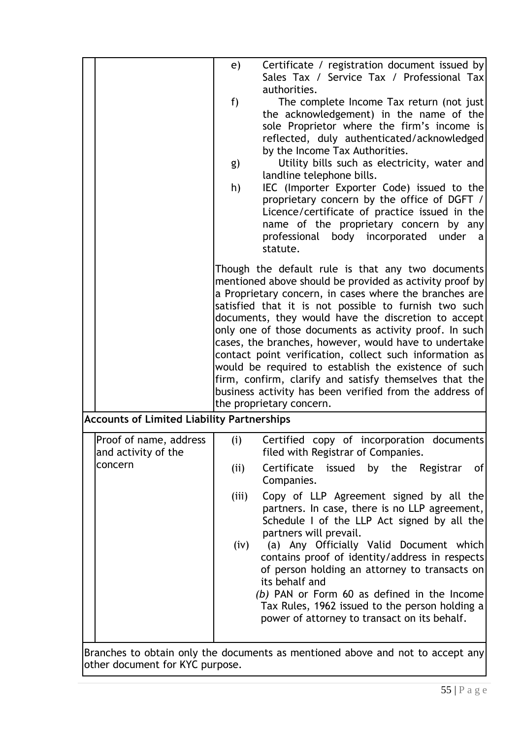|                                                                             | Certificate / registration document issued by<br>e)<br>Sales Tax / Service Tax / Professional Tax<br>authorities.<br>$f$ )<br>The complete Income Tax return (not just<br>the acknowledgement) in the name of the<br>sole Proprietor where the firm's income is<br>reflected, duly authenticated/acknowledged<br>by the Income Tax Authorities.<br>Utility bills such as electricity, water and<br>g)<br>landline telephone bills.<br>h)<br>IEC (Importer Exporter Code) issued to the<br>proprietary concern by the office of DGFT /<br>Licence/certificate of practice issued in the<br>name of the proprietary concern by any<br>professional<br>body incorporated under<br>a<br>statute.<br>Though the default rule is that any two documents<br>mentioned above should be provided as activity proof by<br>a Proprietary concern, in cases where the branches are<br>satisfied that it is not possible to furnish two such<br>documents, they would have the discretion to accept<br>only one of those documents as activity proof. In such<br>cases, the branches, however, would have to undertake<br>contact point verification, collect such information as<br>would be required to establish the existence of such<br>firm, confirm, clarify and satisfy themselves that the<br>business activity has been verified from the address of<br>the proprietary concern. |
|-----------------------------------------------------------------------------|-------------------------------------------------------------------------------------------------------------------------------------------------------------------------------------------------------------------------------------------------------------------------------------------------------------------------------------------------------------------------------------------------------------------------------------------------------------------------------------------------------------------------------------------------------------------------------------------------------------------------------------------------------------------------------------------------------------------------------------------------------------------------------------------------------------------------------------------------------------------------------------------------------------------------------------------------------------------------------------------------------------------------------------------------------------------------------------------------------------------------------------------------------------------------------------------------------------------------------------------------------------------------------------------------------------------------------------------------------------------------------|
| <b>Accounts of Limited Liability Partnerships</b><br>Proof of name, address | (i)<br>Certified copy of incorporation documents                                                                                                                                                                                                                                                                                                                                                                                                                                                                                                                                                                                                                                                                                                                                                                                                                                                                                                                                                                                                                                                                                                                                                                                                                                                                                                                              |
| and activity of the<br>concern                                              | filed with Registrar of Companies.<br>Certificate<br>issued by the Registrar<br>of<br>(ii)                                                                                                                                                                                                                                                                                                                                                                                                                                                                                                                                                                                                                                                                                                                                                                                                                                                                                                                                                                                                                                                                                                                                                                                                                                                                                    |
|                                                                             | Companies.                                                                                                                                                                                                                                                                                                                                                                                                                                                                                                                                                                                                                                                                                                                                                                                                                                                                                                                                                                                                                                                                                                                                                                                                                                                                                                                                                                    |
|                                                                             | Copy of LLP Agreement signed by all the<br>(iii)<br>partners. In case, there is no LLP agreement,<br>Schedule I of the LLP Act signed by all the<br>partners will prevail.                                                                                                                                                                                                                                                                                                                                                                                                                                                                                                                                                                                                                                                                                                                                                                                                                                                                                                                                                                                                                                                                                                                                                                                                    |
|                                                                             | (iv)<br>(a) Any Officially Valid Document which<br>contains proof of identity/address in respects<br>of person holding an attorney to transacts on<br>its behalf and<br>(b) PAN or Form 60 as defined in the Income<br>Tax Rules, 1962 issued to the person holding a<br>power of attorney to transact on its behalf.                                                                                                                                                                                                                                                                                                                                                                                                                                                                                                                                                                                                                                                                                                                                                                                                                                                                                                                                                                                                                                                         |

Branches to obtain only the documents as mentioned above and not to accept any other document for KYC purpose.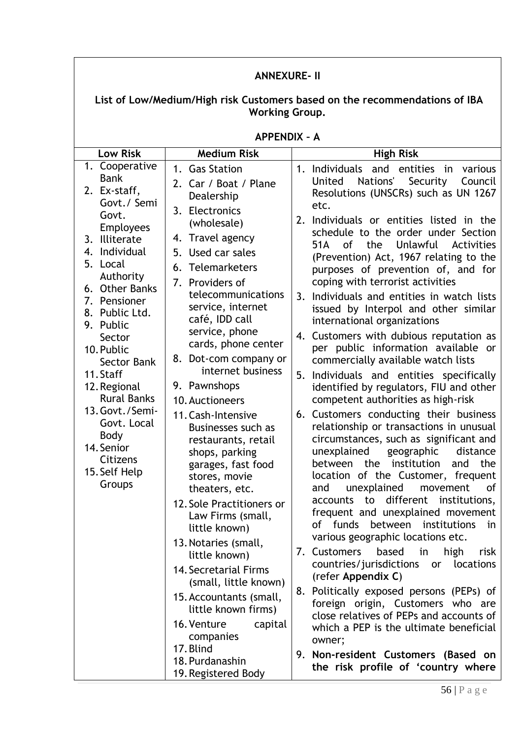| <b>ANNEXURE- II</b>                                                                                                                                                                                                                                                                                                                                                                                            |                                                                                                                                                                                                                                                                                                                                                                                                                                                                                                                                                                                                                                                                                                                                                                                        |                                                                                                                                                                                                                                                                                                                                                                                                                                                                                                                                                                                                                                                                                                                                                                                                                                                                                                                                                                                                                                                                                                                                                                                                                                                                                                                                                                                                                                                                                                                                                                                 |  |
|----------------------------------------------------------------------------------------------------------------------------------------------------------------------------------------------------------------------------------------------------------------------------------------------------------------------------------------------------------------------------------------------------------------|----------------------------------------------------------------------------------------------------------------------------------------------------------------------------------------------------------------------------------------------------------------------------------------------------------------------------------------------------------------------------------------------------------------------------------------------------------------------------------------------------------------------------------------------------------------------------------------------------------------------------------------------------------------------------------------------------------------------------------------------------------------------------------------|---------------------------------------------------------------------------------------------------------------------------------------------------------------------------------------------------------------------------------------------------------------------------------------------------------------------------------------------------------------------------------------------------------------------------------------------------------------------------------------------------------------------------------------------------------------------------------------------------------------------------------------------------------------------------------------------------------------------------------------------------------------------------------------------------------------------------------------------------------------------------------------------------------------------------------------------------------------------------------------------------------------------------------------------------------------------------------------------------------------------------------------------------------------------------------------------------------------------------------------------------------------------------------------------------------------------------------------------------------------------------------------------------------------------------------------------------------------------------------------------------------------------------------------------------------------------------------|--|
| List of Low/Medium/High risk Customers based on the recommendations of IBA<br><b>Working Group.</b>                                                                                                                                                                                                                                                                                                            |                                                                                                                                                                                                                                                                                                                                                                                                                                                                                                                                                                                                                                                                                                                                                                                        |                                                                                                                                                                                                                                                                                                                                                                                                                                                                                                                                                                                                                                                                                                                                                                                                                                                                                                                                                                                                                                                                                                                                                                                                                                                                                                                                                                                                                                                                                                                                                                                 |  |
|                                                                                                                                                                                                                                                                                                                                                                                                                | <b>APPENDIX - A</b>                                                                                                                                                                                                                                                                                                                                                                                                                                                                                                                                                                                                                                                                                                                                                                    |                                                                                                                                                                                                                                                                                                                                                                                                                                                                                                                                                                                                                                                                                                                                                                                                                                                                                                                                                                                                                                                                                                                                                                                                                                                                                                                                                                                                                                                                                                                                                                                 |  |
| <b>Low Risk</b>                                                                                                                                                                                                                                                                                                                                                                                                | <b>Medium Risk</b>                                                                                                                                                                                                                                                                                                                                                                                                                                                                                                                                                                                                                                                                                                                                                                     | <b>High Risk</b>                                                                                                                                                                                                                                                                                                                                                                                                                                                                                                                                                                                                                                                                                                                                                                                                                                                                                                                                                                                                                                                                                                                                                                                                                                                                                                                                                                                                                                                                                                                                                                |  |
| 1. Cooperative<br><b>Bank</b><br>2. Ex-staff,<br>Govt./ Semi<br>Govt.<br><b>Employees</b><br>3. Illiterate<br>4. Individual<br>5. Local<br>Authority<br>6. Other Banks<br>7. Pensioner<br>8. Public Ltd.<br>9. Public<br>Sector<br>10. Public<br>Sector Bank<br>11. Staff<br>12. Regional<br><b>Rural Banks</b><br>13. Govt./Semi-<br>Govt. Local<br>Body<br>14. Senior<br>Citizens<br>15. Self Help<br>Groups | 1. Gas Station<br>2. Car / Boat / Plane<br>Dealership<br>3. Electronics<br>(wholesale)<br>4. Travel agency<br>5. Used car sales<br>6. Telemarketers<br>7. Providers of<br>telecommunications<br>service, internet<br>café, IDD call<br>service, phone<br>cards, phone center<br>8. Dot-com company or<br>internet business<br>9. Pawnshops<br>10. Auctioneers<br>11. Cash-Intensive<br>Businesses such as<br>restaurants, retail<br>shops, parking<br>garages, fast food<br>stores, movie<br>theaters, etc.<br>12. Sole Practitioners or<br>Law Firms (small,<br>little known)<br>13. Notaries (small,<br>little known)<br><b>14. Secretarial Firms</b><br>(small, little known)<br>15. Accountants (small,<br>little known firms)<br>16. Venture<br>capital<br>companies<br>17. Blind | 1. Individuals and entities<br>various<br>in<br>United<br>Nations'<br>Security<br>Council<br>Resolutions (UNSCRs) such as UN 1267<br>etc.<br>2. Individuals or entities listed in the<br>schedule to the order under Section<br>Unlawful<br>0f<br>the<br>Activities<br>51A<br>(Prevention) Act, 1967 relating to the<br>purposes of prevention of, and for<br>coping with terrorist activities<br>Individuals and entities in watch lists<br>3.<br>issued by Interpol and other similar<br>international organizations<br>4. Customers with dubious reputation as<br>per public information available or<br>commercially available watch lists<br>Individuals and entities specifically<br>5.<br>identified by regulators, FIU and other<br>competent authorities as high-risk<br>6. Customers conducting their business<br>relationship or transactions in unusual<br>circumstances, such as significant and<br>unexplained geographic distance<br>the institution<br>the<br>between<br>and<br>location of the Customer, frequent<br>unexplained<br>movement<br>and<br>0f<br>accounts to different institutions,<br>frequent and unexplained movement<br>of funds<br>between institutions<br>in<br>various geographic locations etc.<br>7. Customers<br>based<br>high<br>in<br>risk<br>countries/jurisdictions<br>locations<br>or<br>(refer Appendix C)<br>8. Politically exposed persons (PEPs) of<br>foreign origin, Customers who are<br>close relatives of PEPs and accounts of<br>which a PEP is the ultimate beneficial<br>owner;<br>9. Non-resident Customers (Based on |  |
|                                                                                                                                                                                                                                                                                                                                                                                                                | 18. Purdanashin<br>19. Registered Body                                                                                                                                                                                                                                                                                                                                                                                                                                                                                                                                                                                                                                                                                                                                                 | the risk profile of 'country where                                                                                                                                                                                                                                                                                                                                                                                                                                                                                                                                                                                                                                                                                                                                                                                                                                                                                                                                                                                                                                                                                                                                                                                                                                                                                                                                                                                                                                                                                                                                              |  |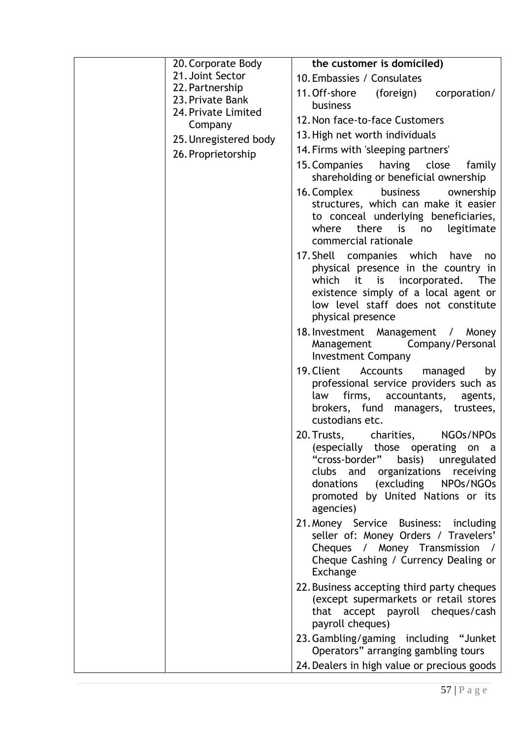| 20. Corporate Body                  | the customer is domiciled)                                                                                                                                                                                                         |
|-------------------------------------|------------------------------------------------------------------------------------------------------------------------------------------------------------------------------------------------------------------------------------|
| 21. Joint Sector                    | 10. Embassies / Consulates                                                                                                                                                                                                         |
| 22. Partnership<br>23. Private Bank | 11. Off-shore (foreign)<br>corporation/<br>business                                                                                                                                                                                |
| 24. Private Limited                 | 12. Non face-to-face Customers                                                                                                                                                                                                     |
| Company                             | 13. High net worth individuals                                                                                                                                                                                                     |
| 25. Unregistered body               | 14. Firms with 'sleeping partners'                                                                                                                                                                                                 |
| 26. Proprietorship                  | 15. Companies having close family                                                                                                                                                                                                  |
|                                     | shareholding or beneficial ownership                                                                                                                                                                                               |
|                                     | 16. Complex<br>business<br>ownership<br>structures, which can make it easier<br>to conceal underlying beneficiaries,<br>there is<br>where<br>legitimate<br>no<br>commercial rationale                                              |
|                                     | 17. Shell companies which have<br>no<br>physical presence in the country in<br>which it is incorporated.<br>The<br>existence simply of a local agent or<br>low level staff does not constitute<br>physical presence                |
|                                     | 18. Investment Management / Money<br>Company/Personal<br>Management<br><b>Investment Company</b>                                                                                                                                   |
|                                     | 19. Client<br>Accounts<br>managed<br>by<br>professional service providers such as<br>firms, accountants,<br>law<br>agents,<br>brokers, fund managers, trustees,<br>custodians etc.                                                 |
|                                     | 20. Trusts, charities, NGOs/NPOs<br>(especially those operating on a<br>"cross-border" basis) unregulated<br>clubs and organizations receiving<br>donations (excluding NPOs/NGOs<br>promoted by United Nations or its<br>agencies) |
|                                     | 21. Money Service Business: including<br>seller of: Money Orders / Travelers'<br>Cheques / Money Transmission /<br>Cheque Cashing / Currency Dealing or<br>Exchange                                                                |
|                                     | 22. Business accepting third party cheques<br>(except supermarkets or retail stores<br>that accept payroll cheques/cash<br>payroll cheques)                                                                                        |
|                                     | 23. Gambling/gaming including "Junket<br>Operators" arranging gambling tours                                                                                                                                                       |
|                                     | 24. Dealers in high value or precious goods                                                                                                                                                                                        |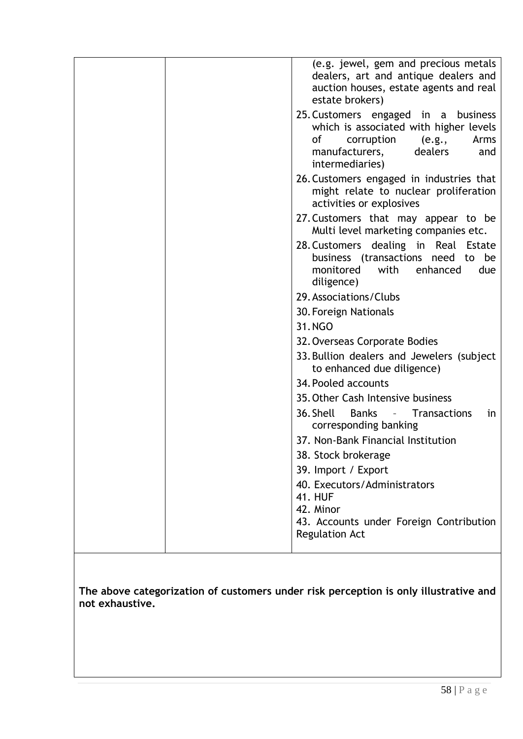| (e.g. jewel, gem and precious metals<br>dealers, art and antique dealers and<br>auction houses, estate agents and real<br>estate brokers)                                 |
|---------------------------------------------------------------------------------------------------------------------------------------------------------------------------|
| 25. Customers engaged in a business<br>which is associated with higher levels<br>0f<br>corruption<br>e.g.,<br>Arms<br>manufacturers,<br>dealers<br>and<br>intermediaries) |
| 26. Customers engaged in industries that<br>might relate to nuclear proliferation<br>activities or explosives                                                             |
| 27. Customers that may appear to be<br>Multi level marketing companies etc.                                                                                               |
| 28. Customers dealing in Real Estate<br>business (transactions need to be<br>monitored<br>with<br>enhanced<br>due<br>diligence)                                           |
| 29. Associations/Clubs                                                                                                                                                    |
| 30. Foreign Nationals                                                                                                                                                     |
| 31.NGO                                                                                                                                                                    |
| 32. Overseas Corporate Bodies                                                                                                                                             |
| 33. Bullion dealers and Jewelers (subject)<br>to enhanced due diligence)                                                                                                  |
| 34. Pooled accounts                                                                                                                                                       |
| 35. Other Cash Intensive business                                                                                                                                         |
| 36. Shell<br><b>Banks</b><br>Transactions<br>in<br>$\mathcal{L}_{\rm{max}}$ and $\mathcal{L}_{\rm{max}}$<br>corresponding banking                                         |
| 37. Non-Bank Financial Institution                                                                                                                                        |
| 38. Stock brokerage                                                                                                                                                       |
| 39. Import / Export                                                                                                                                                       |
| 40. Executors/Administrators                                                                                                                                              |
| <b>41. HUF</b><br>42. Minor                                                                                                                                               |
| 43. Accounts under Foreign Contribution<br><b>Regulation Act</b>                                                                                                          |
|                                                                                                                                                                           |

**The above categorization of customers under risk perception is only illustrative and not exhaustive.**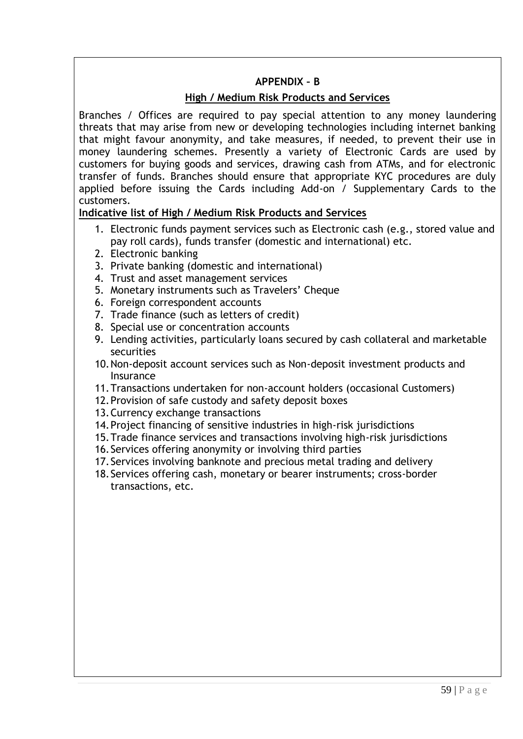# **APPENDIX – B**

# **High / Medium Risk Products and Services**

Branches / Offices are required to pay special attention to any money laundering threats that may arise from new or developing technologies including internet banking that might favour anonymity, and take measures, if needed, to prevent their use in money laundering schemes. Presently a variety of Electronic Cards are used by customers for buying goods and services, drawing cash from ATMs, and for electronic transfer of funds. Branches should ensure that appropriate KYC procedures are duly applied before issuing the Cards including Add-on / Supplementary Cards to the customers.

# **Indicative list of High / Medium Risk Products and Services**

- 1. Electronic funds payment services such as Electronic cash (e.g., stored value and pay roll cards), funds transfer (domestic and international) etc.
- 2. Electronic banking
- 3. Private banking (domestic and international)
- 4. Trust and asset management services
- 5. Monetary instruments such as Travelers" Cheque
- 6. Foreign correspondent accounts
- 7. Trade finance (such as letters of credit)
- 8. Special use or concentration accounts
- 9. Lending activities, particularly loans secured by cash collateral and marketable securities
- 10.Non-deposit account services such as Non-deposit investment products and Insurance
- 11.Transactions undertaken for non-account holders (occasional Customers)
- 12.Provision of safe custody and safety deposit boxes
- 13.Currency exchange transactions
- 14.Project financing of sensitive industries in high-risk jurisdictions
- 15.Trade finance services and transactions involving high-risk jurisdictions
- 16.Services offering anonymity or involving third parties
- 17.Services involving banknote and precious metal trading and delivery
- 18.Services offering cash, monetary or bearer instruments; cross-border transactions, etc.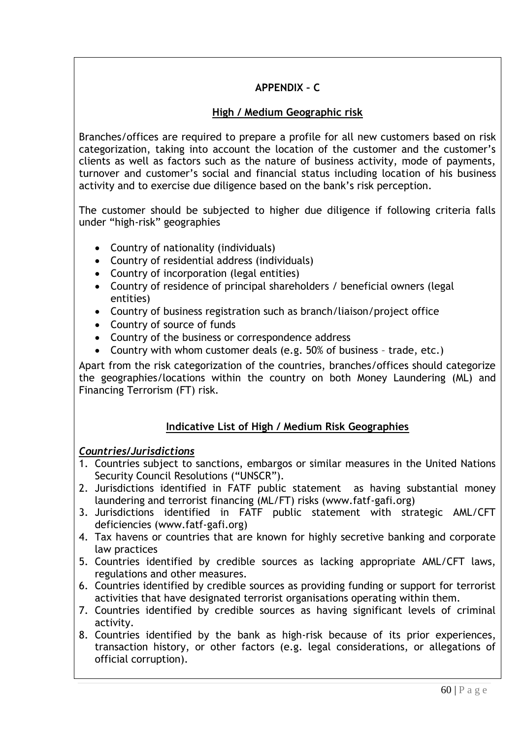# **APPENDIX – C**

# **High / Medium Geographic risk**

Branches/offices are required to prepare a profile for all new customers based on risk categorization, taking into account the location of the customer and the customer"s clients as well as factors such as the nature of business activity, mode of payments, turnover and customer"s social and financial status including location of his business activity and to exercise due diligence based on the bank"s risk perception.

The customer should be subjected to higher due diligence if following criteria falls under "high-risk" geographies

- Country of nationality (individuals)
- Country of residential address (individuals)
- Country of incorporation (legal entities)
- Country of residence of principal shareholders / beneficial owners (legal entities)
- Country of business registration such as branch/liaison/project office
- Country of source of funds
- Country of the business or correspondence address
- Country with whom customer deals (e.g. 50% of business trade, etc.)

 Apart from the risk categorization of the countries, branches/offices should categorize the geographies/locations within the country on both Money Laundering (ML) and Financing Terrorism (FT) risk.

# **Indicative List of High / Medium Risk Geographies**

# *Countries/Jurisdictions*

- 1. Countries subject to sanctions, embargos or similar measures in the United Nations Security Council Resolutions ("UNSCR").
- 2. Jurisdictions identified in FATF public statement as having substantial money laundering and terrorist financing (ML/FT) risks (www.fatf-gafi.org)
- 3. Jurisdictions identified in FATF public statement with strategic AML/CFT deficiencies (www.fatf-gafi.org)
- 4. Tax havens or countries that are known for highly secretive banking and corporate law practices
- 5. Countries identified by credible sources as lacking appropriate AML/CFT laws, regulations and other measures.
- 6. Countries identified by credible sources as providing funding or support for terrorist activities that have designated terrorist organisations operating within them.
- 7. Countries identified by credible sources as having significant levels of criminal activity.
- 8. Countries identified by the bank as high-risk because of its prior experiences, transaction history, or other factors (e.g. legal considerations, or allegations of official corruption).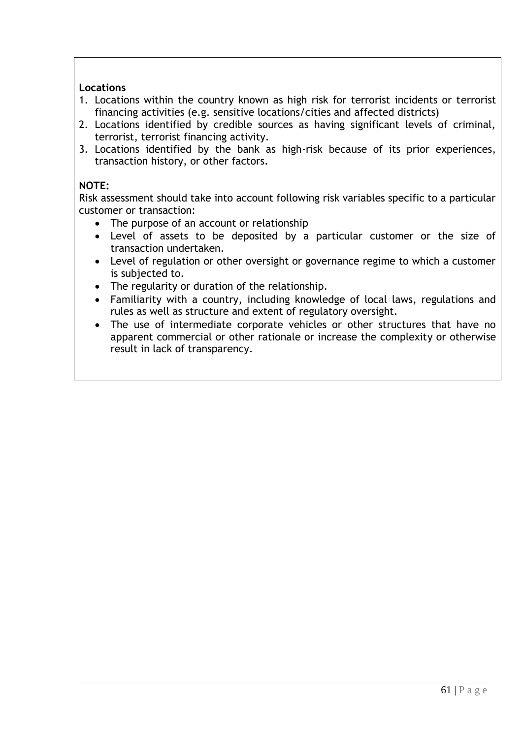### **Locations**

- 1. Locations within the country known as high risk for terrorist incidents or terrorist financing activities (e.g. sensitive locations/cities and affected districts)
- 2. Locations identified by credible sources as having significant levels of criminal, terrorist, terrorist financing activity.
- 3. Locations identified by the bank as high-risk because of its prior experiences, transaction history, or other factors.

## **NOTE:**

 Risk assessment should take into account following risk variables specific to a particular customer or transaction:

- The purpose of an account or relationship
- Level of assets to be deposited by a particular customer or the size of transaction undertaken.
- Level of regulation or other oversight or governance regime to which a customer is subjected to.
- The regularity or duration of the relationship.
- Familiarity with a country, including knowledge of local laws, regulations and rules as well as structure and extent of regulatory oversight.
- The use of intermediate corporate vehicles or other structures that have no apparent commercial or other rationale or increase the complexity or otherwise result in lack of transparency.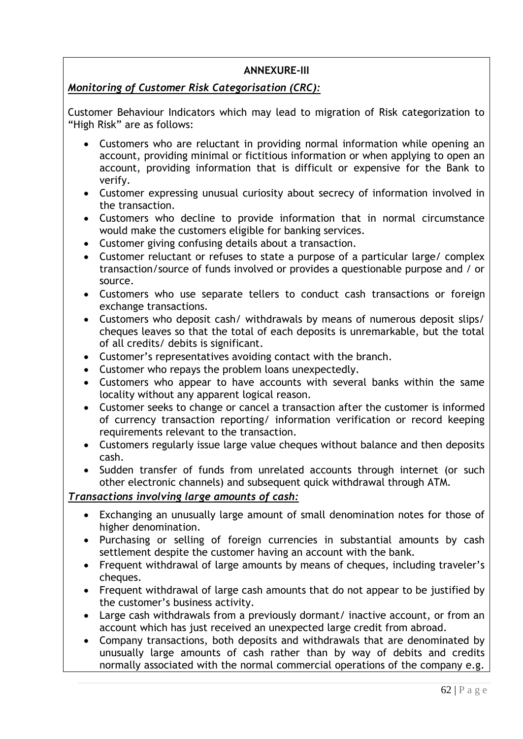# **ANNEXURE-III**

# <span id="page-61-0"></span>*Monitoring of Customer Risk Categorisation (CRC):*

Customer Behaviour Indicators which may lead to migration of Risk categorization to "High Risk" are as follows:

- Customers who are reluctant in providing normal information while opening an account, providing minimal or fictitious information or when applying to open an account, providing information that is difficult or expensive for the Bank to verify.
- Customer expressing unusual curiosity about secrecy of information involved in the transaction.
- Customers who decline to provide information that in normal circumstance would make the customers eligible for banking services.
- Customer giving confusing details about a transaction.
- Customer reluctant or refuses to state a purpose of a particular large/ complex transaction/source of funds involved or provides a questionable purpose and / or source.
- Customers who use separate tellers to conduct cash transactions or foreign exchange transactions.
- Customers who deposit cash/ withdrawals by means of numerous deposit slips/ cheques leaves so that the total of each deposits is unremarkable, but the total of all credits/ debits is significant.
- Customer"s representatives avoiding contact with the branch.
- Customer who repays the problem loans unexpectedly.
- Customers who appear to have accounts with several banks within the same locality without any apparent logical reason.
- Customer seeks to change or cancel a transaction after the customer is informed of currency transaction reporting/ information verification or record keeping requirements relevant to the transaction.
- Customers regularly issue large value cheques without balance and then deposits cash.
- Sudden transfer of funds from unrelated accounts through internet (or such other electronic channels) and subsequent quick withdrawal through ATM.

# *Transactions involving large amounts of cash:*

- Exchanging an unusually large amount of small denomination notes for those of higher denomination.
- Purchasing or selling of foreign currencies in substantial amounts by cash settlement despite the customer having an account with the bank.
- Frequent withdrawal of large amounts by means of cheques, including traveler's cheques.
- Frequent withdrawal of large cash amounts that do not appear to be justified by the customer"s business activity.
- Large cash withdrawals from a previously dormant/ inactive account, or from an account which has just received an unexpected large credit from abroad.
- Company transactions, both deposits and withdrawals that are denominated by unusually large amounts of cash rather than by way of debits and credits normally associated with the normal commercial operations of the company e.g.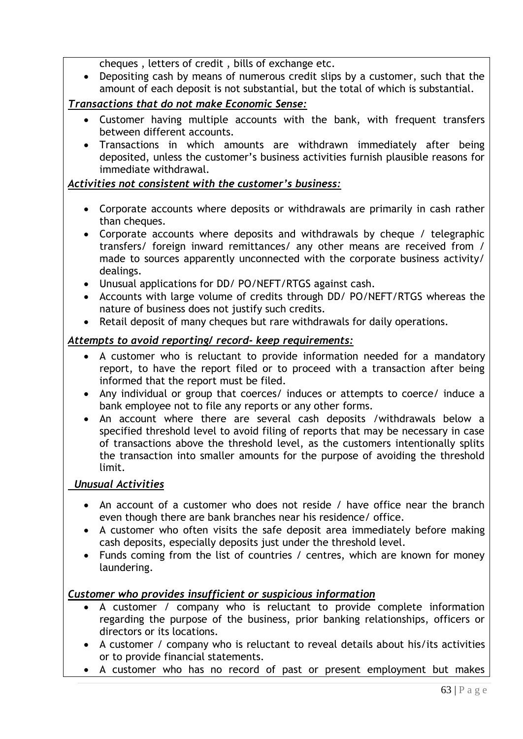cheques , letters of credit , bills of exchange etc.

 Depositing cash by means of numerous credit slips by a customer, such that the amount of each deposit is not substantial, but the total of which is substantial.

# *Transactions that do not make Economic Sense:*

- Customer having multiple accounts with the bank, with frequent transfers between different accounts.
- Transactions in which amounts are withdrawn immediately after being deposited, unless the customer"s business activities furnish plausible reasons for immediate withdrawal.

# *Activities not consistent with the customer"s business:*

- Corporate accounts where deposits or withdrawals are primarily in cash rather than cheques.
- Corporate accounts where deposits and withdrawals by cheque / telegraphic transfers/ foreign inward remittances/ any other means are received from / made to sources apparently unconnected with the corporate business activity/ dealings.
- Unusual applications for DD/ PO/NEFT/RTGS against cash.
- Accounts with large volume of credits through DD/ PO/NEFT/RTGS whereas the nature of business does not justify such credits.
- Retail deposit of many cheques but rare withdrawals for daily operations.

# *Attempts to avoid reporting/ record- keep requirements:*

- A customer who is reluctant to provide information needed for a mandatory report, to have the report filed or to proceed with a transaction after being informed that the report must be filed.
- Any individual or group that coerces/ induces or attempts to coerce/ induce a bank employee not to file any reports or any other forms.
- An account where there are several cash deposits /withdrawals below a specified threshold level to avoid filing of reports that may be necessary in case of transactions above the threshold level, as the customers intentionally splits the transaction into smaller amounts for the purpose of avoiding the threshold limit.

# *Unusual Activities*

- An account of a customer who does not reside / have office near the branch even though there are bank branches near his residence/ office.
- A customer who often visits the safe deposit area immediately before making cash deposits, especially deposits just under the threshold level.
- Funds coming from the list of countries / centres, which are known for money laundering.

# *Customer who provides insufficient or suspicious information*

- A customer / company who is reluctant to provide complete information regarding the purpose of the business, prior banking relationships, officers or directors or its locations.
- A customer / company who is reluctant to reveal details about his/its activities or to provide financial statements.
- A customer who has no record of past or present employment but makes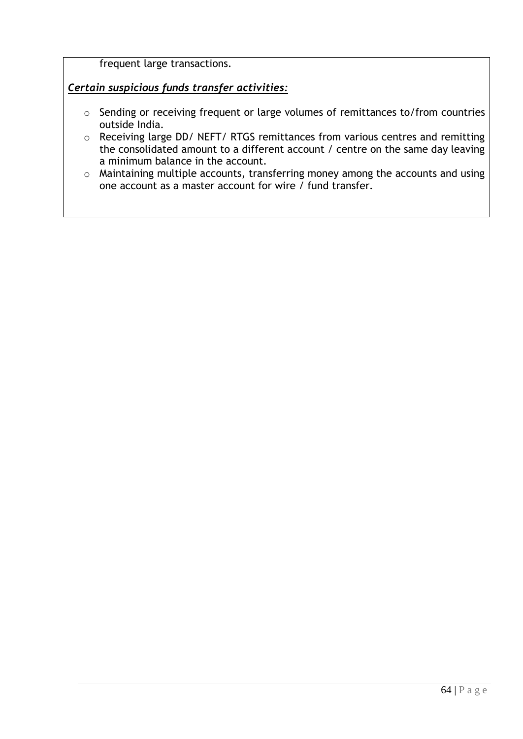frequent large transactions.

# *Certain suspicious funds transfer activities:*

- o Sending or receiving frequent or large volumes of remittances to/from countries outside India.
- o Receiving large DD/ NEFT/ RTGS remittances from various centres and remitting the consolidated amount to a different account / centre on the same day leaving a minimum balance in the account.
- o Maintaining multiple accounts, transferring money among the accounts and using one account as a master account for wire / fund transfer.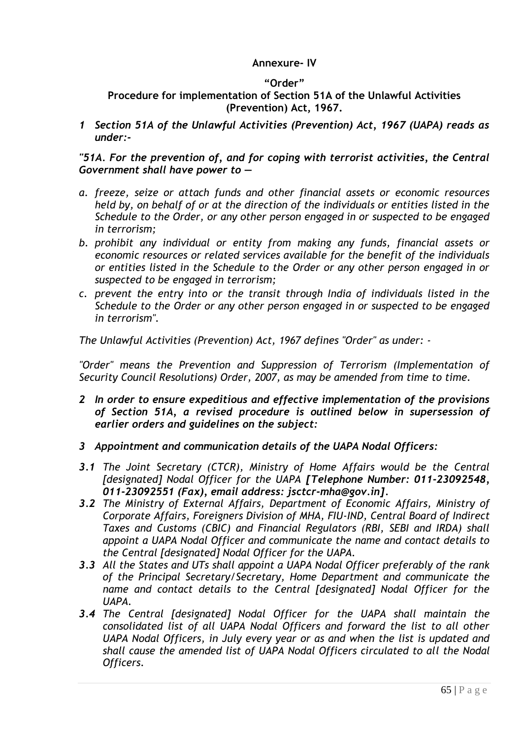## **Annexure- IV**

#### **"Order"**

# <span id="page-64-0"></span>**Procedure for implementation of Section 51A of the Unlawful Activities (Prevention) Act, 1967.**

*1 Section 51A of the Unlawful Activities (Prevention) Act, 1967 (UAPA) reads as under:-*

#### *"51A. For the prevention of, and for coping with terrorist activities, the Central Government shall have power to —*

- *a. freeze, seize or attach funds and other financial assets or economic resources held by, on behalf of or at the direction of the individuals or entities listed in the Schedule to the Order, or any other person engaged in or suspected to be engaged in terrorism;*
- *b. prohibit any individual or entity from making any funds, financial assets or economic resources or related services available for the benefit of the individuals or entities listed in the Schedule to the Order or any other person engaged in or suspected to be engaged in terrorism;*
- *c. prevent the entry into or the transit through India of individuals listed in the Schedule to the Order or any other person engaged in or suspected to be engaged in terrorism".*

*The Unlawful Activities (Prevention) Act, 1967 defines "Order" as under: -*

*"Order" means the Prevention and Suppression of Terrorism (Implementation of Security Council Resolutions) Order, 2007, as may be amended from time to time.*

- *2 In order to ensure expeditious and effective implementation of the provisions of Section 51A, a revised procedure is outlined below in supersession of earlier orders and guidelines on the subject:*
- *3 Appointment and communication details of the UAPA Nodal Officers:*
- *3.1 The Joint Secretary (CTCR), Ministry of Home Affairs would be the Central [designated] Nodal Officer for the UAPA [Telephone Number: 011-23092548, 011-23092551 (Fax), email address: jsctcr-mha@gov.in].*
- *3.2 The Ministry of External Affairs, Department of Economic Affairs, Ministry of Corporate Affairs, Foreigners Division of MHA, FIU-IND, Central Board of Indirect Taxes and Customs (CBIC) and Financial Regulators (RBI, SEBI and IRDA) shall appoint a UAPA Nodal Officer and communicate the name and contact details to the Central [designated] Nodal Officer for the UAPA.*
- *3.3 All the States and UTs shall appoint a UAPA Nodal Officer preferably of the rank of the Principal Secretary/Secretary, Home Department and communicate the name and contact details to the Central [designated] Nodal Officer for the UAPA.*
- *3.4 The Central [designated] Nodal Officer for the UAPA shall maintain the consolidated list of all UAPA Nodal Officers and forward the list to all other UAPA Nodal Officers, in July every year or as and when the list is updated and shall cause the amended list of UAPA Nodal Officers circulated to all the Nodal Officers.*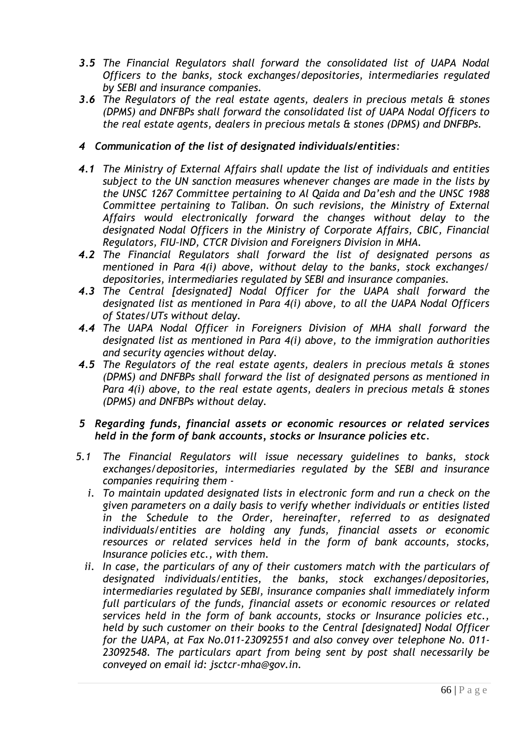- *3.5 The Financial Regulators shall forward the consolidated list of UAPA Nodal Officers to the banks, stock exchanges/depositories, intermediaries regulated by SEBI and insurance companies.*
- *3.6 The Regulators of the real estate agents, dealers in precious metals & stones (DPMS) and DNFBPs shall forward the consolidated list of UAPA Nodal Officers to the real estate agents, dealers in precious metals & stones (DPMS) and DNFBPs.*

### *4 Communication of the list of designated individuals/entities:*

- *4.1 The Ministry of External Affairs shall update the list of individuals and entities subject to the UN sanction measures whenever changes are made in the lists by the UNSC 1267 Committee pertaining to Al Qaida and Da'esh and the UNSC 1988 Committee pertaining to Taliban. On such revisions, the Ministry of External Affairs would electronically forward the changes without delay to the designated Nodal Officers in the Ministry of Corporate Affairs, CBIC, Financial Regulators, FIU–IND, CTCR Division and Foreigners Division in MHA.*
- *4.2 The Financial Regulators shall forward the list of designated persons as mentioned in Para 4(i) above, without delay to the banks, stock exchanges/ depositories, intermediaries regulated by SEBI and insurance companies.*
- *4.3 The Central [designated] Nodal Officer for the UAPA shall forward the designated list as mentioned in Para 4(i) above, to all the UAPA Nodal Officers of States/UTs without delay.*
- *4.4 The UAPA Nodal Officer in Foreigners Division of MHA shall forward the designated list as mentioned in Para 4(i) above, to the immigration authorities and security agencies without delay.*
- *4.5 The Regulators of the real estate agents, dealers in precious metals & stones (DPMS) and DNFBPs shall forward the list of designated persons as mentioned in Para 4(i) above, to the real estate agents, dealers in precious metals & stones (DPMS) and DNFBPs without delay.*

#### *5 Regarding funds, financial assets or economic resources or related services held in the form of bank accounts, stocks or Insurance policies etc.*

- *5.1 The Financial Regulators will issue necessary guidelines to banks, stock exchanges/depositories, intermediaries regulated by the SEBI and insurance companies requiring them* 
	- *i. To maintain updated designated lists in electronic form and run a check on the given parameters on a daily basis to verify whether individuals or entities listed in the Schedule to the Order, hereinafter, referred to as designated individuals/entities are holding any funds, financial assets or economic resources or related services held in the form of bank accounts, stocks, Insurance policies etc., with them.*
	- *ii. In case, the particulars of any of their customers match with the particulars of designated individuals/entities, the banks, stock exchanges/depositories, intermediaries regulated by SEBI, insurance companies shall immediately inform full particulars of the funds, financial assets or economic resources or related services held in the form of bank accounts, stocks or Insurance policies etc., held by such customer on their books to the Central [designated] Nodal Officer for the UAPA, at Fax No.011-23092551 and also convey over telephone No. 011- 23092548. The particulars apart from being sent by post shall necessarily be conveyed on email id: jsctcr-mha@gov.in.*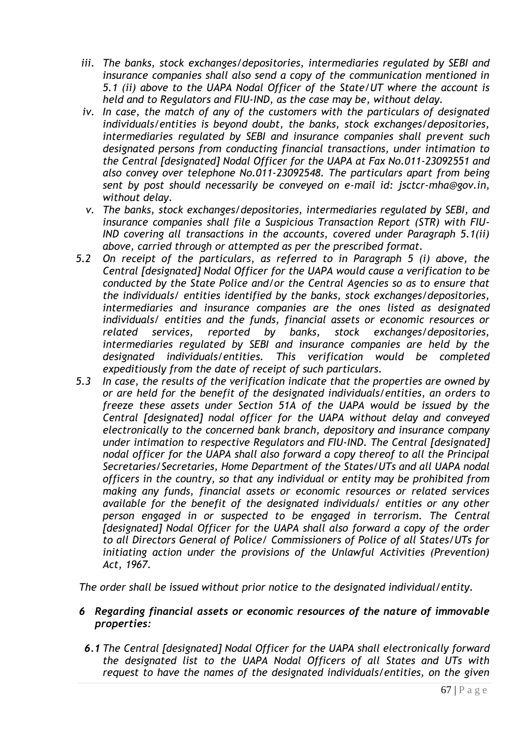- *iii. The banks, stock exchanges/depositories, intermediaries regulated by SEBI and insurance companies shall also send a copy of the communication mentioned in 5.1 (ii) above to the UAPA Nodal Officer of the State/UT where the account is held and to Regulators and FIU-IND, as the case may be, without delay.*
- *iv. In case, the match of any of the customers with the particulars of designated individuals/entities is beyond doubt, the banks, stock exchanges/depositories, intermediaries regulated by SEBI and insurance companies shall prevent such designated persons from conducting financial transactions, under intimation to the Central [designated] Nodal Officer for the UAPA at Fax No.011-23092551 and also convey over telephone No.011-23092548. The particulars apart from being sent by post should necessarily be conveyed on e-mail id: jsctcr-mha@gov.in, without delay.*
- *v. The banks, stock exchanges/depositories, intermediaries regulated by SEBI, and insurance companies shall file a Suspicious Transaction Report (STR) with FIU-IND covering all transactions in the accounts, covered under Paragraph 5.1(ii) above, carried through or attempted as per the prescribed format.*
- *5.2 On receipt of the particulars, as referred to in Paragraph 5 (i) above, the Central [designated] Nodal Officer for the UAPA would cause a verification to be conducted by the State Police and/or the Central Agencies so as to ensure that the individuals/ entities identified by the banks, stock exchanges/depositories, intermediaries and insurance companies are the ones listed as designated individuals/ entities and the funds, financial assets or economic resources or related services, reported by banks, stock exchanges/depositories, intermediaries regulated by SEBI and insurance companies are held by the designated individuals/entities. This verification would be completed expeditiously from the date of receipt of such particulars.*
- *5.3 In case, the results of the verification indicate that the properties are owned by or are held for the benefit of the designated individuals/entities, an orders to freeze these assets under Section 51A of the UAPA would be issued by the Central [designated] nodal officer for the UAPA without delay and conveyed electronically to the concerned bank branch, depository and insurance company under intimation to respective Regulators and FIU-IND. The Central [designated] nodal officer for the UAPA shall also forward a copy thereof to all the Principal Secretaries/Secretaries, Home Department of the States/UTs and all UAPA nodal officers in the country, so that any individual or entity may be prohibited from making any funds, financial assets or economic resources or related services available for the benefit of the designated individuals/ entities or any other person engaged in or suspected to be engaged in terrorism. The Central [designated] Nodal Officer for the UAPA shall also forward a copy of the order to all Directors General of Police/ Commissioners of Police of all States/UTs for initiating action under the provisions of the Unlawful Activities (Prevention) Act, 1967.*

*The order shall be issued without prior notice to the designated individual/entity.* 

- *6 Regarding financial assets or economic resources of the nature of immovable properties:*
- *6.1 The Central [designated] Nodal Officer for the UAPA shall electronically forward the designated list to the UAPA Nodal Officers of all States and UTs with request to have the names of the designated individuals/entities, on the given*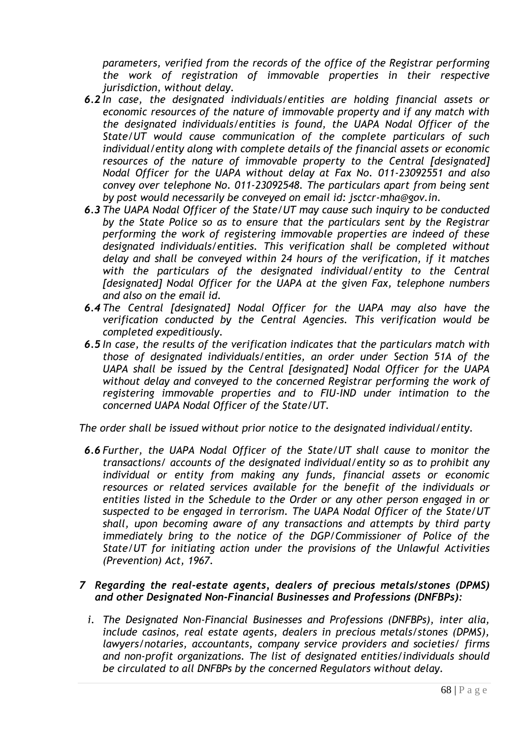*parameters, verified from the records of the office of the Registrar performing the work of registration of immovable properties in their respective jurisdiction, without delay.* 

- *6.2 In case, the designated individuals/entities are holding financial assets or economic resources of the nature of immovable property and if any match with the designated individuals/entities is found, the UAPA Nodal Officer of the State/UT would cause communication of the complete particulars of such individual/entity along with complete details of the financial assets or economic resources of the nature of immovable property to the Central [designated] Nodal Officer for the UAPA without delay at Fax No. 011-23092551 and also convey over telephone No. 011-23092548. The particulars apart from being sent by post would necessarily be conveyed on email id: jsctcr-mha@gov.in.*
- *6.3 The UAPA Nodal Officer of the State/UT may cause such inquiry to be conducted by the State Police so as to ensure that the particulars sent by the Registrar performing the work of registering immovable properties are indeed of these designated individuals/entities. This verification shall be completed without delay and shall be conveyed within 24 hours of the verification, if it matches with the particulars of the designated individual/entity to the Central [designated] Nodal Officer for the UAPA at the given Fax, telephone numbers and also on the email id.*
- *6.4 The Central [designated] Nodal Officer for the UAPA may also have the verification conducted by the Central Agencies. This verification would be completed expeditiously.*
- *6.5 In case, the results of the verification indicates that the particulars match with those of designated individuals/entities, an order under Section 51A of the UAPA shall be issued by the Central [designated] Nodal Officer for the UAPA without delay and conveyed to the concerned Registrar performing the work of registering immovable properties and to FIU-IND under intimation to the concerned UAPA Nodal Officer of the State/UT.*

*The order shall be issued without prior notice to the designated individual/entity.* 

*6.6 Further, the UAPA Nodal Officer of the State/UT shall cause to monitor the transactions/ accounts of the designated individual/entity so as to prohibit any individual or entity from making any funds, financial assets or economic resources or related services available for the benefit of the individuals or entities listed in the Schedule to the Order or any other person engaged in or suspected to be engaged in terrorism. The UAPA Nodal Officer of the State/UT shall, upon becoming aware of any transactions and attempts by third party immediately bring to the notice of the DGP/Commissioner of Police of the State/UT for initiating action under the provisions of the Unlawful Activities (Prevention) Act, 1967.* 

### *7 Regarding the real-estate agents, dealers of precious metals/stones (DPMS) and other Designated Non-Financial Businesses and Professions (DNFBPs):*

*i. The Designated Non-Financial Businesses and Professions (DNFBPs), inter alia, include casinos, real estate agents, dealers in precious metals/stones (DPMS), lawyers/notaries, accountants, company service providers and societies/ firms and non-profit organizations. The list of designated entities/individuals should be circulated to all DNFBPs by the concerned Regulators without delay.*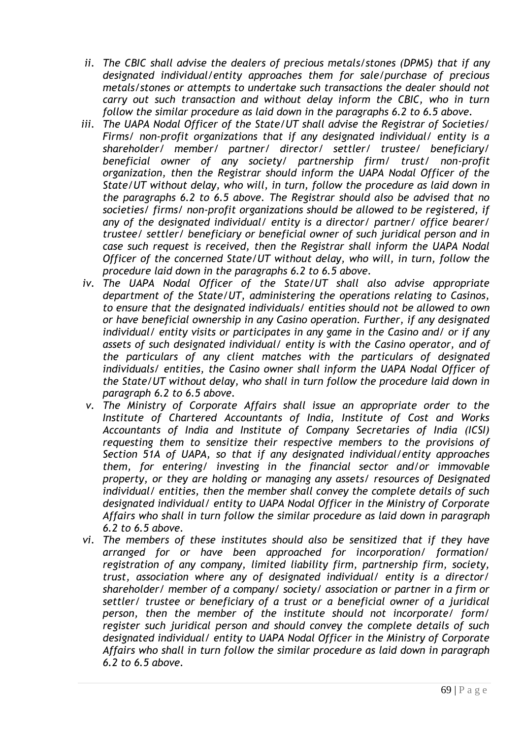- *ii. The CBIC shall advise the dealers of precious metals/stones (DPMS) that if any designated individual/entity approaches them for sale/purchase of precious metals/stones or attempts to undertake such transactions the dealer should not carry out such transaction and without delay inform the CBIC, who in turn follow the similar procedure as laid down in the paragraphs 6.2 to 6.5 above.*
- *iii. The UAPA Nodal Officer of the State/UT shall advise the Registrar of Societies/ Firms/ non-profit organizations that if any designated individual/ entity is a shareholder/ member/ partner/ director/ settler/ trustee/ beneficiary/ beneficial owner of any society/ partnership firm/ trust/ non-profit organization, then the Registrar should inform the UAPA Nodal Officer of the State/UT without delay, who will, in turn, follow the procedure as laid down in the paragraphs 6.2 to 6.5 above. The Registrar should also be advised that no societies/ firms/ non-profit organizations should be allowed to be registered, if any of the designated individual/ entity is a director/ partner/ office bearer/ trustee/ settler/ beneficiary or beneficial owner of such juridical person and in case such request is received, then the Registrar shall inform the UAPA Nodal Officer of the concerned State/UT without delay, who will, in turn, follow the procedure laid down in the paragraphs 6.2 to 6.5 above.*
- *iv. The UAPA Nodal Officer of the State/UT shall also advise appropriate department of the State/UT, administering the operations relating to Casinos, to ensure that the designated individuals/ entities should not be allowed to own or have beneficial ownership in any Casino operation. Further, if any designated individual/ entity visits or participates in any game in the Casino and/ or if any assets of such designated individual/ entity is with the Casino operator, and of the particulars of any client matches with the particulars of designated individuals/ entities, the Casino owner shall inform the UAPA Nodal Officer of the State/UT without delay, who shall in turn follow the procedure laid down in paragraph 6.2 to 6.5 above.*
- *v. The Ministry of Corporate Affairs shall issue an appropriate order to the Institute of Chartered Accountants of India, Institute of Cost and Works Accountants of India and Institute of Company Secretaries of India (ICSI) requesting them to sensitize their respective members to the provisions of Section 51A of UAPA, so that if any designated individual/entity approaches them, for entering/ investing in the financial sector and/or immovable property, or they are holding or managing any assets/ resources of Designated individual/ entities, then the member shall convey the complete details of such designated individual/ entity to UAPA Nodal Officer in the Ministry of Corporate Affairs who shall in turn follow the similar procedure as laid down in paragraph 6.2 to 6.5 above.*
- *vi. The members of these institutes should also be sensitized that if they have arranged for or have been approached for incorporation/ formation/ registration of any company, limited liability firm, partnership firm, society, trust, association where any of designated individual/ entity is a director/ shareholder/ member of a company/ society/ association or partner in a firm or settler/ trustee or beneficiary of a trust or a beneficial owner of a juridical person, then the member of the institute should not incorporate/ form/ register such juridical person and should convey the complete details of such designated individual/ entity to UAPA Nodal Officer in the Ministry of Corporate Affairs who shall in turn follow the similar procedure as laid down in paragraph 6.2 to 6.5 above.*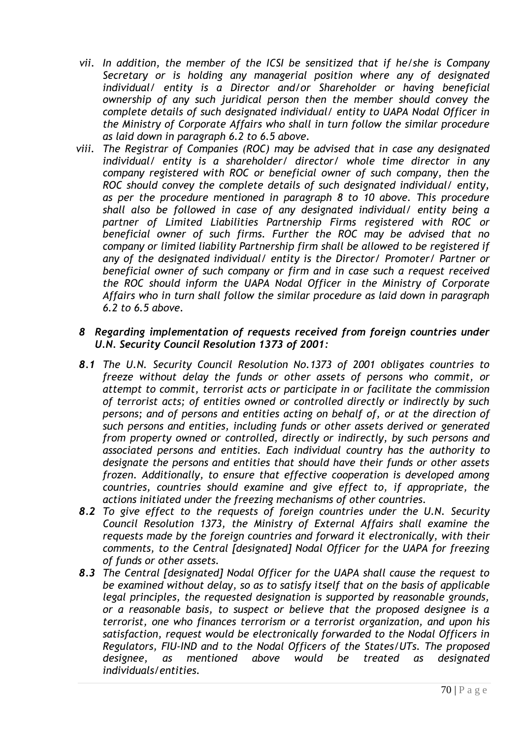- *vii. In addition, the member of the ICSI be sensitized that if he/she is Company Secretary or is holding any managerial position where any of designated individual/ entity is a Director and/or Shareholder or having beneficial ownership of any such juridical person then the member should convey the complete details of such designated individual/ entity to UAPA Nodal Officer in the Ministry of Corporate Affairs who shall in turn follow the similar procedure as laid down in paragraph 6.2 to 6.5 above.*
- *viii. The Registrar of Companies (ROC) may be advised that in case any designated individual/ entity is a shareholder/ director/ whole time director in any company registered with ROC or beneficial owner of such company, then the ROC should convey the complete details of such designated individual/ entity, as per the procedure mentioned in paragraph 8 to 10 above. This procedure shall also be followed in case of any designated individual/ entity being a partner of Limited Liabilities Partnership Firms registered with ROC or beneficial owner of such firms. Further the ROC may be advised that no company or limited liability Partnership firm shall be allowed to be registered if any of the designated individual/ entity is the Director/ Promoter/ Partner or beneficial owner of such company or firm and in case such a request received the ROC should inform the UAPA Nodal Officer in the Ministry of Corporate Affairs who in turn shall follow the similar procedure as laid down in paragraph 6.2 to 6.5 above.*

#### *8 Regarding implementation of requests received from foreign countries under U.N. Security Council Resolution 1373 of 2001:*

- *8.1 The U.N. Security Council Resolution No.1373 of 2001 obligates countries to freeze without delay the funds or other assets of persons who commit, or attempt to commit, terrorist acts or participate in or facilitate the commission of terrorist acts; of entities owned or controlled directly or indirectly by such persons; and of persons and entities acting on behalf of, or at the direction of such persons and entities, including funds or other assets derived or generated from property owned or controlled, directly or indirectly, by such persons and associated persons and entities. Each individual country has the authority to designate the persons and entities that should have their funds or other assets frozen. Additionally, to ensure that effective cooperation is developed among countries, countries should examine and give effect to, if appropriate, the actions initiated under the freezing mechanisms of other countries.*
- *8.2 To give effect to the requests of foreign countries under the U.N. Security Council Resolution 1373, the Ministry of External Affairs shall examine the requests made by the foreign countries and forward it electronically, with their comments, to the Central [designated] Nodal Officer for the UAPA for freezing of funds or other assets.*
- *8.3 The Central [designated] Nodal Officer for the UAPA shall cause the request to be examined without delay, so as to satisfy itself that on the basis of applicable legal principles, the requested designation is supported by reasonable grounds, or a reasonable basis, to suspect or believe that the proposed designee is a terrorist, one who finances terrorism or a terrorist organization, and upon his satisfaction, request would be electronically forwarded to the Nodal Officers in Regulators, FIU-IND and to the Nodal Officers of the States/UTs. The proposed designee, as mentioned above would be treated as designated individuals/entities.*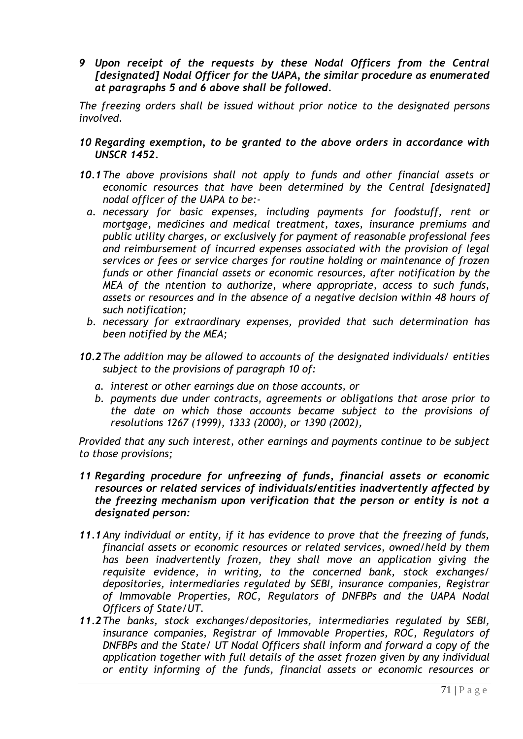*9 Upon receipt of the requests by these Nodal Officers from the Central [designated] Nodal Officer for the UAPA, the similar procedure as enumerated at paragraphs 5 and 6 above shall be followed.* 

*The freezing orders shall be issued without prior notice to the designated persons involved.* 

#### *10 Regarding exemption, to be granted to the above orders in accordance with UNSCR 1452.*

- *10.1The above provisions shall not apply to funds and other financial assets or economic resources that have been determined by the Central [designated] nodal officer of the UAPA to be:*
	- *a. necessary for basic expenses, including payments for foodstuff, rent or mortgage, medicines and medical treatment, taxes, insurance premiums and public utility charges, or exclusively for payment of reasonable professional fees and reimbursement of incurred expenses associated with the provision of legal services or fees or service charges for routine holding or maintenance of frozen funds or other financial assets or economic resources, after notification by the MEA of the ntention to authorize, where appropriate, access to such funds, assets or resources and in the absence of a negative decision within 48 hours of such notification;*
	- *b. necessary for extraordinary expenses, provided that such determination has been notified by the MEA;*
- *10.2The addition may be allowed to accounts of the designated individuals/ entities subject to the provisions of paragraph 10 of:* 
	- *a. interest or other earnings due on those accounts, or*
	- *b. payments due under contracts, agreements or obligations that arose prior to the date on which those accounts became subject to the provisions of resolutions 1267 (1999), 1333 (2000), or 1390 (2002),*

*Provided that any such interest, other earnings and payments continue to be subject to those provisions;*

- *11 Regarding procedure for unfreezing of funds, financial assets or economic resources or related services of individuals/entities inadvertently affected by the freezing mechanism upon verification that the person or entity is not a designated person:*
- *11.1Any individual or entity, if it has evidence to prove that the freezing of funds, financial assets or economic resources or related services, owned/held by them has been inadvertently frozen, they shall move an application giving the requisite evidence, in writing, to the concerned bank, stock exchanges/ depositories, intermediaries regulated by SEBI, insurance companies, Registrar of Immovable Properties, ROC, Regulators of DNFBPs and the UAPA Nodal Officers of State/UT.*
- *11.2The banks, stock exchanges/depositories, intermediaries regulated by SEBI, insurance companies, Registrar of Immovable Properties, ROC, Regulators of DNFBPs and the State/ UT Nodal Officers shall inform and forward a copy of the application together with full details of the asset frozen given by any individual or entity informing of the funds, financial assets or economic resources or*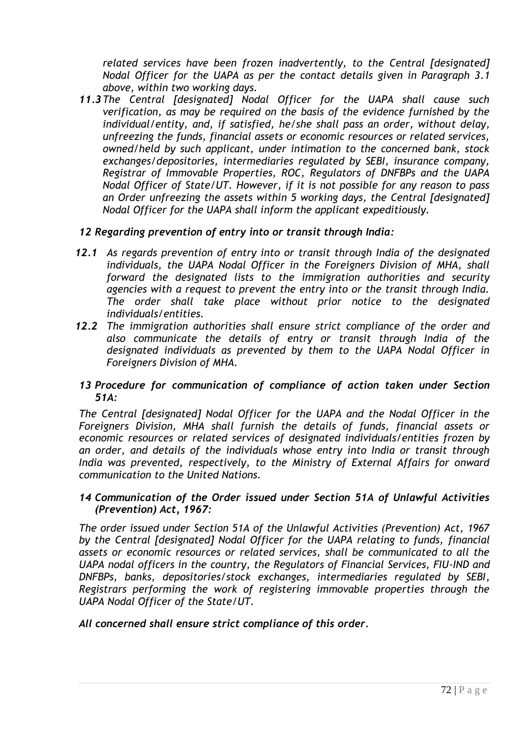*related services have been frozen inadvertently, to the Central [designated] Nodal Officer for the UAPA as per the contact details given in Paragraph 3.1 above, within two working days.* 

*11.3The Central [designated] Nodal Officer for the UAPA shall cause such verification, as may be required on the basis of the evidence furnished by the individual/entity, and, if satisfied, he/she shall pass an order, without delay, unfreezing the funds, financial assets or economic resources or related services, owned/held by such applicant, under intimation to the concerned bank, stock exchanges/depositories, intermediaries regulated by SEBI, insurance company, Registrar of Immovable Properties, ROC, Regulators of DNFBPs and the UAPA Nodal Officer of State/UT. However, if it is not possible for any reason to pass an Order unfreezing the assets within 5 working days, the Central [designated] Nodal Officer for the UAPA shall inform the applicant expeditiously.* 

### *12 Regarding prevention of entry into or transit through India:*

- *12.1 As regards prevention of entry into or transit through India of the designated individuals, the UAPA Nodal Officer in the Foreigners Division of MHA, shall forward the designated lists to the immigration authorities and security agencies with a request to prevent the entry into or the transit through India. The order shall take place without prior notice to the designated individuals/entities.*
- *12.2 The immigration authorities shall ensure strict compliance of the order and also communicate the details of entry or transit through India of the designated individuals as prevented by them to the UAPA Nodal Officer in Foreigners Division of MHA.*

### *13 Procedure for communication of compliance of action taken under Section 51A:*

*The Central [designated] Nodal Officer for the UAPA and the Nodal Officer in the Foreigners Division, MHA shall furnish the details of funds, financial assets or economic resources or related services of designated individuals/entities frozen by an order, and details of the individuals whose entry into India or transit through India was prevented, respectively, to the Ministry of External Affairs for onward communication to the United Nations.* 

#### *14 Communication of the Order issued under Section 51A of Unlawful Activities (Prevention) Act, 1967:*

*The order issued under Section 51A of the Unlawful Activities (Prevention) Act, 1967 by the Central [designated] Nodal Officer for the UAPA relating to funds, financial assets or economic resources or related services, shall be communicated to all the UAPA nodal officers in the country, the Regulators of Financial Services, FIU-IND and DNFBPs, banks, depositories/stock exchanges, intermediaries regulated by SEBI, Registrars performing the work of registering immovable properties through the UAPA Nodal Officer of the State/UT.* 

#### *All concerned shall ensure strict compliance of this order.*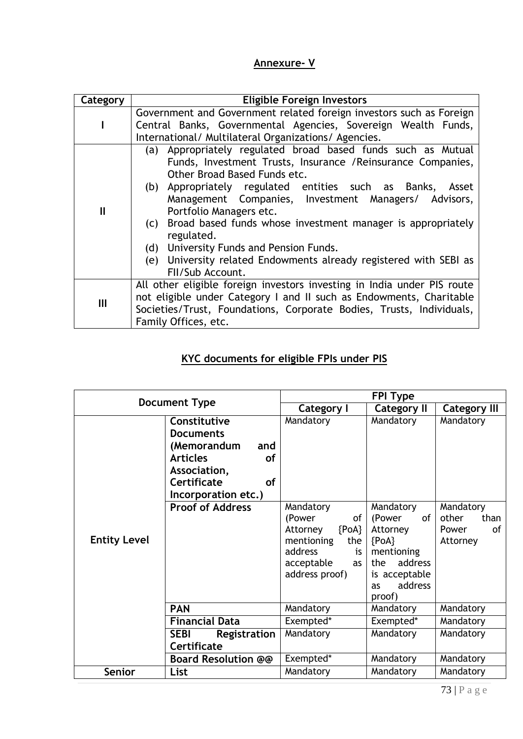## **Annexure- V**

| Category     | <b>Eligible Foreign Investors</b>                                       |  |  |  |  |
|--------------|-------------------------------------------------------------------------|--|--|--|--|
|              | Government and Government related foreign investors such as Foreign     |  |  |  |  |
|              | Central Banks, Governmental Agencies, Sovereign Wealth Funds,           |  |  |  |  |
|              | International/ Multilateral Organizations/ Agencies.                    |  |  |  |  |
| $\mathbf{I}$ | (a) Appropriately regulated broad based funds such as Mutual            |  |  |  |  |
|              | Funds, Investment Trusts, Insurance / Reinsurance Companies,            |  |  |  |  |
|              | Other Broad Based Funds etc.                                            |  |  |  |  |
|              | (b) Appropriately regulated entities such as Banks, Asset               |  |  |  |  |
|              | Management Companies, Investment Managers/ Advisors,                    |  |  |  |  |
|              | Portfolio Managers etc.                                                 |  |  |  |  |
|              | (c) Broad based funds whose investment manager is appropriately         |  |  |  |  |
|              | regulated.                                                              |  |  |  |  |
|              | (d) University Funds and Pension Funds.                                 |  |  |  |  |
|              | (e) University related Endowments already registered with SEBI as       |  |  |  |  |
|              | FII/Sub Account.                                                        |  |  |  |  |
| III          | All other eligible foreign investors investing in India under PIS route |  |  |  |  |
|              | not eligible under Category I and II such as Endowments, Charitable     |  |  |  |  |
|              | Societies/Trust, Foundations, Corporate Bodies, Trusts, Individuals,    |  |  |  |  |
|              | Family Offices, etc.                                                    |  |  |  |  |

## **KYC documents for eligible FPIs under PIS**

| <b>Document Type</b> |                                                                          | <b>FPI Type</b>                                                                                                                     |                                                                                                                              |                                                       |
|----------------------|--------------------------------------------------------------------------|-------------------------------------------------------------------------------------------------------------------------------------|------------------------------------------------------------------------------------------------------------------------------|-------------------------------------------------------|
|                      |                                                                          | Category I                                                                                                                          | <b>Category II</b>                                                                                                           | <b>Category III</b>                                   |
|                      | Constitutive<br><b>Documents</b>                                         | Mandatory                                                                                                                           | Mandatory                                                                                                                    | Mandatory                                             |
|                      | (Memorandum<br>and                                                       |                                                                                                                                     |                                                                                                                              |                                                       |
|                      | <b>Articles</b><br><b>of</b><br>Association,<br>Certificate<br><b>of</b> |                                                                                                                                     |                                                                                                                              |                                                       |
|                      | Incorporation etc.)                                                      |                                                                                                                                     |                                                                                                                              |                                                       |
| <b>Entity Level</b>  | <b>Proof of Address</b>                                                  | Mandatory<br>(Power<br>οf<br>${POA}$<br>Attorney<br>the<br>mentioning<br>address<br>is<br>acceptable<br><b>as</b><br>address proof) | Mandatory<br>(Power<br>of<br>Attorney<br>${PoA}$<br>mentioning<br>address<br>the<br>is acceptable<br>address<br>as<br>proof) | Mandatory<br>other<br>than<br>οf<br>Power<br>Attorney |
|                      | <b>PAN</b>                                                               | Mandatory                                                                                                                           | Mandatory                                                                                                                    | Mandatory                                             |
|                      | <b>Financial Data</b>                                                    | Exempted*                                                                                                                           | Exempted*                                                                                                                    | Mandatory                                             |
|                      | <b>SEBI</b><br>Registration<br>Certificate                               | Mandatory                                                                                                                           | Mandatory                                                                                                                    | Mandatory                                             |
|                      | <b>Board Resolution @@</b>                                               | Exempted*                                                                                                                           | Mandatory                                                                                                                    | Mandatory                                             |
| <b>Senior</b>        | List                                                                     | Mandatory                                                                                                                           | Mandatory                                                                                                                    | Mandatory                                             |